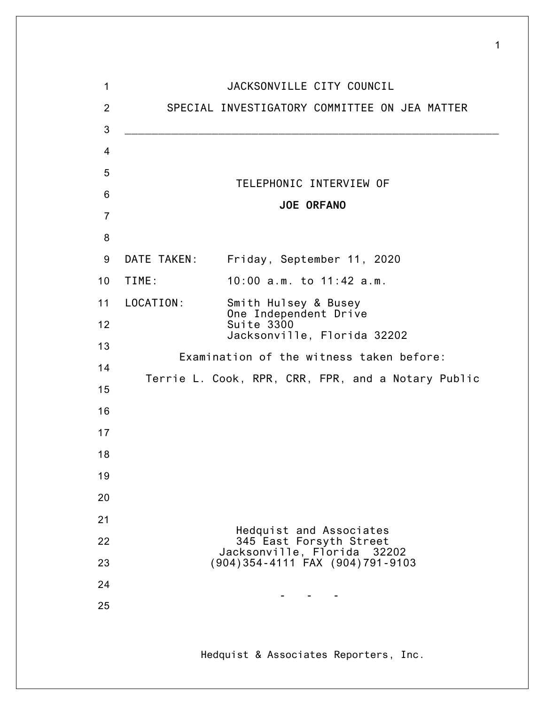| 1              |             | JACKSONVILLE CITY COUNCIL                                                                                            |
|----------------|-------------|----------------------------------------------------------------------------------------------------------------------|
| $\overline{2}$ |             | SPECIAL INVESTIGATORY COMMITTEE ON JEA MATTER                                                                        |
| 3              |             |                                                                                                                      |
| 4              |             |                                                                                                                      |
| 5              |             | TELEPHONIC INTERVIEW OF                                                                                              |
| 6              |             |                                                                                                                      |
| $\overline{7}$ |             | <b>JOE ORFANO</b>                                                                                                    |
| 8              |             |                                                                                                                      |
| 9              | DATE TAKEN: | Friday, September 11, 2020                                                                                           |
| 10             | TIME:       | 10:00 a.m. to 11:42 a.m.                                                                                             |
| 11             | LOCATION:   | Smith Hulsey & Busey<br>One Independent Drive                                                                        |
| 12             |             | Suite 3300<br>Jacksonville, Florida 32202                                                                            |
| 13             |             |                                                                                                                      |
| 14             |             | Examination of the witness taken before:                                                                             |
| 15             |             | Terrie L. Cook, RPR, CRR, FPR, and a Notary Public                                                                   |
| 16             |             |                                                                                                                      |
| 17             |             |                                                                                                                      |
| 18             |             |                                                                                                                      |
| 19             |             |                                                                                                                      |
| 20             |             |                                                                                                                      |
| 21             |             |                                                                                                                      |
| 22             |             | Hedquist and Associates<br>345 East Forsyth Street<br>Jacksonville, Florida 32202<br>(904)354-4111 FAX (904)791-9103 |
| 23             |             |                                                                                                                      |
| 24             |             |                                                                                                                      |
| 25             |             |                                                                                                                      |
|                |             |                                                                                                                      |

1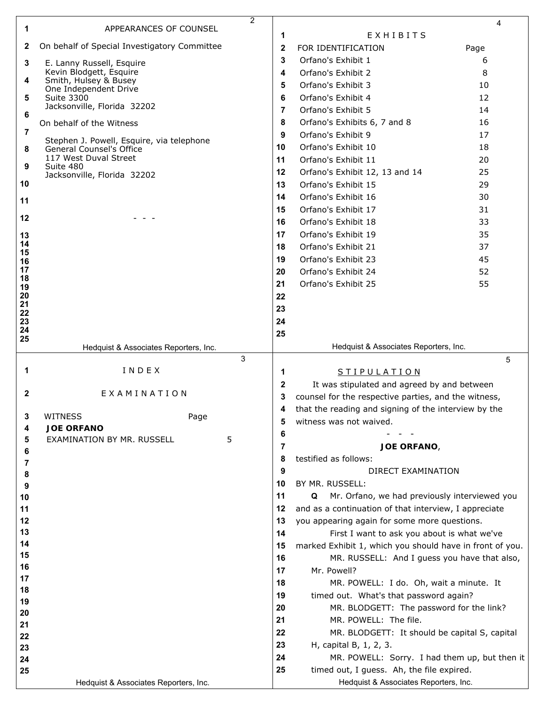| 1        | 2<br>APPEARANCES OF COUNSEL                      |              |                                                          | 4    |
|----------|--------------------------------------------------|--------------|----------------------------------------------------------|------|
|          |                                                  | 1            | EXHIBITS                                                 |      |
| 2        | On behalf of Special Investigatory Committee     | $\mathbf{2}$ | FOR IDENTIFICATION                                       | Page |
| 3        | E. Lanny Russell, Esquire                        | 3            | Orfano's Exhibit 1                                       | 6    |
| 4        | Kevin Blodgett, Esquire<br>Smith, Hulsey & Busey | 4            | Orfano's Exhibit 2                                       | 8    |
|          | One Independent Drive                            | 5            | Orfano's Exhibit 3                                       | 10   |
| 5        | <b>Suite 3300</b>                                | 6            | Orfano's Exhibit 4                                       | 12   |
| 6        | Jacksonville, Florida 32202                      | 7            | Orfano's Exhibit 5                                       | 14   |
|          | On behalf of the Witness                         | 8            | Orfano's Exhibits 6, 7 and 8                             | 16   |
| 7        | Stephen J. Powell, Esquire, via telephone        | 9            | Orfano's Exhibit 9                                       | 17   |
| 8        | <b>General Counsel's Office</b>                  | 10           | Orfano's Exhibit 10                                      | 18   |
| 9        | 117 West Duval Street<br>Suite 480               | 11           | Orfano's Exhibit 11                                      | 20   |
|          | Jacksonville, Florida 32202                      | 12           | Orfano's Exhibit 12, 13 and 14                           | 25   |
| 10       |                                                  | 13           | Orfano's Exhibit 15                                      | 29   |
| 11       |                                                  | 14           | Orfano's Exhibit 16                                      | 30   |
|          |                                                  | 15           | Orfano's Exhibit 17                                      | 31   |
| 12       |                                                  | 16           | Orfano's Exhibit 18                                      | 33   |
| 13       |                                                  | 17           | Orfano's Exhibit 19                                      | 35   |
| 14<br>15 |                                                  | 18           | Orfano's Exhibit 21                                      | 37   |
| 16       |                                                  | 19           | Orfano's Exhibit 23                                      | 45   |
| 17       |                                                  | 20           | Orfano's Exhibit 24                                      | 52   |
| 18<br>19 |                                                  | 21           | Orfano's Exhibit 25                                      | 55   |
| 20       |                                                  | 22           |                                                          |      |
| 21<br>22 |                                                  | 23           |                                                          |      |
| 23       |                                                  | 24           |                                                          |      |
| 24<br>25 |                                                  | 25           |                                                          |      |
|          | Hedquist & Associates Reporters, Inc.            |              | Hedquist & Associates Reporters, Inc.                    |      |
|          | 3                                                |              |                                                          | 5    |
| 1        | INDEX                                            | 1            | <b>STIPULATION</b>                                       |      |
|          | EXAMINATION                                      | $\mathbf{2}$ | It was stipulated and agreed by and between              |      |
| 2        |                                                  | 3            | counsel for the respective parties, and the witness,     |      |
| 3        | <b>WITNESS</b><br>Page                           | 4            | that the reading and signing of the interview by the     |      |
| 4        | <b>JOE ORFANO</b>                                | 5            | witness was not waived.                                  |      |
| 5        | 5<br>EXAMINATION BY MR. RUSSELL                  | 6            |                                                          |      |
| 6        |                                                  | 7            | JOE ORFANO,                                              |      |
| 7        |                                                  | 8            | testified as follows:                                    |      |
| 8        |                                                  | 9            | DIRECT EXAMINATION                                       |      |
| 9        |                                                  | 10           | BY MR. RUSSELL:                                          |      |
| 10       |                                                  | 11           | Mr. Orfano, we had previously interviewed you<br>Q       |      |
| 11       |                                                  | 12           | and as a continuation of that interview, I appreciate    |      |
| 12       |                                                  | 13           | you appearing again for some more questions.             |      |
| 13       |                                                  | 14           | First I want to ask you about is what we've              |      |
| 14<br>15 |                                                  | 15           | marked Exhibit 1, which you should have in front of you. |      |
| 16       |                                                  | 16           | MR. RUSSELL: And I guess you have that also,             |      |
| 17       |                                                  | 17           | Mr. Powell?                                              |      |
| 18       |                                                  | 18           | MR. POWELL: I do. Oh, wait a minute. It                  |      |
| 19       |                                                  | 19           | timed out. What's that password again?                   |      |
| 20       |                                                  | 20           | MR. BLODGETT: The password for the link?                 |      |
| 21       |                                                  | 21           | MR. POWELL: The file.                                    |      |
| 22       |                                                  | 22           | MR. BLODGETT: It should be capital S, capital            |      |
| 23       |                                                  | 23           | H, capital B, 1, 2, 3.                                   |      |
| 24       |                                                  | 24           | MR. POWELL: Sorry. I had them up, but then it            |      |
| 25       |                                                  | 25           | timed out, I guess. Ah, the file expired.                |      |
|          | Hedquist & Associates Reporters, Inc.            |              | Hedquist & Associates Reporters, Inc.                    |      |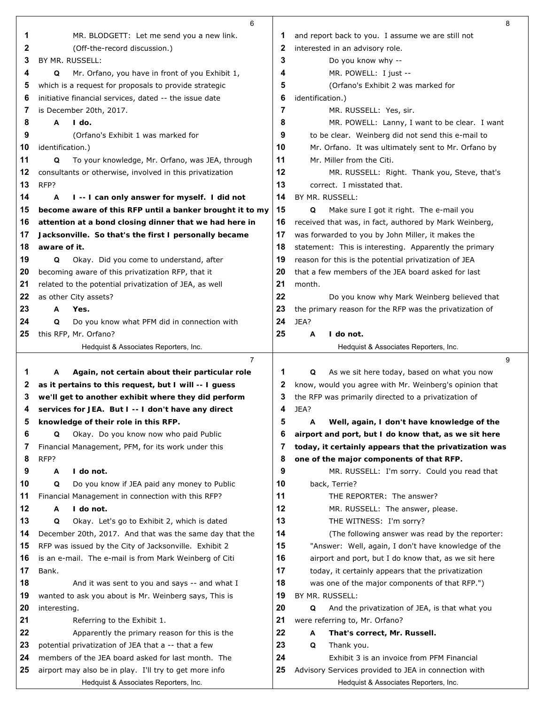|              | 6                                                                                                         |          |                                                                                                                | 8 |
|--------------|-----------------------------------------------------------------------------------------------------------|----------|----------------------------------------------------------------------------------------------------------------|---|
| 1            | MR. BLODGETT: Let me send you a new link.                                                                 | 1        | and report back to you. I assume we are still not                                                              |   |
| 2            | (Off-the-record discussion.)                                                                              | 2        | interested in an advisory role.                                                                                |   |
| 3            | BY MR. RUSSELL:                                                                                           | 3        | Do you know why --                                                                                             |   |
| 4            | Q<br>Mr. Orfano, you have in front of you Exhibit 1,                                                      | 4        | MR. POWELL: I just --                                                                                          |   |
| 5            | which is a request for proposals to provide strategic                                                     | 5        | (Orfano's Exhibit 2 was marked for                                                                             |   |
| 6            | initiative financial services, dated -- the issue date                                                    | 6        | identification.)                                                                                               |   |
| 7            | is December 20th, 2017.                                                                                   | 7        | MR. RUSSELL: Yes, sir.                                                                                         |   |
| 8            | $I$ do.<br>A                                                                                              | 8        | MR. POWELL: Lanny, I want to be clear. I want                                                                  |   |
| 9            | (Orfano's Exhibit 1 was marked for                                                                        | 9        | to be clear. Weinberg did not send this e-mail to                                                              |   |
| 10           | identification.)                                                                                          | 10       | Mr. Orfano. It was ultimately sent to Mr. Orfano by                                                            |   |
| 11           | Q<br>To your knowledge, Mr. Orfano, was JEA, through                                                      | 11       | Mr. Miller from the Citi.                                                                                      |   |
| 12           | consultants or otherwise, involved in this privatization                                                  | 12       | MR. RUSSELL: Right. Thank you, Steve, that's                                                                   |   |
| 13           | RFP?                                                                                                      | 13       | correct. I misstated that.                                                                                     |   |
| 14           | A<br>I--I can only answer for myself. I did not                                                           | 14       | BY MR. RUSSELL:                                                                                                |   |
| 15           | become aware of this RFP until a banker brought it to my                                                  | 15       | Make sure I got it right. The e-mail you<br>Q                                                                  |   |
| 16           | attention at a bond closing dinner that we had here in                                                    | 16       | received that was, in fact, authored by Mark Weinberg,                                                         |   |
| 17           | Jacksonville. So that's the first I personally became                                                     | 17       | was forwarded to you by John Miller, it makes the                                                              |   |
| 18           | aware of it.                                                                                              | 18       | statement: This is interesting. Apparently the primary                                                         |   |
| 19           | Okay. Did you come to understand, after<br>Q                                                              | 19       | reason for this is the potential privatization of JEA                                                          |   |
| 20           | becoming aware of this privatization RFP, that it                                                         | 20       | that a few members of the JEA board asked for last                                                             |   |
| 21           | related to the potential privatization of JEA, as well                                                    | 21       | month.                                                                                                         |   |
| 22           | as other City assets?                                                                                     | 22       | Do you know why Mark Weinberg believed that                                                                    |   |
| 23           | Yes.<br>A                                                                                                 | 23       | the primary reason for the RFP was the privatization of                                                        |   |
| 24           | Do you know what PFM did in connection with<br>Q                                                          | 24       | JEA?                                                                                                           |   |
| 25           | this RFP, Mr. Orfano?                                                                                     | 25       | A<br>I do not.                                                                                                 |   |
|              | Hedquist & Associates Reporters, Inc.                                                                     |          | Hedquist & Associates Reporters, Inc.                                                                          |   |
|              |                                                                                                           |          |                                                                                                                |   |
|              | $\overline{7}$                                                                                            |          |                                                                                                                | 9 |
| 1            | A                                                                                                         | 1        | Q                                                                                                              |   |
| $\mathbf{z}$ | Again, not certain about their particular role<br>as it pertains to this request, but I will -- I guess   | 2        | As we sit here today, based on what you now                                                                    |   |
| З            |                                                                                                           | 3        | know, would you agree with Mr. Weinberg's opinion that<br>the RFP was primarily directed to a privatization of |   |
| 4            | we'll get to another exhibit where they did perform                                                       | 4        | JEA?                                                                                                           |   |
| 5            | services for JEA. But I -- I don't have any direct                                                        | 5        | A                                                                                                              |   |
| 6            | knowledge of their role in this RFP.<br>Q<br>Okay. Do you know now who paid Public                        | 6        | Well, again, I don't have knowledge of the                                                                     |   |
| 7            |                                                                                                           | 7        | airport and port, but I do know that, as we sit here<br>today, it certainly appears that the privatization was |   |
| 8            | Financial Management, PFM, for its work under this<br>RFP?                                                | 8        |                                                                                                                |   |
|              | Α<br>I do not.                                                                                            | 9        | one of the major components of that RFP.                                                                       |   |
| 9<br>10      | Q                                                                                                         | 10       | MR. RUSSELL: I'm sorry. Could you read that                                                                    |   |
| 11           | Do you know if JEA paid any money to Public                                                               | 11       | back, Terrie?                                                                                                  |   |
| 12           | Financial Management in connection with this RFP?<br>I do not.<br>Α                                       | 12       | THE REPORTER: The answer?                                                                                      |   |
|              | Q                                                                                                         | 13       | MR. RUSSELL: The answer, please.                                                                               |   |
| 13<br>14     | Okay. Let's go to Exhibit 2, which is dated                                                               |          | THE WITNESS: I'm sorry?                                                                                        |   |
| 15           | December 20th, 2017. And that was the same day that the                                                   | 14       | (The following answer was read by the reporter:                                                                |   |
|              | RFP was issued by the City of Jacksonville. Exhibit 2                                                     | 15       | "Answer: Well, again, I don't have knowledge of the                                                            |   |
| 16<br>17     | is an e-mail. The e-mail is from Mark Weinberg of Citi<br>Bank.                                           | 16       | airport and port, but I do know that, as we sit here                                                           |   |
|              |                                                                                                           | 17       | today, it certainly appears that the privatization                                                             |   |
| 18<br>19     | And it was sent to you and says -- and what I                                                             | 18       | was one of the major components of that RFP.")                                                                 |   |
|              | wanted to ask you about is Mr. Weinberg says, This is<br>interesting.                                     | 19<br>20 | BY MR. RUSSELL:<br>Q                                                                                           |   |
| 20<br>21     |                                                                                                           | 21       | And the privatization of JEA, is that what you                                                                 |   |
| 22           | Referring to the Exhibit 1.                                                                               |          | were referring to, Mr. Orfano?<br>A                                                                            |   |
| 23           | Apparently the primary reason for this is the                                                             | 22       | That's correct, Mr. Russell.<br>Q                                                                              |   |
| 24           | potential privatization of JEA that a -- that a few<br>members of the JEA board asked for last month. The | 23<br>24 | Thank you.<br>Exhibit 3 is an invoice from PFM Financial                                                       |   |
| 25           | airport may also be in play. I'll try to get more info                                                    | 25       | Advisory Services provided to JEA in connection with                                                           |   |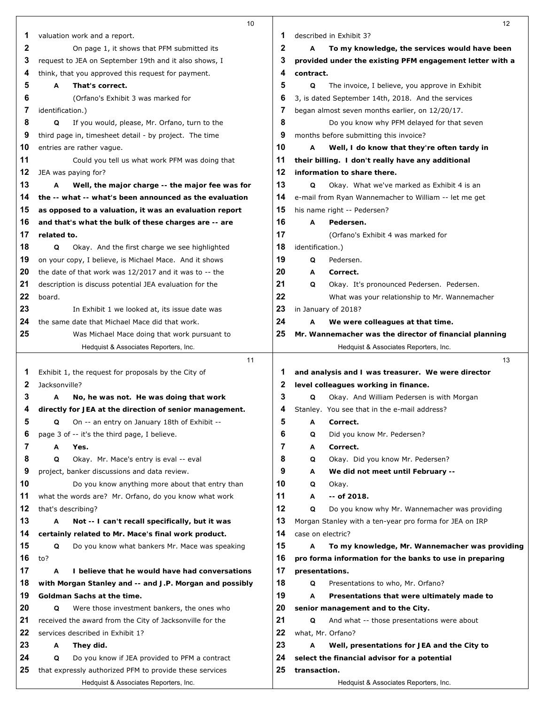|              | 10                                                       |    | 12                                                       |
|--------------|----------------------------------------------------------|----|----------------------------------------------------------|
| 1            | valuation work and a report.                             | 1  | described in Exhibit 3?                                  |
| 2            | On page 1, it shows that PFM submitted its               | 2  | To my knowledge, the services would have been<br>А       |
| 3            | request to JEA on September 19th and it also shows, I    | 3  | provided under the existing PFM engagement letter with a |
| 4            | think, that you approved this request for payment.       | 4  | contract.                                                |
| 5            | A<br>That's correct.                                     | 5  | Q<br>The invoice, I believe, you approve in Exhibit      |
| 6            | (Orfano's Exhibit 3 was marked for                       | 6  | 3, is dated September 14th, 2018. And the services       |
| 7            | identification.)                                         | 7  | began almost seven months earlier, on 12/20/17.          |
| 8            | If you would, please, Mr. Orfano, turn to the<br>Q       | 8  | Do you know why PFM delayed for that seven               |
| 9            | third page in, timesheet detail - by project. The time   | 9  | months before submitting this invoice?                   |
| 10           | entries are rather vague.                                | 10 | Α<br>Well, I do know that they're often tardy in         |
| 11           | Could you tell us what work PFM was doing that           | 11 | their billing. I don't really have any additional        |
| 12           | JEA was paying for?                                      | 12 | information to share there.                              |
| 13           | А<br>Well, the major charge -- the major fee was for     | 13 | Okay. What we've marked as Exhibit 4 is an<br>Q          |
| 14           | the -- what -- what's been announced as the evaluation   | 14 | e-mail from Ryan Wannemacher to William -- let me get    |
| 15           | as opposed to a valuation, it was an evaluation report   | 15 | his name right -- Pedersen?                              |
| 16           | and that's what the bulk of these charges are -- are     | 16 | A<br>Pedersen.                                           |
| 17           | related to.                                              | 17 | (Orfano's Exhibit 4 was marked for                       |
| 18           | Okay. And the first charge we see highlighted<br>Q       | 18 | identification.)                                         |
| 19           | on your copy, I believe, is Michael Mace. And it shows   | 19 | Pedersen.<br>Q                                           |
| 20           | the date of that work was 12/2017 and it was to -- the   | 20 | Correct.<br>А                                            |
| 21           | description is discuss potential JEA evaluation for the  | 21 | Q<br>Okay. It's pronounced Pedersen. Pedersen.           |
| 22           | board.                                                   | 22 | What was your relationship to Mr. Wannemacher            |
| 23           | In Exhibit 1 we looked at, its issue date was            | 23 | in January of 2018?                                      |
| 24           | the same date that Michael Mace did that work.           | 24 | We were colleagues at that time.<br>Α                    |
| 25           | Was Michael Mace doing that work pursuant to             | 25 | Mr. Wannemacher was the director of financial planning   |
|              | Hedquist & Associates Reporters, Inc.                    |    | Hedquist & Associates Reporters, Inc.                    |
|              | 11                                                       |    | 13                                                       |
| 1            | Exhibit 1, the request for proposals by the City of      | 1  | and analysis and I was treasurer. We were director       |
| $\mathbf{z}$ | Jacksonville?                                            | 2  | level colleagues working in finance.                     |
| 3            | No, he was not. He was doing that work<br>A              | 3  | Okay. And William Pedersen is with Morgan<br>Q           |
| 4            | directly for JEA at the direction of senior management.  | 4  | Stanley. You see that in the e-mail address?             |
| 5            | On -- an entry on January 18th of Exhibit --<br>Q        | 5  | Α<br>Correct.                                            |
| 6            | page 3 of -- it's the third page, I believe.             | 6  | Did you know Mr. Pedersen?<br>Q                          |
| 7            | А<br>Yes.                                                | 7  | Correct.<br>Α                                            |
| 8            | Okay. Mr. Mace's entry is eval -- eval<br>Q              | 8  | Okay. Did you know Mr. Pedersen?<br>Q                    |
| 9            | project, banker discussions and data review.             | 9  | Α<br>We did not meet until February --                   |
| 10           | Do you know anything more about that entry than          | 10 | Q<br>Okay.                                               |
| 11           | what the words are? Mr. Orfano, do you know what work    | 11 | -- of 2018.<br>А                                         |
| 12           | that's describing?                                       | 12 | Q<br>Do you know why Mr. Wannemacher was providing       |
| 13           | Not -- I can't recall specifically, but it was<br>A      | 13 | Morgan Stanley with a ten-year pro forma for JEA on IRP  |
| 14           | certainly related to Mr. Mace's final work product.      | 14 | case on electric?                                        |
| 15           | Q<br>Do you know what bankers Mr. Mace was speaking      | 15 | Α<br>To my knowledge, Mr. Wannemacher was providing      |
| 16           | to?                                                      | 16 | pro forma information for the banks to use in preparing  |
| 17           | А<br>I believe that he would have had conversations      | 17 | presentations.                                           |
| 18           | with Morgan Stanley and -- and J.P. Morgan and possibly  | 18 | Q<br>Presentations to who, Mr. Orfano?                   |
| 19           | Goldman Sachs at the time.                               | 19 | Α<br>Presentations that were ultimately made to          |
| 20           | Were those investment bankers, the ones who<br>Q         | 20 | senior management and to the City.                       |
| 21           | received the award from the City of Jacksonville for the | 21 | Q<br>And what -- those presentations were about          |
| 22           | services described in Exhibit 1?                         | 22 | what, Mr. Orfano?                                        |
| 23           | Α<br>They did.                                           | 23 | Well, presentations for JEA and the City to<br>A         |
| 24           | Do you know if JEA provided to PFM a contract<br>Q       | 24 | select the financial advisor for a potential             |
| 25           | that expressly authorized PFM to provide these services  | 25 | transaction.                                             |
|              | Hedquist & Associates Reporters, Inc.                    |    | Hedquist & Associates Reporters, Inc.                    |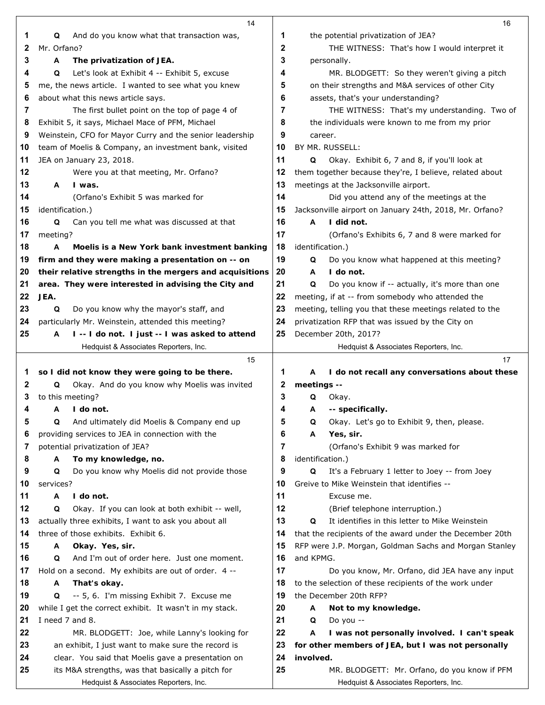|    | 14                                                       |    |                  | 16                                                       |
|----|----------------------------------------------------------|----|------------------|----------------------------------------------------------|
| 1  | And do you know what that transaction was,<br>Q          | 1  |                  | the potential privatization of JEA?                      |
| 2  | Mr. Orfano?                                              | 2  |                  | THE WITNESS: That's how I would interpret it             |
| 3  | The privatization of JEA.<br>A                           | 3  |                  | personally.                                              |
| 4  | Q<br>Let's look at Exhibit 4 -- Exhibit 5, excuse        | 4  |                  | MR. BLODGETT: So they weren't giving a pitch             |
| 5  | me, the news article. I wanted to see what you knew      | 5  |                  | on their strengths and M&A services of other City        |
| 6  | about what this news article says.                       | 6  |                  | assets, that's your understanding?                       |
| 7  | The first bullet point on the top of page 4 of           | 7  |                  | THE WITNESS: That's my understanding. Two of             |
| 8  | Exhibit 5, it says, Michael Mace of PFM, Michael         | 8  |                  | the individuals were known to me from my prior           |
| 9  | Weinstein, CFO for Mayor Curry and the senior leadership | 9  | career.          |                                                          |
| 10 | team of Moelis & Company, an investment bank, visited    | 10 |                  | BY MR. RUSSELL:                                          |
| 11 | JEA on January 23, 2018.                                 | 11 | Q                | Okay. Exhibit 6, 7 and 8, if you'll look at              |
| 12 | Were you at that meeting, Mr. Orfano?                    | 12 |                  | them together because they're, I believe, related about  |
| 13 | I was.<br>A                                              | 13 |                  | meetings at the Jacksonville airport.                    |
| 14 | (Orfano's Exhibit 5 was marked for                       | 14 |                  | Did you attend any of the meetings at the                |
| 15 | identification.)                                         | 15 |                  | Jacksonville airport on January 24th, 2018, Mr. Orfano?  |
| 16 | Q<br>Can you tell me what was discussed at that          | 16 | A                | I did not.                                               |
| 17 | meeting?                                                 | 17 |                  | (Orfano's Exhibits 6, 7 and 8 were marked for            |
| 18 | Moelis is a New York bank investment banking<br>A        | 18 | identification.) |                                                          |
| 19 | firm and they were making a presentation on -- on        | 19 | Q                | Do you know what happened at this meeting?               |
| 20 | their relative strengths in the mergers and acquisitions | 20 | A                | I do not.                                                |
| 21 | area. They were interested in advising the City and      | 21 | Q                | Do you know if -- actually, it's more than one           |
| 22 | JEA.                                                     | 22 |                  | meeting, if at -- from somebody who attended the         |
| 23 | Q<br>Do you know why the mayor's staff, and              | 23 |                  | meeting, telling you that these meetings related to the  |
| 24 | particularly Mr. Weinstein, attended this meeting?       | 24 |                  | privatization RFP that was issued by the City on         |
| 25 | I -- I do not. I just -- I was asked to attend<br>A      | 25 |                  | December 20th, 2017?                                     |
|    | Hedquist & Associates Reporters, Inc.                    |    |                  | Hedquist & Associates Reporters, Inc.                    |
|    | 15                                                       |    |                  | 17                                                       |
| 1  | so I did not know they were going to be there.           | 1  | A                | I do not recall any conversations about these            |
| 2  | Okay. And do you know why Moelis was invited<br>Q        | 2  | meetings --      |                                                          |
| 3  | to this meeting?                                         | 3  | Q                | Okay.                                                    |
| 4  | A<br>I do not.                                           | 4  | A                | -- specifically.                                         |
| 5  | Q<br>And ultimately did Moelis & Company end up          | 5  | Q                | Okay. Let's go to Exhibit 9, then, please.               |
| 6  | providing services to JEA in connection with the         | 6  | A                | Yes, sir.                                                |
| 7  | potential privatization of JEA?                          | 7  |                  | (Orfano's Exhibit 9 was marked for                       |
| 8  | To my knowledge, no.<br>A                                | 8  | identification.) |                                                          |
| 9  | Do you know why Moelis did not provide those<br>Q        | 9  | Q                | It's a February 1 letter to Joey -- from Joey            |
| 10 | services?                                                | 10 |                  | Greive to Mike Weinstein that identifies --              |
| 11 | I do not.<br>A                                           | 11 |                  | Excuse me.                                               |
| 12 | Okay. If you can look at both exhibit -- well,<br>Q      | 12 |                  | (Brief telephone interruption.)                          |
| 13 | actually three exhibits, I want to ask you about all     | 13 | Q                | It identifies in this letter to Mike Weinstein           |
| 14 | three of those exhibits. Exhibit 6.                      | 14 |                  | that the recipients of the award under the December 20th |
| 15 | Okay. Yes, sir.<br>A                                     | 15 |                  | RFP were J.P. Morgan, Goldman Sachs and Morgan Stanley   |
| 16 | And I'm out of order here. Just one moment.<br>Q         | 16 | and KPMG.        |                                                          |
| 17 | Hold on a second. My exhibits are out of order. 4 --     | 17 |                  | Do you know, Mr. Orfano, did JEA have any input          |
| 18 | That's okay.<br>A                                        | 18 |                  | to the selection of these recipients of the work under   |
| 19 | -- 5, 6. I'm missing Exhibit 7. Excuse me<br>Q           | 19 |                  | the December 20th RFP?                                   |
| 20 | while I get the correct exhibit. It wasn't in my stack.  | 20 | A                | Not to my knowledge.                                     |
| 21 | I need 7 and 8.                                          | 21 | Q                | Do you --                                                |
| 22 | MR. BLODGETT: Joe, while Lanny's looking for             | 22 | A                | I was not personally involved. I can't speak             |
| 23 | an exhibit, I just want to make sure the record is       | 23 |                  | for other members of JEA, but I was not personally       |
| 24 | clear. You said that Moelis gave a presentation on       | 24 | involved.        |                                                          |
| 25 | its M&A strengths, was that basically a pitch for        | 25 |                  | MR. BLODGETT: Mr. Orfano, do you know if PFM             |
|    |                                                          |    |                  | Hedquist & Associates Reporters, Inc.                    |
|    | Hedquist & Associates Reporters, Inc.                    |    |                  |                                                          |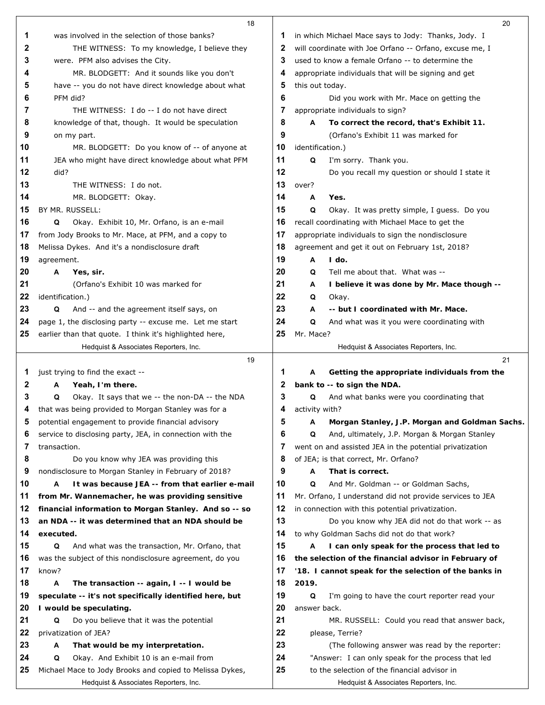|          | 18                                                                                                   |          | 20                                                           |  |
|----------|------------------------------------------------------------------------------------------------------|----------|--------------------------------------------------------------|--|
| 1        | was involved in the selection of those banks?                                                        | 1        | in which Michael Mace says to Jody: Thanks, Jody. I          |  |
| 2        | THE WITNESS: To my knowledge, I believe they                                                         | 2        | will coordinate with Joe Orfano -- Orfano, excuse me, I      |  |
| 3        | were. PFM also advises the City.                                                                     | 3        | used to know a female Orfano -- to determine the             |  |
| 4        | MR. BLODGETT: And it sounds like you don't                                                           | 4        | appropriate individuals that will be signing and get         |  |
| 5        | have -- you do not have direct knowledge about what                                                  | 5        | this out today.                                              |  |
| 6        | PFM did?                                                                                             | 6        | Did you work with Mr. Mace on getting the                    |  |
| 7        | THE WITNESS: I do -- I do not have direct                                                            | 7        | appropriate individuals to sign?                             |  |
| 8        | knowledge of that, though. It would be speculation                                                   | 8        | A<br>To correct the record, that's Exhibit 11.               |  |
| 9        | on my part.                                                                                          | 9        | (Orfano's Exhibit 11 was marked for                          |  |
| 10       | MR. BLODGETT: Do you know of -- of anyone at                                                         | 10       | identification.)                                             |  |
| 11       | JEA who might have direct knowledge about what PFM                                                   | 11       | I'm sorry. Thank you.<br>Q                                   |  |
| 12       | did?                                                                                                 | 12       | Do you recall my question or should I state it               |  |
| 13       | THE WITNESS: I do not.                                                                               | 13       | over?                                                        |  |
| 14       | MR. BLODGETT: Okay.                                                                                  | 14       | A<br>Yes.                                                    |  |
| 15       | BY MR. RUSSELL:                                                                                      | 15       | Q<br>Okay. It was pretty simple, I guess. Do you             |  |
| 16       | Q<br>Okay. Exhibit 10, Mr. Orfano, is an e-mail                                                      | 16       | recall coordinating with Michael Mace to get the             |  |
| 17       | from Jody Brooks to Mr. Mace, at PFM, and a copy to                                                  | 17       | appropriate individuals to sign the nondisclosure            |  |
| 18       | Melissa Dykes. And it's a nondisclosure draft                                                        | 18       | agreement and get it out on February 1st, 2018?              |  |
| 19       | agreement.                                                                                           | 19       | $1$ do.<br>A                                                 |  |
| 20       | Α<br>Yes, sir.                                                                                       | 20       | Tell me about that. What was --<br>Q                         |  |
| 21       | (Orfano's Exhibit 10 was marked for                                                                  | 21       | I believe it was done by Mr. Mace though --<br>A             |  |
| 22       | identification.)                                                                                     | 22       | Q<br>Okay.                                                   |  |
| 23       | And -- and the agreement itself says, on<br>Q                                                        | 23       | -- but I coordinated with Mr. Mace.<br>A                     |  |
| 24       | page 1, the disclosing party -- excuse me. Let me start                                              | 24       | Q<br>And what was it you were coordinating with              |  |
| 25       | earlier than that quote. I think it's highlighted here,                                              | 25       | Mr. Mace?                                                    |  |
|          | Hedquist & Associates Reporters, Inc.                                                                |          | Hedquist & Associates Reporters, Inc.                        |  |
|          |                                                                                                      |          |                                                              |  |
|          | 19                                                                                                   |          | 21                                                           |  |
| 1        | just trying to find the exact --                                                                     | 1        | Α<br>Getting the appropriate individuals from the            |  |
| 2        | Yeah, I'm there.<br>A                                                                                | 2        | bank to -- to sign the NDA.                                  |  |
| 3        | Q<br>Okay. It says that we -- the non-DA -- the NDA                                                  | 3        | And what banks were you coordinating that<br>Q               |  |
| 4        | that was being provided to Morgan Stanley was for a                                                  | 4        | activity with?                                               |  |
| 5        | potential engagement to provide financial advisory                                                   | 5        | Morgan Stanley, J.P. Morgan and Goldman Sachs.<br>A          |  |
| 6        | service to disclosing party, JEA, in connection with the                                             | 6        | And, ultimately, J.P. Morgan & Morgan Stanley<br>Q           |  |
| 7        | transaction.                                                                                         | 7        | went on and assisted JEA in the potential privatization      |  |
| 8        | Do you know why JEA was providing this                                                               | 8        | of JEA; is that correct, Mr. Orfano?                         |  |
| 9        | nondisclosure to Morgan Stanley in February of 2018?                                                 | 9        | That is correct.<br>Α                                        |  |
| 10       | It was because JEA -- from that earlier e-mail<br>A                                                  | 10       | And Mr. Goldman -- or Goldman Sachs,<br>Q                    |  |
| 11       | from Mr. Wannemacher, he was providing sensitive                                                     | 11       | Mr. Orfano, I understand did not provide services to JEA     |  |
| 12       | financial information to Morgan Stanley. And so -- so                                                | 12       | in connection with this potential privatization.             |  |
| 13       | an NDA -- it was determined that an NDA should be                                                    | 13       | Do you know why JEA did not do that work -- as               |  |
| 14       | executed.                                                                                            | 14       | to why Goldman Sachs did not do that work?                   |  |
| 15       | And what was the transaction, Mr. Orfano, that<br>Q                                                  | 15       | I can only speak for the process that led to<br>A            |  |
| 16       | was the subject of this nondisclosure agreement, do you                                              | 16       | the selection of the financial advisor in February of        |  |
| 17       | know?<br>Α                                                                                           | 17       | '18. I cannot speak for the selection of the banks in        |  |
| 18<br>19 | The transaction -- again, I -- I would be<br>speculate -- it's not specifically identified here, but | 18<br>19 | 2019.<br>I'm going to have the court reporter read your<br>Q |  |
| 20       |                                                                                                      | 20       | answer back.                                                 |  |
| 21       | I would be speculating.<br>Do you believe that it was the potential<br>Q                             | 21       | MR. RUSSELL: Could you read that answer back,                |  |
| 22       | privatization of JEA?                                                                                | 22       | please, Terrie?                                              |  |
| 23       | That would be my interpretation.<br>A                                                                | 23       | (The following answer was read by the reporter:              |  |
| 24       | Okay. And Exhibit 10 is an e-mail from<br>Q                                                          | 24       | "Answer: I can only speak for the process that led           |  |
| 25       | Michael Mace to Jody Brooks and copied to Melissa Dykes,                                             | 25       | to the selection of the financial advisor in                 |  |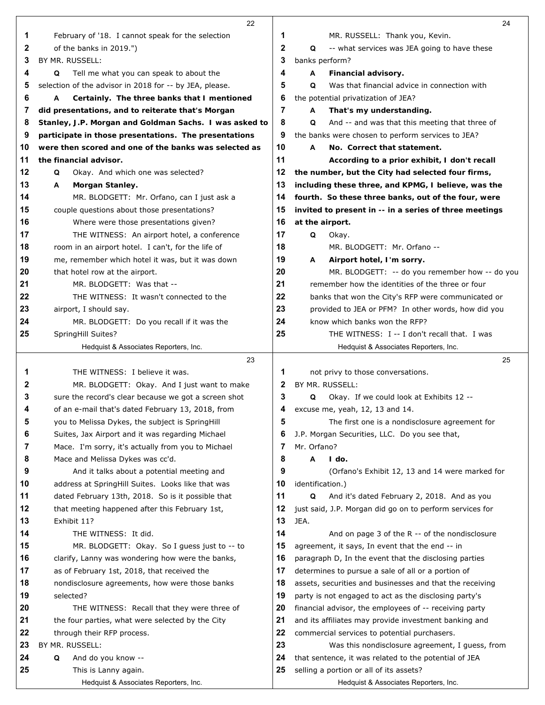|        | 22                                                                                              |              | 24                                                                  |
|--------|-------------------------------------------------------------------------------------------------|--------------|---------------------------------------------------------------------|
| 1      | February of '18. I cannot speak for the selection                                               | 1            | MR. RUSSELL: Thank you, Kevin.                                      |
| 2      | of the banks in 2019.")                                                                         | $\mathbf{2}$ | Q<br>-- what services was JEA going to have these                   |
| 3      | BY MR. RUSSELL:                                                                                 | 3            | banks perform?                                                      |
| 4      | Tell me what you can speak to about the<br>Q                                                    | 4            | A<br>Financial advisory.                                            |
| 5      | selection of the advisor in 2018 for -- by JEA, please.                                         | 5            | Q<br>Was that financial advice in connection with                   |
| 6      | A<br>Certainly. The three banks that I mentioned                                                | 6            | the potential privatization of JEA?                                 |
| 7      | did presentations, and to reiterate that's Morgan                                               | 7            | That's my understanding.<br>A                                       |
| 8      | Stanley, J.P. Morgan and Goldman Sachs. I was asked to                                          | 8            | Q<br>And -- and was that this meeting that three of                 |
| 9      | participate in those presentations. The presentations                                           | 9            | the banks were chosen to perform services to JEA?                   |
| 10     | were then scored and one of the banks was selected as                                           | 10           | No. Correct that statement.<br>A                                    |
| 11     | the financial advisor.                                                                          | 11           | According to a prior exhibit, I don't recall                        |
| 12     | Okay. And which one was selected?<br>Q                                                          | 12           | the number, but the City had selected four firms,                   |
| 13     | Morgan Stanley.<br>A                                                                            | 13           | including these three, and KPMG, I believe, was the                 |
| 14     | MR. BLODGETT: Mr. Orfano, can I just ask a                                                      | 14           | fourth. So these three banks, out of the four, were                 |
| 15     | couple questions about those presentations?                                                     | 15           | invited to present in -- in a series of three meetings              |
| 16     | Where were those presentations given?                                                           | 16           | at the airport.                                                     |
| 17     | THE WITNESS: An airport hotel, a conference                                                     | 17           | Q<br>Okay.                                                          |
| 18     | room in an airport hotel. I can't, for the life of                                              | 18           | MR. BLODGETT: Mr. Orfano --                                         |
| 19     | me, remember which hotel it was, but it was down                                                | 19           | Airport hotel, I'm sorry.<br>A                                      |
| 20     | that hotel row at the airport.                                                                  | 20           | MR. BLODGETT: -- do you remember how -- do you                      |
| 21     | MR. BLODGETT: Was that --                                                                       | 21           | remember how the identities of the three or four                    |
| 22     | THE WITNESS: It wasn't connected to the                                                         | 22           | banks that won the City's RFP were communicated or                  |
| 23     | airport, I should say.                                                                          | 23           | provided to JEA or PFM? In other words, how did you                 |
| 24     | MR. BLODGETT: Do you recall if it was the                                                       | 24           | know which banks won the RFP?                                       |
| 25     | SpringHill Suites?                                                                              | 25           | THE WITNESS: I -- I don't recall that. I was                        |
|        | Hedquist & Associates Reporters, Inc.                                                           |              | Hedquist & Associates Reporters, Inc.                               |
|        | 23                                                                                              |              | 25                                                                  |
| 1      | THE WITNESS: I believe it was.                                                                  | 1            | not privy to those conversations.                                   |
| 2      | MR. BLODGETT: Okay. And I just want to make                                                     | 2            | BY MR. RUSSELL:                                                     |
| 3      | sure the record's clear because we got a screen shot                                            | 3            | Okay. If we could look at Exhibits 12 --<br>Q                       |
| 4      | of an e-mail that's dated February 13, 2018, from                                               | 4            | excuse me, yeah, 12, 13 and 14.                                     |
| 5      | you to Melissa Dykes, the subject is SpringHill                                                 | 5            | The first one is a nondisclosure agreement for                      |
| 6<br>7 | Suites, Jax Airport and it was regarding Michael                                                | 6<br>7       | J.P. Morgan Securities, LLC. Do you see that,<br>Mr. Orfano?        |
| 8      | Mace. I'm sorry, it's actually from you to Michael                                              | 8            | A<br>I do.                                                          |
| 9      | Mace and Melissa Dykes was cc'd.                                                                | 9            |                                                                     |
| 10     | And it talks about a potential meeting and<br>address at SpringHill Suites. Looks like that was | 10           | (Orfano's Exhibit 12, 13 and 14 were marked for<br>identification.) |
| 11     | dated February 13th, 2018. So is it possible that                                               | 11           | Q<br>And it's dated February 2, 2018. And as you                    |
| 12     | that meeting happened after this February 1st,                                                  | 12           | just said, J.P. Morgan did go on to perform services for            |
| 13     | Exhibit 11?                                                                                     | 13           | JEA.                                                                |
| 14     | THE WITNESS: It did.                                                                            | 14           | And on page 3 of the R -- of the nondisclosure                      |
| 15     | MR. BLODGETT: Okay. So I guess just to -- to                                                    | 15           | agreement, it says, In event that the end -- in                     |
| 16     | clarify, Lanny was wondering how were the banks,                                                | 16           | paragraph D, In the event that the disclosing parties               |
| 17     | as of February 1st, 2018, that received the                                                     | 17           | determines to pursue a sale of all or a portion of                  |
| 18     | nondisclosure agreements, how were those banks                                                  | 18           | assets, securities and businesses and that the receiving            |
| 19     | selected?                                                                                       | 19           | party is not engaged to act as the disclosing party's               |
| 20     | THE WITNESS: Recall that they were three of                                                     | 20           | financial advisor, the employees of -- receiving party              |
| 21     | the four parties, what were selected by the City                                                | 21           | and its affiliates may provide investment banking and               |
| 22     | through their RFP process.                                                                      | 22           | commercial services to potential purchasers.                        |
| 23     | BY MR. RUSSELL:                                                                                 | 23           | Was this nondisclosure agreement, I guess, from                     |
| 24     | Q<br>And do you know --                                                                         | 24           | that sentence, it was related to the potential of JEA               |
| 25     | This is Lanny again.                                                                            | 25           | selling a portion or all of its assets?                             |
|        | Hedquist & Associates Reporters, Inc.                                                           |              | Hedquist & Associates Reporters, Inc.                               |
|        |                                                                                                 |              |                                                                     |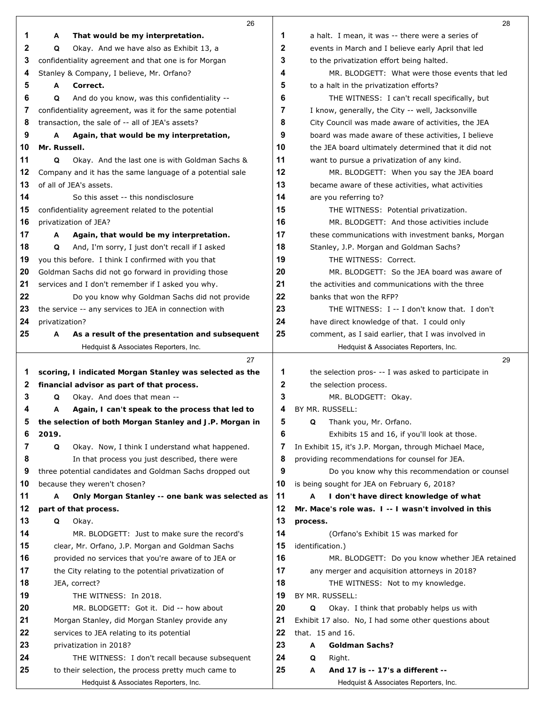|              | 26                                                                                   |              | 28                                                                                             |
|--------------|--------------------------------------------------------------------------------------|--------------|------------------------------------------------------------------------------------------------|
| 1            | A<br>That would be my interpretation.                                                | 1            | a halt. I mean, it was -- there were a series of                                               |
| $\mathbf{2}$ | Q<br>Okay. And we have also as Exhibit 13, a                                         | $\mathbf{2}$ | events in March and I believe early April that led                                             |
| 3            | confidentiality agreement and that one is for Morgan                                 | 3            | to the privatization effort being halted.                                                      |
| 4            | Stanley & Company, I believe, Mr. Orfano?                                            | 4            | MR. BLODGETT: What were those events that led                                                  |
| 5            | Correct.<br>A                                                                        | 5            | to a halt in the privatization efforts?                                                        |
| 6            | Q<br>And do you know, was this confidentiality --                                    | 6            | THE WITNESS: I can't recall specifically, but                                                  |
| 7            | confidentiality agreement, was it for the same potential                             | 7            | I know, generally, the City -- well, Jacksonville                                              |
| 8            | transaction, the sale of -- all of JEA's assets?                                     | 8            | City Council was made aware of activities, the JEA                                             |
| 9            | Again, that would be my interpretation,<br>Α                                         | 9            | board was made aware of these activities, I believe                                            |
| 10           | Mr. Russell.                                                                         | 10           | the JEA board ultimately determined that it did not                                            |
| 11           | Okay. And the last one is with Goldman Sachs &<br>Q                                  | 11           | want to pursue a privatization of any kind.                                                    |
| 12           | Company and it has the same language of a potential sale                             | 12           | MR. BLODGETT: When you say the JEA board                                                       |
| 13           | of all of JEA's assets.                                                              | 13           | became aware of these activities, what activities                                              |
| 14           | So this asset -- this nondisclosure                                                  | 14           | are you referring to?                                                                          |
| 15           | confidentiality agreement related to the potential                                   | 15           | THE WITNESS: Potential privatization.                                                          |
| 16           | privatization of JEA?                                                                | 16           | MR. BLODGETT: And those activities include                                                     |
| 17           | Again, that would be my interpretation.<br>A                                         | 17           | these communications with investment banks, Morgan                                             |
| 18           | And, I'm sorry, I just don't recall if I asked<br>Q                                  | 18           | Stanley, J.P. Morgan and Goldman Sachs?                                                        |
| 19           | you this before. I think I confirmed with you that                                   | 19           | THE WITNESS: Correct.                                                                          |
| 20           | Goldman Sachs did not go forward in providing those                                  | 20           | MR. BLODGETT: So the JEA board was aware of                                                    |
| 21           | services and I don't remember if I asked you why.                                    | 21           | the activities and communications with the three                                               |
| 22           | Do you know why Goldman Sachs did not provide                                        | 22           | banks that won the RFP?                                                                        |
| 23           | the service -- any services to JEA in connection with                                | 23           | THE WITNESS: I -- I don't know that. I don't                                                   |
| 24           | privatization?                                                                       | 24           | have direct knowledge of that. I could only                                                    |
| 25           | As a result of the presentation and subsequent<br>Α                                  | 25           | comment, as I said earlier, that I was involved in                                             |
|              | Hedquist & Associates Reporters, Inc.                                                |              | Hedquist & Associates Reporters, Inc.                                                          |
|              | 27                                                                                   |              | 29                                                                                             |
| 1            | scoring, I indicated Morgan Stanley was selected as the                              | 1            | the selection pros- -- I was asked to participate in                                           |
| 2            | financial advisor as part of that process.                                           | $\mathbf 2$  | the selection process.                                                                         |
| 3            | Okay. And does that mean --<br>Q                                                     | 3            | MR. BLODGETT: Okay.                                                                            |
| 4            | Again, I can't speak to the process that led to<br>Α                                 | 4            | BY MR. RUSSELL:                                                                                |
| 5            | the selection of both Morgan Stanley and J.P. Morgan in                              | 5<br>6       | Thank you, Mr. Orfano.<br>Q                                                                    |
| 6            | 2019.                                                                                |              | Exhibits 15 and 16, if you'll look at those.                                                   |
| 7            | Q<br>Okay. Now, I think I understand what happened.                                  | 7            | In Exhibit 15, it's J.P. Morgan, through Michael Mace,                                         |
| 8            | In that process you just described, there were                                       | 8            | providing recommendations for counsel for JEA.                                                 |
| 9<br>10      | three potential candidates and Goldman Sachs dropped out                             | 9<br>10      | Do you know why this recommendation or counsel<br>is being sought for JEA on February 6, 2018? |
| 11           | because they weren't chosen?<br>Only Morgan Stanley -- one bank was selected as<br>A | 11           | А<br>I don't have direct knowledge of what                                                     |
| 12           | part of that process.                                                                | 12           | Mr. Mace's role was. I -- I wasn't involved in this                                            |
| 13           | Q<br>Okay.                                                                           | 13           | process.                                                                                       |
| 14           | MR. BLODGETT: Just to make sure the record's                                         | 14           | (Orfano's Exhibit 15 was marked for                                                            |
| 15           | clear, Mr. Orfano, J.P. Morgan and Goldman Sachs                                     | 15           | identification.)                                                                               |
| 16           | provided no services that you're aware of to JEA or                                  | 16           | MR. BLODGETT: Do you know whether JEA retained                                                 |
| 17           | the City relating to the potential privatization of                                  | 17           | any merger and acquisition attorneys in 2018?                                                  |
| 18           | JEA, correct?                                                                        | 18           | THE WITNESS: Not to my knowledge.                                                              |
| 19           | THE WITNESS: In 2018.                                                                | 19           | BY MR. RUSSELL:                                                                                |
| 20           | MR. BLODGETT: Got it. Did -- how about                                               | 20           | Q<br>Okay. I think that probably helps us with                                                 |
| 21           | Morgan Stanley, did Morgan Stanley provide any                                       | 21           | Exhibit 17 also. No, I had some other questions about                                          |
| 22           | services to JEA relating to its potential                                            | 22           | that. 15 and 16.                                                                               |
| 23           | privatization in 2018?                                                               | 23           | Goldman Sachs?<br>Α                                                                            |
| 24           | THE WITNESS: I don't recall because subsequent                                       | 24           | Q<br>Right.                                                                                    |
| 25           | to their selection, the process pretty much came to                                  | 25           | And 17 is -- 17's a different --<br>А                                                          |
|              | Hedquist & Associates Reporters, Inc.                                                |              | Hedquist & Associates Reporters, Inc.                                                          |
|              |                                                                                      |              |                                                                                                |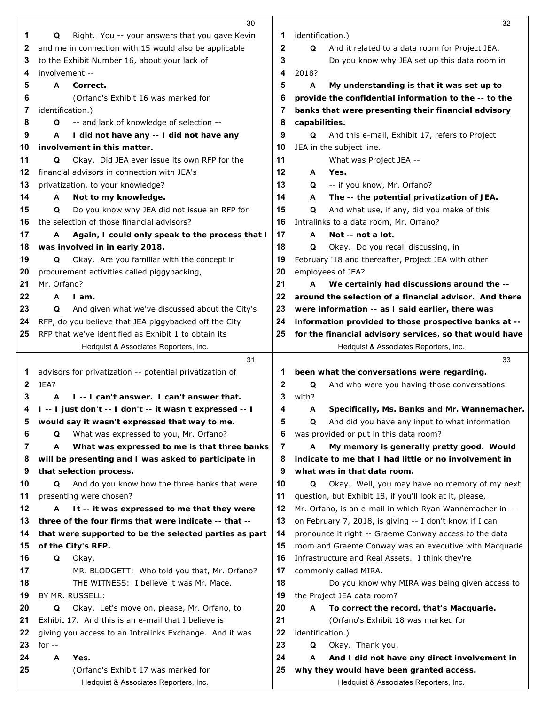|          | 30                                                                       |        | 32                                                                                                       |
|----------|--------------------------------------------------------------------------|--------|----------------------------------------------------------------------------------------------------------|
| 1        | Right. You -- your answers that you gave Kevin<br>Q                      | 1      | identification.)                                                                                         |
| 2        | and me in connection with 15 would also be applicable                    | 2      | Q<br>And it related to a data room for Project JEA.                                                      |
| 3        | to the Exhibit Number 16, about your lack of                             | 3      | Do you know why JEA set up this data room in                                                             |
| 4        | involvement --                                                           | 4      | 2018?                                                                                                    |
| 5        | Correct.<br>A                                                            | 5      | A<br>My understanding is that it was set up to                                                           |
| 6        | (Orfano's Exhibit 16 was marked for                                      | 6      | provide the confidential information to the -- to the                                                    |
| 7        | identification.)                                                         | 7      | banks that were presenting their financial advisory                                                      |
| 8        | -- and lack of knowledge of selection --<br>Q                            | 8      | capabilities.                                                                                            |
| 9        | I did not have any -- I did not have any<br>A                            | 9      | And this e-mail, Exhibit 17, refers to Project<br>Q                                                      |
| 10       | involvement in this matter.                                              | 10     | JEA in the subject line.                                                                                 |
| 11       | Okay. Did JEA ever issue its own RFP for the<br>Q                        | 11     | What was Project JEA --                                                                                  |
| 12       | financial advisors in connection with JEA's                              | 12     | Yes.<br>A                                                                                                |
| 13       | privatization, to your knowledge?                                        | 13     | -- if you know, Mr. Orfano?<br>Q                                                                         |
| 14       | Not to my knowledge.<br>A                                                | 14     | The -- the potential privatization of JEA.<br>A                                                          |
| 15       | Do you know why JEA did not issue an RFP for<br>Q                        | 15     | And what use, if any, did you make of this<br>Q                                                          |
| 16       | the selection of those financial advisors?                               | 16     | Intralinks to a data room, Mr. Orfano?                                                                   |
| 17       | Again, I could only speak to the process that I<br>A                     | 17     | Not -- not a lot.<br>A                                                                                   |
| 18       | was involved in in early 2018.                                           | 18     | Okay. Do you recall discussing, in<br>Q                                                                  |
| 19       | Okay. Are you familiar with the concept in<br>Q                          | 19     | February '18 and thereafter, Project JEA with other                                                      |
| 20       | procurement activities called piggybacking,                              | 20     | employees of JEA?                                                                                        |
| 21       | Mr. Orfano?                                                              | 21     | We certainly had discussions around the --<br>A                                                          |
| 22       | A<br>I am.                                                               | 22     | around the selection of a financial advisor. And there                                                   |
| 23       | Q<br>And given what we've discussed about the City's                     | 23     | were information -- as I said earlier, there was                                                         |
| 24       | RFP, do you believe that JEA piggybacked off the City                    | 24     | information provided to those prospective banks at --                                                    |
| 25       | RFP that we've identified as Exhibit 1 to obtain its                     | 25     | for the financial advisory services, so that would have                                                  |
|          | Hedquist & Associates Reporters, Inc.                                    |        | Hedquist & Associates Reporters, Inc.                                                                    |
|          | 31                                                                       |        | 33                                                                                                       |
| 1        | advisors for privatization -- potential privatization of                 | 1      | been what the conversations were regarding.                                                              |
|          |                                                                          |        |                                                                                                          |
|          |                                                                          |        |                                                                                                          |
| 2        | JEA?                                                                     | 2      | Q<br>And who were you having those conversations                                                         |
| 3        | I -- I can't answer. I can't answer that.<br>A                           | 3      | with?                                                                                                    |
| 4        | I -- I just don't -- I don't -- it wasn't expressed -- I                 | 4      | Specifically, Ms. Banks and Mr. Wannemacher.<br>A                                                        |
| 5        | would say it wasn't expressed that way to me.                            | 5      | And did you have any input to what information<br>Q                                                      |
| 6        | What was expressed to you, Mr. Orfano?<br>Q                              | 6      | was provided or put in this data room?                                                                   |
| 7        | What was expressed to me is that three banks<br>A                        | 7      | My memory is generally pretty good. Would<br>A                                                           |
| 8<br>9   | will be presenting and I was asked to participate in                     | 8<br>9 | indicate to me that I had little or no involvement in                                                    |
|          | that selection process.<br>Q                                             | 10     | what was in that data room.<br>Q                                                                         |
| 10       | And do you know how the three banks that were<br>presenting were chosen? | 11     | Okay. Well, you may have no memory of my next<br>question, but Exhibit 18, if you'll look at it, please, |
| 11<br>12 | It -- it was expressed to me that they were<br>A                         | 12     | Mr. Orfano, is an e-mail in which Ryan Wannemacher in --                                                 |
| 13       | three of the four firms that were indicate -- that --                    | 13     | on February 7, 2018, is giving -- I don't know if I can                                                  |
| 14       | that were supported to be the selected parties as part                   | 14     | pronounce it right -- Graeme Conway access to the data                                                   |
| 15       | of the City's RFP.                                                       | 15     | room and Graeme Conway was an executive with Macquarie                                                   |
| 16       | Q<br>Okay.                                                               | 16     | Infrastructure and Real Assets. I think they're                                                          |
| 17       | MR. BLODGETT: Who told you that, Mr. Orfano?                             | 17     | commonly called MIRA.                                                                                    |
| 18       | THE WITNESS: I believe it was Mr. Mace.                                  | 18     | Do you know why MIRA was being given access to                                                           |
| 19       | BY MR. RUSSELL:                                                          | 19     | the Project JEA data room?                                                                               |
| 20       | Okay. Let's move on, please, Mr. Orfano, to<br>Q                         | 20     | To correct the record, that's Macquarie.<br>A                                                            |
| 21       | Exhibit 17. And this is an e-mail that I believe is                      | 21     | (Orfano's Exhibit 18 was marked for                                                                      |
| 22       | giving you access to an Intralinks Exchange. And it was                  | 22     | identification.)                                                                                         |
| 23       | for $-$                                                                  | 23     | Okay. Thank you.<br>Q                                                                                    |
| 24       | A<br>Yes.                                                                | 24     | And I did not have any direct involvement in<br>A                                                        |
| 25       | (Orfano's Exhibit 17 was marked for                                      | 25     | why they would have been granted access.                                                                 |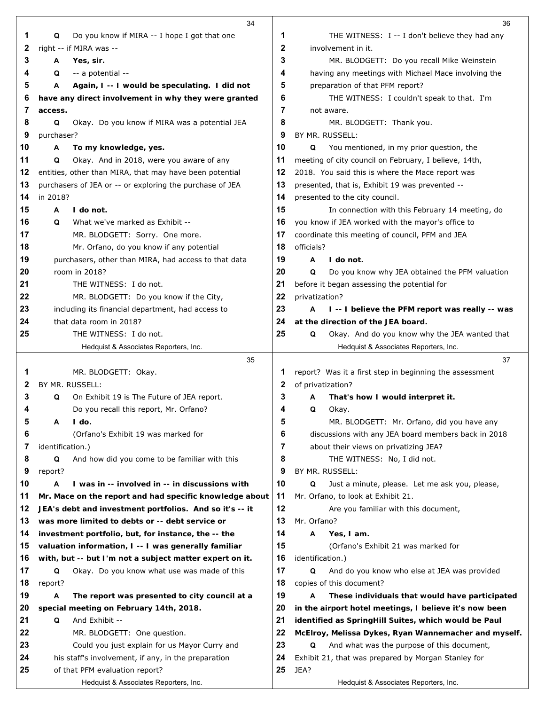|          | 34                                                                                                   |          | 36                                                                                                 |
|----------|------------------------------------------------------------------------------------------------------|----------|----------------------------------------------------------------------------------------------------|
| 1        | Do you know if MIRA -- I hope I got that one<br>Q                                                    | 1        | THE WITNESS: I -- I don't believe they had any                                                     |
| 2        | right -- if MIRA was --                                                                              | 2        | involvement in it.                                                                                 |
| 3        | Yes, sir.<br>A                                                                                       | 3        | MR. BLODGETT: Do you recall Mike Weinstein                                                         |
| 4        | -- a potential --<br>Q                                                                               | 4        | having any meetings with Michael Mace involving the                                                |
| 5        | Again, I -- I would be speculating. I did not<br>A                                                   | 5        | preparation of that PFM report?                                                                    |
| 6        | have any direct involvement in why they were granted                                                 | 6        | THE WITNESS: I couldn't speak to that. I'm                                                         |
| 7        | access.                                                                                              | 7        | not aware.                                                                                         |
| 8        | Okay. Do you know if MIRA was a potential JEA<br>Q                                                   | 8        | MR. BLODGETT: Thank you.                                                                           |
| 9        | purchaser?                                                                                           | 9        | BY MR. RUSSELL:                                                                                    |
| 10       | Α<br>To my knowledge, yes.                                                                           | 10       | Q<br>You mentioned, in my prior question, the                                                      |
| 11       | Q<br>Okay. And in 2018, were you aware of any                                                        | 11       | meeting of city council on February, I believe, 14th,                                              |
| 12       | entities, other than MIRA, that may have been potential                                              | 12       | 2018. You said this is where the Mace report was                                                   |
| 13       | purchasers of JEA or -- or exploring the purchase of JEA                                             | 13       | presented, that is, Exhibit 19 was prevented --                                                    |
| 14       | in 2018?                                                                                             | 14       | presented to the city council.                                                                     |
| 15       | I do not.<br>A                                                                                       | 15       | In connection with this February 14 meeting, do                                                    |
| 16       | What we've marked as Exhibit --<br>Q                                                                 | 16       | you know if JEA worked with the mayor's office to                                                  |
| 17       | MR. BLODGETT: Sorry. One more.                                                                       | 17       | coordinate this meeting of council, PFM and JEA                                                    |
| 18       | Mr. Orfano, do you know if any potential                                                             | 18       | officials?                                                                                         |
| 19       | purchasers, other than MIRA, had access to that data                                                 | 19       | A<br>I do not.                                                                                     |
| 20       | room in 2018?                                                                                        | 20       | Do you know why JEA obtained the PFM valuation<br>Q                                                |
| 21       | THE WITNESS: I do not.                                                                               | 21       | before it began assessing the potential for                                                        |
| 22       | MR. BLODGETT: Do you know if the City,                                                               | 22       | privatization?                                                                                     |
| 23       | including its financial department, had access to                                                    | 23       | I -- I believe the PFM report was really -- was<br>A                                               |
| 24       | that data room in 2018?                                                                              | 24       | at the direction of the JEA board.                                                                 |
| 25       | THE WITNESS: I do not.                                                                               | 25       | Q<br>Okay. And do you know why the JEA wanted that                                                 |
|          | Hedquist & Associates Reporters, Inc.                                                                |          | Hedquist & Associates Reporters, Inc.                                                              |
|          | 35                                                                                                   |          | 37                                                                                                 |
| 1        | MR. BLODGETT: Okay.                                                                                  | 1        | report? Was it a first step in beginning the assessment                                            |
| 2        | BY MR. RUSSELL:                                                                                      | 2        | of privatization?                                                                                  |
| 3        | On Exhibit 19 is The Future of JEA report.<br>Q                                                      | 3        | That's how I would interpret it.<br>A                                                              |
| 4        | Do you recall this report, Mr. Orfano?                                                               | 4        | Q<br>Okay.                                                                                         |
| 5        | A<br>I do.                                                                                           | 5        | MR. BLODGETT: Mr. Orfano, did you have any                                                         |
| 6        | (Orfano's Exhibit 19 was marked for                                                                  | 6        | discussions with any JEA board members back in 2018                                                |
| 7        | identification.)                                                                                     | 7        | about their views on privatizing JEA?                                                              |
| 8        | And how did you come to be familiar with this<br>Q                                                   | 8        | THE WITNESS: No, I did not.                                                                        |
| 9        | report?                                                                                              | 9        | BY MR. RUSSELL:                                                                                    |
| 10       | I was in -- involved in -- in discussions with<br>A                                                  | 10       | Just a minute, please. Let me ask you, please,<br>Q                                                |
| 11       | Mr. Mace on the report and had specific knowledge about                                              | 11       | Mr. Orfano, to look at Exhibit 21.                                                                 |
| 12       | JEA's debt and investment portfolios. And so it's -- it                                              | 12       | Are you familiar with this document,                                                               |
| 13       | was more limited to debts or -- debt service or                                                      | 13       | Mr. Orfano?                                                                                        |
| 14       | investment portfolio, but, for instance, the -- the                                                  | 14       | Yes, I am.<br>A                                                                                    |
| 15       | valuation information, I -- I was generally familiar                                                 | 15       | (Orfano's Exhibit 21 was marked for                                                                |
| 16       | with, but -- but I'm not a subject matter expert on it.                                              | 16       | identification.)                                                                                   |
| 17       | Okay. Do you know what use was made of this<br>Q                                                     | 17       | And do you know who else at JEA was provided<br>Q                                                  |
| 18       | report?                                                                                              | 18       | copies of this document?                                                                           |
| 19       | The report was presented to city council at a<br>A                                                   | 19       | These individuals that would have participated<br>A                                                |
| 20       | special meeting on February 14th, 2018.                                                              | 20       | in the airport hotel meetings, I believe it's now been                                             |
| 21       | And Exhibit --<br>Q                                                                                  | 21       | identified as SpringHill Suites, which would be Paul                                               |
| 22<br>23 | MR. BLODGETT: One question.                                                                          | 22<br>23 | McElroy, Melissa Dykes, Ryan Wannemacher and myself.<br>And what was the purpose of this document, |
| 24       | Could you just explain for us Mayor Curry and<br>his staff's involvement, if any, in the preparation | 24       | Q<br>Exhibit 21, that was prepared by Morgan Stanley for                                           |
| 25       | of that PFM evaluation report?                                                                       | 25       | JEA?                                                                                               |
|          | Hedquist & Associates Reporters, Inc.                                                                |          | Hedquist & Associates Reporters, Inc.                                                              |
|          |                                                                                                      |          |                                                                                                    |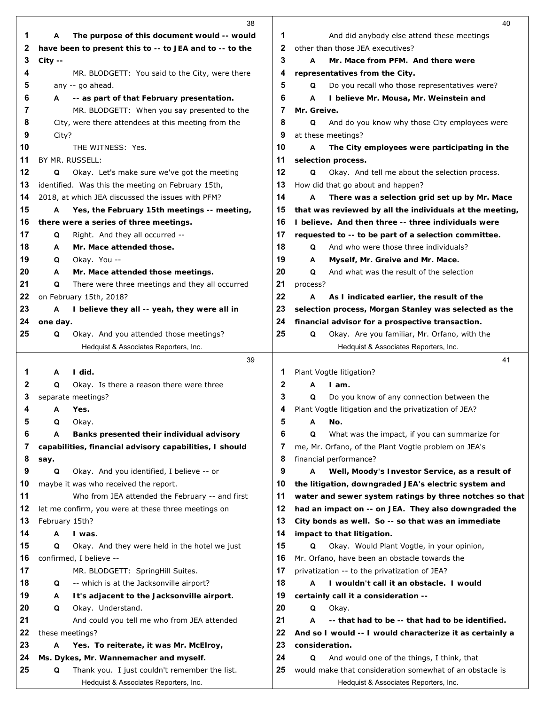|          | 38                                                      |          | 40                                                                                                    |
|----------|---------------------------------------------------------|----------|-------------------------------------------------------------------------------------------------------|
| 1        | The purpose of this document would -- would<br>A        | 1        | And did anybody else attend these meetings                                                            |
| 2        | have been to present this to -- to JEA and to -- to the | 2        | other than those JEA executives?                                                                      |
| 3        | $City - -$                                              | 3        | Mr. Mace from PFM. And there were<br>A                                                                |
| 4        | MR. BLODGETT: You said to the City, were there          | 4        | representatives from the City.                                                                        |
| 5        | any -- go ahead.                                        | 5        | Do you recall who those representatives were?<br>Q                                                    |
| 6        | -- as part of that February presentation.<br>A          | 6        | I believe Mr. Mousa, Mr. Weinstein and<br>A                                                           |
| 7        | MR. BLODGETT: When you say presented to the             | 7        | Mr. Greive.                                                                                           |
| 8        | City, were there attendees at this meeting from the     | 8        | And do you know why those City employees were<br>Q                                                    |
| 9        | City?                                                   | 9        | at these meetings?                                                                                    |
| 10       | THE WITNESS: Yes.                                       | 10       | A<br>The City employees were participating in the                                                     |
| 11       | BY MR. RUSSELL:                                         | 11       | selection process.                                                                                    |
| 12       | Okay. Let's make sure we've got the meeting<br>Q        | 12       | Q<br>Okay. And tell me about the selection process.                                                   |
| 13       | identified. Was this the meeting on February 15th,      | 13       | How did that go about and happen?                                                                     |
| 14       | 2018, at which JEA discussed the issues with PFM?       | 14       | A<br>There was a selection grid set up by Mr. Mace                                                    |
| 15       | Yes, the February 15th meetings -- meeting,<br>A        | 15       | that was reviewed by all the individuals at the meeting,                                              |
| 16       | there were a series of three meetings.                  | 16       | I believe. And then three -- three individuals were                                                   |
| 17       | Right. And they all occurred --<br>Q                    | 17       | requested to -- to be part of a selection committee.                                                  |
| 18       | Mr. Mace attended those.<br>A                           | 18       | And who were those three individuals?<br>Q                                                            |
| 19       | Okay. You --<br>Q                                       | 19       | Myself, Mr. Greive and Mr. Mace.<br>A                                                                 |
| 20       | Mr. Mace attended those meetings.<br>A                  | 20       | Q<br>And what was the result of the selection                                                         |
| 21       | There were three meetings and they all occurred<br>Q    | 21       | process?                                                                                              |
| 22       | on February 15th, 2018?                                 | 22       | As I indicated earlier, the result of the<br>A                                                        |
| 23<br>24 | I believe they all -- yeah, they were all in<br>Α       | 23<br>24 | selection process, Morgan Stanley was selected as the                                                 |
| 25       | one day.<br>Okay. And you attended those meetings?<br>Q | 25       | financial advisor for a prospective transaction.<br>Q<br>Okay. Are you familiar, Mr. Orfano, with the |
|          | Hedquist & Associates Reporters, Inc.                   |          | Hedquist & Associates Reporters, Inc.                                                                 |
|          | 39                                                      |          | 41                                                                                                    |
| 1        | I did.<br>A                                             | 1        | Plant Vogtle litigation?                                                                              |
| 2        | Q<br>Okay. Is there a reason there were three           | 2        | A<br>I am.                                                                                            |
| 3        | separate meetings?                                      | 3        | Do you know of any connection between the<br>Q                                                        |
| 4        | A Yes.                                                  | 4        | Plant Vogtle litigation and the privatization of JEA?                                                 |
| 5        | Q<br>Okay.                                              | 5        | A<br>No.                                                                                              |
| 6        | Banks presented their individual advisory<br>A          | 6        | What was the impact, if you can summarize for<br>Q                                                    |
| 7        | capabilities, financial advisory capabilities, I should | 7        | me, Mr. Orfano, of the Plant Vogtle problem on JEA's                                                  |
| 8        | say.                                                    | 8        | financial performance?                                                                                |
| 9        | Okay. And you identified, I believe -- or<br>Q          | 9        | Well, Moody's Investor Service, as a result of<br>А                                                   |
| 10       | maybe it was who received the report.                   | 10       | the litigation, downgraded JEA's electric system and                                                  |
| 11       | Who from JEA attended the February -- and first         | 11       | water and sewer system ratings by three notches so that                                               |
| 12       | let me confirm, you were at these three meetings on     | 12       | had an impact on -- on JEA. They also downgraded the                                                  |
| 13       | February 15th?                                          | 13       | City bonds as well. So -- so that was an immediate                                                    |
| 14       | I was.<br>A                                             | 14       | impact to that litigation.                                                                            |
| 15       | Q<br>Okay. And they were held in the hotel we just      | 15       | Okay. Would Plant Vogtle, in your opinion,<br>Q                                                       |
| 16       | confirmed, I believe --                                 | 16       | Mr. Orfano, have been an obstacle towards the                                                         |
| 17       | MR. BLODGETT: SpringHill Suites.                        | 17       | privatization -- to the privatization of JEA?                                                         |
| 18       | -- which is at the Jacksonville airport?<br>Q           | 18       | I wouldn't call it an obstacle. I would<br>A                                                          |
| 19       | It's adjacent to the Jacksonville airport.<br>A         | 19       | certainly call it a consideration --                                                                  |
| 20       | Okay. Understand.<br>Q                                  | 20       | Q<br>Okay.                                                                                            |
| 21       | And could you tell me who from JEA attended             | 21       | -- that had to be -- that had to be identified.<br>A                                                  |
| 22       | these meetings?                                         | 22       | And so I would -- I would characterize it as certainly a                                              |
| 23       | А<br>Yes. To reiterate, it was Mr. McElroy,             | 23       | consideration.                                                                                        |
| 24       | Ms. Dykes, Mr. Wannemacher and myself.                  | 24       | And would one of the things, I think, that<br>Q                                                       |
| 25       | Q<br>Thank you. I just couldn't remember the list.      | 25       | would make that consideration somewhat of an obstacle is                                              |
|          | Hedquist & Associates Reporters, Inc.                   |          | Hedquist & Associates Reporters, Inc.                                                                 |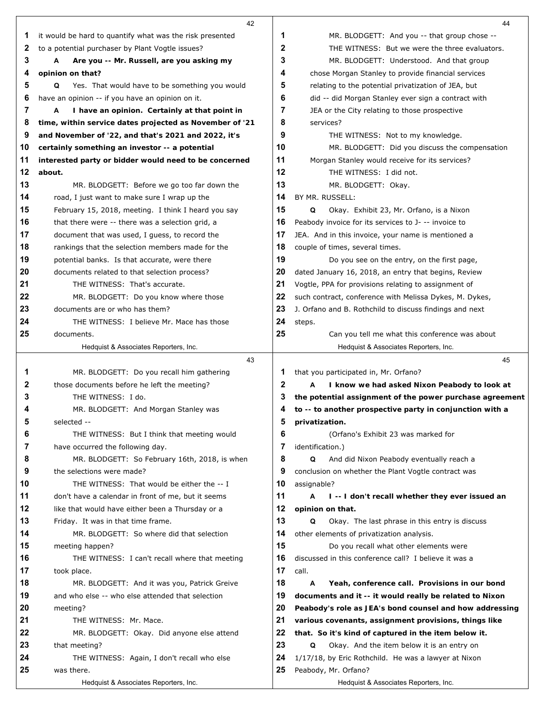|    | 42                                                       |              | 44                                                            |
|----|----------------------------------------------------------|--------------|---------------------------------------------------------------|
| 1  | it would be hard to quantify what was the risk presented | 1            | MR. BLODGETT: And you -- that group chose --                  |
| 2  | to a potential purchaser by Plant Vogtle issues?         | 2            | THE WITNESS: But we were the three evaluators.                |
| 3  | A<br>Are you -- Mr. Russell, are you asking my           | 3            | MR. BLODGETT: Understood. And that group                      |
| 4  | opinion on that?                                         | 4            | chose Morgan Stanley to provide financial services            |
| 5  | Yes. That would have to be something you would<br>Q      | 5            | relating to the potential privatization of JEA, but           |
| 6  | have an opinion -- if you have an opinion on it.         | 6            | did -- did Morgan Stanley ever sign a contract with           |
| 7  | I have an opinion. Certainly at that point in<br>A       | 7            | JEA or the City relating to those prospective                 |
| 8  | time, within service dates projected as November of '21  | 8            | services?                                                     |
| 9  | and November of '22, and that's 2021 and 2022, it's      | 9            | THE WITNESS: Not to my knowledge.                             |
| 10 | certainly something an investor -- a potential           | 10           | MR. BLODGETT: Did you discuss the compensation                |
| 11 | interested party or bidder would need to be concerned    | 11           | Morgan Stanley would receive for its services?                |
| 12 | about.                                                   | 12           | THE WITNESS: I did not.                                       |
| 13 | MR. BLODGETT: Before we go too far down the              | 13           | MR. BLODGETT: Okay.                                           |
| 14 | road, I just want to make sure I wrap up the             | 14           | BY MR. RUSSELL:                                               |
| 15 | February 15, 2018, meeting. I think I heard you say      | 15           | Q<br>Okay. Exhibit 23, Mr. Orfano, is a Nixon                 |
| 16 | that there were -- there was a selection grid, a         | 16           | Peabody invoice for its services to J- -- invoice to          |
| 17 | document that was used, I guess, to record the           | 17           | JEA. And in this invoice, your name is mentioned a            |
| 18 | rankings that the selection members made for the         | 18           | couple of times, several times.                               |
| 19 | potential banks. Is that accurate, were there            | 19           | Do you see on the entry, on the first page,                   |
| 20 | documents related to that selection process?             | 20           | dated January 16, 2018, an entry that begins, Review          |
| 21 | THE WITNESS: That's accurate.                            | 21           | Vogtle, PPA for provisions relating to assignment of          |
| 22 | MR. BLODGETT: Do you know where those                    | 22           | such contract, conference with Melissa Dykes, M. Dykes,       |
| 23 | documents are or who has them?                           | 23           | J. Orfano and B. Rothchild to discuss findings and next       |
| 24 | THE WITNESS: I believe Mr. Mace has those                | 24           | steps.                                                        |
| 25 | documents.                                               | 25           | Can you tell me what this conference was about                |
|    | Hedquist & Associates Reporters, Inc.                    |              | Hedquist & Associates Reporters, Inc.                         |
|    | 43                                                       |              | 45                                                            |
| 1  | MR. BLODGETT: Do you recall him gathering                | 1            | that you participated in, Mr. Orfano?                         |
| 2  | those documents before he left the meeting?              | $\mathbf{2}$ | I know we had asked Nixon Peabody to look at<br>A             |
| 3  | THE WITNESS: I do.                                       | 3            | the potential assignment of the power purchase agreement      |
| 4  | MR. BLODGETT: And Morgan Stanley was                     | 4            | to -- to another prospective party in conjunction with a      |
| 5  | selected --                                              | 5            | privatization.                                                |
| 6  | THE WITNESS: But I think that meeting would              | 6            | (Orfano's Exhibit 23 was marked for                           |
| 7  | have occurred the following day.                         | 7            | identification.)                                              |
| 8  | MR. BLODGETT: So February 16th, 2018, is when            | 8            | Q<br>And did Nixon Peabody eventually reach a                 |
| 9  | the selections were made?                                | 9            | conclusion on whether the Plant Vogtle contract was           |
| 10 | THE WITNESS: That would be either the -- I               | 10           | assignable?                                                   |
| 11 | don't have a calendar in front of me, but it seems       | 11           | A<br>I -- I don't recall whether they ever issued an          |
| 12 | like that would have either been a Thursday or a         | 12           | opinion on that.                                              |
| 13 | Friday. It was in that time frame.                       | 13           | Q<br>Okay. The last phrase in this entry is discuss           |
| 14 | MR. BLODGETT: So where did that selection                | 14           | other elements of privatization analysis.                     |
| 15 | meeting happen?                                          | 15           | Do you recall what other elements were                        |
| 16 | THE WITNESS: I can't recall where that meeting           | 16           | discussed in this conference call? I believe it was a         |
| 17 | took place.                                              | 17           | call.                                                         |
| 18 | MR. BLODGETT: And it was you, Patrick Greive             | 18           | A<br>Yeah, conference call. Provisions in our bond            |
| 19 | and who else -- who else attended that selection         | 19           | documents and it -- it would really be related to Nixon       |
| 20 | meeting?                                                 | 20           | Peabody's role as JEA's bond counsel and how addressing       |
| 21 | THE WITNESS: Mr. Mace.                                   | 21           | various covenants, assignment provisions, things like         |
| 22 |                                                          | 22           | that. So it's kind of captured in the item below it.          |
|    | MR. BLODGETT: Okay. Did anyone else attend               |              |                                                               |
| 23 | that meeting?                                            | 23           | Q<br>Okay. And the item below it is an entry on               |
| 24 | THE WITNESS: Again, I don't recall who else              | 24           | 1/17/18, by Eric Rothchild. He was a lawyer at Nixon          |
| 25 | was there.<br>Hedquist & Associates Reporters, Inc.      | 25           | Peabody, Mr. Orfano?<br>Hedquist & Associates Reporters, Inc. |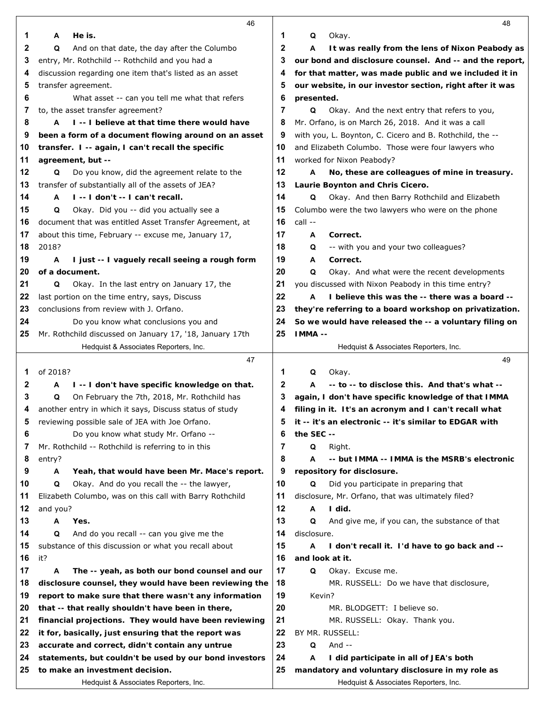|          | 46                                                                                                        |          | 48                                                       |
|----------|-----------------------------------------------------------------------------------------------------------|----------|----------------------------------------------------------|
| 1        | He is.<br>A                                                                                               | 1        | Okay.<br>Q                                               |
| 2        | And on that date, the day after the Columbo<br>Q                                                          | 2        | A<br>It was really from the lens of Nixon Peabody as     |
| 3        | entry, Mr. Rothchild -- Rothchild and you had a                                                           | 3        | our bond and disclosure counsel. And -- and the report,  |
| 4        | discussion regarding one item that's listed as an asset                                                   | 4        | for that matter, was made public and we included it in   |
| 5        | transfer agreement.                                                                                       | 5        | our website, in our investor section, right after it was |
| 6        | What asset -- can you tell me what that refers                                                            | 6        | presented.                                               |
| 7        | to, the asset transfer agreement?                                                                         | 7        | Okay. And the next entry that refers to you,<br>Q        |
| 8        | I--I believe at that time there would have<br>A                                                           | 8        | Mr. Orfano, is on March 26, 2018. And it was a call      |
| 9        | been a form of a document flowing around on an asset                                                      | 9        | with you, L. Boynton, C. Cicero and B. Rothchild, the -- |
| 10       | transfer. I -- again, I can't recall the specific                                                         | 10       | and Elizabeth Columbo. Those were four lawyers who       |
| 11       | agreement, but --                                                                                         | 11       | worked for Nixon Peabody?                                |
| 12       | Do you know, did the agreement relate to the<br>Q                                                         | 12       | А<br>No, these are colleagues of mine in treasury.       |
| 13       | transfer of substantially all of the assets of JEA?                                                       | 13       | Laurie Boynton and Chris Cicero.                         |
| 14       | I -- I don't -- I can't recall.<br>A                                                                      | 14       | Okay. And then Barry Rothchild and Elizabeth<br>Q        |
| 15       | Okay. Did you -- did you actually see a<br>Q                                                              | 15       | Columbo were the two lawyers who were on the phone       |
| 16       | document that was entitled Asset Transfer Agreement, at                                                   | 16       | call --                                                  |
| 17       | about this time, February -- excuse me, January 17,                                                       | 17       | Correct.<br>A                                            |
| 18       | 2018?                                                                                                     | 18       | -- with you and your two colleagues?<br>Q                |
| 19       | I just -- I vaguely recall seeing a rough form<br>A                                                       | 19       | Correct.<br>Α                                            |
| 20       | of a document.                                                                                            | 20       | Q<br>Okay. And what were the recent developments         |
| 21       | Okay. In the last entry on January 17, the<br>Q                                                           | 21       | you discussed with Nixon Peabody in this time entry?     |
| 22       | last portion on the time entry, says, Discuss                                                             | 22       | I believe this was the -- there was a board --<br>A      |
| 23       | conclusions from review with J. Orfano.                                                                   | 23       | they're referring to a board workshop on privatization.  |
| 24       | Do you know what conclusions you and                                                                      | 24       | So we would have released the -- a voluntary filing on   |
| 25       | Mr. Rothchild discussed on January 17, '18, January 17th                                                  | 25       | IMMA --                                                  |
|          | Hedquist & Associates Reporters, Inc.                                                                     |          | Hedquist & Associates Reporters, Inc.                    |
|          | 47                                                                                                        |          | 49                                                       |
| 1        | of 2018?                                                                                                  | 1        | Q<br>Okay.                                               |
| 2        | I -- I don't have specific knowledge on that.<br>A                                                        | 2        | -- to -- to disclose this. And that's what --<br>A       |
| 3        | On February the 7th, 2018, Mr. Rothchild has<br>Q                                                         | 3        | again, I don't have specific knowledge of that IMMA      |
| 4        | another entry in which it says, Discuss status of study                                                   | 4        | filing in it. It's an acronym and I can't recall what    |
| 5        | reviewing possible sale of JEA with Joe Orfano.                                                           | 5        | it -- it's an electronic -- it's similar to EDGAR with   |
| 6        | Do you know what study Mr. Orfano --                                                                      | 6        | the SEC --                                               |
| 7        | Mr. Rothchild -- Rothchild is referring to in this                                                        | 7        | Q<br>Right.                                              |
| 8        | entry?                                                                                                    | 8        | A<br>-- but IMMA -- IMMA is the MSRB's electronic        |
| 9        | Yeah, that would have been Mr. Mace's report.<br>A                                                        | 9        | repository for disclosure.                               |
| 10       | Okay. And do you recall the -- the lawyer,<br>Q                                                           | 10       | Did you participate in preparing that<br>Q               |
| 11       | Elizabeth Columbo, was on this call with Barry Rothchild                                                  | 11       | disclosure, Mr. Orfano, that was ultimately filed?       |
| 12       | and you?                                                                                                  | 12       | I did.<br>А                                              |
| 13       | Yes.<br>Α                                                                                                 | 13       | And give me, if you can, the substance of that<br>Q      |
| 14       | And do you recall -- can you give me the<br>Q                                                             | 14       | disclosure.                                              |
| 15       | substance of this discussion or what you recall about                                                     | 15       | A<br>I don't recall it. I'd have to go back and --       |
| 16       | it?                                                                                                       | 16       | and look at it.                                          |
| 17       | The -- yeah, as both our bond counsel and our<br>A                                                        | 17       | Q<br>Okay. Excuse me.                                    |
| 18       | disclosure counsel, they would have been reviewing the                                                    | 18       | MR. RUSSELL: Do we have that disclosure,                 |
| 19       | report to make sure that there wasn't any information                                                     | 19       | Kevin?                                                   |
| 20       | that -- that really shouldn't have been in there,                                                         | 20       | MR. BLODGETT: I believe so.                              |
| 21       | financial projections. They would have been reviewing                                                     | 21<br>22 | MR. RUSSELL: Okay. Thank you.                            |
| 22<br>23 | it for, basically, just ensuring that the report was                                                      | 23       | BY MR. RUSSELL:<br>And $-$<br>Q                          |
| 24       | accurate and correct, didn't contain any untrue<br>statements, but couldn't be used by our bond investors | 24       | I did participate in all of JEA's both<br>A              |
| 25       | to make an investment decision.                                                                           | 25       | mandatory and voluntary disclosure in my role as         |
|          | Hedquist & Associates Reporters, Inc.                                                                     |          | Hedquist & Associates Reporters, Inc.                    |
|          |                                                                                                           |          |                                                          |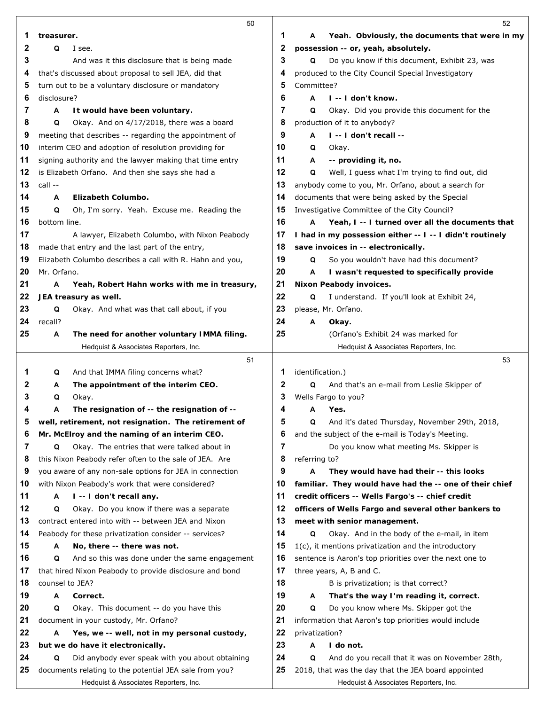|          | 50                                                                               |          | 52                                                                                             |
|----------|----------------------------------------------------------------------------------|----------|------------------------------------------------------------------------------------------------|
| 1        | treasurer.                                                                       | 1        | Yeah. Obviously, the documents that were in my<br>A                                            |
| 2        | Q<br>I see.                                                                      | 2        | possession -- or, yeah, absolutely.                                                            |
| 3        | And was it this disclosure that is being made                                    | 3        | Do you know if this document, Exhibit 23, was<br>Q                                             |
| 4        | that's discussed about proposal to sell JEA, did that                            | 4        | produced to the City Council Special Investigatory                                             |
| 5        | turn out to be a voluntary disclosure or mandatory                               | 5        | Committee?                                                                                     |
| 6        | disclosure?                                                                      | 6        | I -- I don't know.<br>A                                                                        |
| 7        | It would have been voluntary.<br>A                                               | 7        | Okay. Did you provide this document for the<br>Q                                               |
| 8        | Okay. And on 4/17/2018, there was a board<br>Q                                   | 8        | production of it to anybody?                                                                   |
| 9        | meeting that describes -- regarding the appointment of                           | 9        | I -- I don't recall --<br>A                                                                    |
| 10       | interim CEO and adoption of resolution providing for                             | 10       | Q<br>Okay.                                                                                     |
| 11       | signing authority and the lawyer making that time entry                          | 11       | A<br>-- providing it, no.                                                                      |
| 12       | is Elizabeth Orfano. And then she says she had a                                 | 12       | Well, I guess what I'm trying to find out, did<br>Q                                            |
| 13       | call --                                                                          | 13       | anybody come to you, Mr. Orfano, about a search for                                            |
| 14       | Elizabeth Columbo.<br>А                                                          | 14       | documents that were being asked by the Special                                                 |
| 15       | Q<br>Oh, I'm sorry. Yeah. Excuse me. Reading the                                 | 15       | Investigative Committee of the City Council?                                                   |
| 16       | bottom line.                                                                     | 16       | Yeah, I -- I turned over all the documents that<br>A                                           |
| 17       | A lawyer, Elizabeth Columbo, with Nixon Peabody                                  | 17       | I had in my possession either -- I -- I didn't routinely                                       |
| 18       | made that entry and the last part of the entry,                                  | 18       | save invoices in -- electronically.                                                            |
| 19       | Elizabeth Columbo describes a call with R. Hahn and you,                         | 19       | So you wouldn't have had this document?<br>Q                                                   |
| 20       | Mr. Orfano.                                                                      | 20       | A<br>I wasn't requested to specifically provide                                                |
| 21       | А<br>Yeah, Robert Hahn works with me in treasury,                                | 21       | Nixon Peabody invoices.                                                                        |
| 22       | JEA treasury as well.                                                            | 22       | Q<br>I understand. If you'll look at Exhibit 24,                                               |
| 23       | Okay. And what was that call about, if you<br>Q                                  | 23       | please, Mr. Orfano.                                                                            |
| 24       | recall?                                                                          | 24       | A<br>Okay.                                                                                     |
| 25       | The need for another voluntary IMMA filing.<br>А                                 | 25       | (Orfano's Exhibit 24 was marked for                                                            |
|          | Hedquist & Associates Reporters, Inc.                                            |          | Hedquist & Associates Reporters, Inc.                                                          |
|          | 51                                                                               |          | 53                                                                                             |
| 1        | And that IMMA filing concerns what?<br>Q                                         | 1        | identification.)                                                                               |
| 2        | The appointment of the interim CEO.<br>A                                         | 2        | Q<br>And that's an e-mail from Leslie Skipper of                                               |
|          |                                                                                  |          |                                                                                                |
| 3        | Okay.<br>Q                                                                       | 3        | Wells Fargo to you?                                                                            |
|          | The resignation of -- the resignation of --<br>A                                 | 4        | А<br>Yes.                                                                                      |
| 5        | well, retirement, not resignation. The retirement of                             | 5        | And it's dated Thursday, November 29th, 2018,<br>Q                                             |
| 6        | Mr. McElroy and the naming of an interim CEO.                                    | 6        | and the subject of the e-mail is Today's Meeting.                                              |
| 7        | Okay. The entries that were talked about in<br>Q                                 | 7        | Do you know what meeting Ms. Skipper is                                                        |
| 8        | this Nixon Peabody refer often to the sale of JEA. Are                           | 8        | referring to?                                                                                  |
| 9        | you aware of any non-sale options for JEA in connection                          | 9        | A<br>They would have had their -- this looks                                                   |
| 10       | with Nixon Peabody's work that were considered?                                  | 10       | familiar. They would have had the -- one of their chief                                        |
| 11       | I -- I don't recall any.<br>А                                                    | 11       | credit officers -- Wells Fargo's -- chief credit                                               |
| 12       | Okay. Do you know if there was a separate<br>Q                                   | 12       | officers of Wells Fargo and several other bankers to                                           |
| 13       | contract entered into with -- between JEA and Nixon                              | 13       | meet with senior management.                                                                   |
| 14       | Peabody for these privatization consider -- services?                            | 14       | Okay. And in the body of the e-mail, in item<br>Q                                              |
| 15       | No, there -- there was not.<br>А                                                 | 15       | $1(c)$ , it mentions privatization and the introductory                                        |
| 16       | And so this was done under the same engagement<br>Q                              | 16<br>17 | sentence is Aaron's top priorities over the next one to                                        |
| 17       | that hired Nixon Peabody to provide disclosure and bond                          |          | three years, A, B and C.                                                                       |
| 18<br>19 | counsel to JEA?<br>Correct.<br>A                                                 | 18<br>19 | B is privatization; is that correct?<br>A                                                      |
| 20       | Q                                                                                | 20       | That's the way I'm reading it, correct.<br>Q                                                   |
| 21       | Okay. This document -- do you have this<br>document in your custody, Mr. Orfano? | 21       | Do you know where Ms. Skipper got the<br>information that Aaron's top priorities would include |
| 22       | Yes, we -- well, not in my personal custody,<br>А                                | 22       | privatization?                                                                                 |
| 23       | but we do have it electronically.                                                | 23       | I do not.<br>Α                                                                                 |
| 24       | Did anybody ever speak with you about obtaining<br>Q                             | 24       | Q<br>And do you recall that it was on November 28th,                                           |
| 25       | documents relating to the potential JEA sale from you?                           | 25       | 2018, that was the day that the JEA board appointed                                            |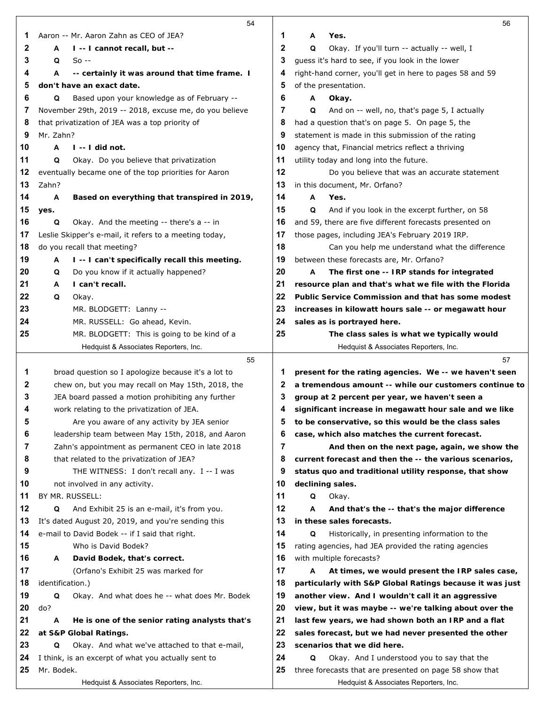| Aaron -- Mr. Aaron Zahn as CEO of JEA?<br>1<br>A<br>1<br>Yes.<br>2<br>2<br>I -- I cannot recall, but --<br>Q<br>Okay. If you'll turn -- actually -- well, I<br>А<br>3<br>guess it's hard to see, if you look in the lower<br>3<br>$So -$<br>Q<br>right-hand corner, you'll get in here to pages 58 and 59<br>A<br>-- certainly it was around that time frame. I<br>4<br>4<br>5<br>5<br>of the presentation.<br>don't have an exact date.<br>6<br>6<br>Based upon your knowledge as of February --<br>Q<br>Α<br>Okay.<br>7<br>7<br>November 29th, 2019 -- 2018, excuse me, do you believe<br>Q<br>And on -- well, no, that's page 5, I actually<br>8<br>had a question that's on page 5. On page 5, the<br>that privatization of JEA was a top priority of<br>8<br>9<br>Mr. Zahn?<br>9<br>statement is made in this submission of the rating<br>10<br>A<br>$l - l$ did not.<br>10<br>agency that, Financial metrics reflect a thriving<br>11<br>Q<br>Okay. Do you believe that privatization<br>11<br>utility today and long into the future.<br>12<br>12<br>eventually became one of the top priorities for Aaron<br>Do you believe that was an accurate statement<br>13<br>Zahn?<br>13<br>in this document, Mr. Orfano?<br>14<br>14<br>A<br>Based on everything that transpired in 2019,<br>A<br>Yes.<br>15<br>15<br>Q<br>And if you look in the excerpt further, on 58<br>yes.<br>16<br>Okay. And the meeting -- there's a -- in<br>16<br>and 59, there are five different forecasts presented on<br>Q<br>17<br>Leslie Skipper's e-mail, it refers to a meeting today,<br>17<br>those pages, including JEA's February 2019 IRP.<br>18<br>18<br>do you recall that meeting?<br>Can you help me understand what the difference<br>19<br>between these forecasts are, Mr. Orfano?<br>I -- I can't specifically recall this meeting.<br>19<br>A<br>Do you know if it actually happened?<br>20<br>20<br>The first one -- IRP stands for integrated<br>Q<br>A<br>21<br>21<br>I can't recall.<br>resource plan and that's what we file with the Florida<br>A<br>22<br>22<br>Q<br>Public Service Commission and that has some modest<br>Okay.<br>23<br>23<br>MR. BLODGETT: Lanny --<br>increases in kilowatt hours sale -- or megawatt hour<br>24<br>24<br>MR. RUSSELL: Go ahead, Kevin.<br>sales as is portrayed here.<br>25<br>25<br>MR. BLODGETT: This is going to be kind of a<br>The class sales is what we typically would<br>Hedquist & Associates Reporters, Inc.<br>Hedquist & Associates Reporters, Inc.<br>57<br>55<br>1<br>broad question so I apologize because it's a lot to<br>present for the rating agencies. We -- we haven't seen<br>1<br>2<br>chew on, but you may recall on May 15th, 2018, the<br>2<br>a tremendous amount -- while our customers continue to<br>3<br>JEA board passed a motion prohibiting any further<br>group at 2 percent per year, we haven't seen a<br>З<br>work relating to the privatization of JEA.<br>significant increase in megawatt hour sale and we like<br>4<br>4<br>to be conservative, so this would be the class sales<br>Are you aware of any activity by JEA senior<br>5<br>Ð<br>leadership team between May 15th, 2018, and Aaron<br>6<br>6<br>case, which also matches the current forecast.<br>7<br>7<br>Zahn's appointment as permanent CEO in late 2018<br>And then on the next page, again, we show the<br>8<br>8<br>that related to the privatization of JEA?<br>current forecast and then the -- the various scenarios,<br>9<br>THE WITNESS: I don't recall any. I -- I was<br>9<br>status quo and traditional utility response, that show<br>10<br>10<br>not involved in any activity.<br>declining sales.<br>11<br>11<br>BY MR. RUSSELL:<br>Q<br>Okay.<br>12<br>12<br>And Exhibit 25 is an e-mail, it's from you.<br>Q<br>A<br>And that's the -- that's the major difference<br>13<br>It's dated August 20, 2019, and you're sending this<br>13<br>in these sales forecasts.<br>e-mail to David Bodek -- if I said that right.<br>14<br>14<br>Historically, in presenting information to the<br>Q<br>15<br>15<br>Who is David Bodek?<br>rating agencies, had JEA provided the rating agencies<br>16<br>16<br>with multiple forecasts?<br>David Bodek, that's correct.<br>A<br>17<br>17<br>(Orfano's Exhibit 25 was marked for<br>At times, we would present the IRP sales case,<br>A<br>18<br>18<br>identification.)<br>particularly with S&P Global Ratings because it was just<br>19<br>19<br>Okay. And what does he -- what does Mr. Bodek<br>Q<br>another view. And I wouldn't call it an aggressive<br>do?<br>20<br>20<br>view, but it was maybe -- we're talking about over the<br>21<br>21<br>A<br>He is one of the senior rating analysts that's<br>last few years, we had shown both an IRP and a flat<br>22<br>22<br>at S&P Global Ratings.<br>sales forecast, but we had never presented the other<br>23<br>23<br>Okay. And what we've attached to that e-mail,<br>scenarios that we did here.<br>Q<br>24<br>24<br>I think, is an excerpt of what you actually sent to<br>Q<br>Okay. And I understood you to say that the<br>Mr. Bodek.<br>25<br>three forecasts that are presented on page 58 show that<br>25<br>Hedquist & Associates Reporters, Inc.<br>Hedquist & Associates Reporters, Inc. | 54 | 56 |
|---------------------------------------------------------------------------------------------------------------------------------------------------------------------------------------------------------------------------------------------------------------------------------------------------------------------------------------------------------------------------------------------------------------------------------------------------------------------------------------------------------------------------------------------------------------------------------------------------------------------------------------------------------------------------------------------------------------------------------------------------------------------------------------------------------------------------------------------------------------------------------------------------------------------------------------------------------------------------------------------------------------------------------------------------------------------------------------------------------------------------------------------------------------------------------------------------------------------------------------------------------------------------------------------------------------------------------------------------------------------------------------------------------------------------------------------------------------------------------------------------------------------------------------------------------------------------------------------------------------------------------------------------------------------------------------------------------------------------------------------------------------------------------------------------------------------------------------------------------------------------------------------------------------------------------------------------------------------------------------------------------------------------------------------------------------------------------------------------------------------------------------------------------------------------------------------------------------------------------------------------------------------------------------------------------------------------------------------------------------------------------------------------------------------------------------------------------------------------------------------------------------------------------------------------------------------------------------------------------------------------------------------------------------------------------------------------------------------------------------------------------------------------------------------------------------------------------------------------------------------------------------------------------------------------------------------------------------------------------------------------------------------------------------------------------------------------------------------------------------------------------------------------------------------------------------------------------------------------------------------------------------------------------------------------------------------------------------------------------------------------------------------------------------------------------------------------------------------------------------------------------------------------------------------------------------------------------------------------------------------------------------------------------------------------------------------------------------------------------------------------------------------------------------------------------------------------------------------------------------------------------------------------------------------------------------------------------------------------------------------------------------------------------------------------------------------------------------------------------------------------------------------------------------------------------------------------------------------------------------------------------------------------------------------------------------------------------------------------------------------------------------------------------------------------------------------------------------------------------------------------------------------------------------------------------------------------------------------------------------------------------------------------------------------------------------------------------------------------------------------------------------------------------------------------------------------------------------------------------------------------------------------------------------------------------------------------------------------------------------------------------------------------------------------------------------------------------------------------------------------------------------------------------------------------------------------------------------------------------------------------------------------------|----|----|
|                                                                                                                                                                                                                                                                                                                                                                                                                                                                                                                                                                                                                                                                                                                                                                                                                                                                                                                                                                                                                                                                                                                                                                                                                                                                                                                                                                                                                                                                                                                                                                                                                                                                                                                                                                                                                                                                                                                                                                                                                                                                                                                                                                                                                                                                                                                                                                                                                                                                                                                                                                                                                                                                                                                                                                                                                                                                                                                                                                                                                                                                                                                                                                                                                                                                                                                                                                                                                                                                                                                                                                                                                                                                                                                                                                                                                                                                                                                                                                                                                                                                                                                                                                                                                                                                                                                                                                                                                                                                                                                                                                                                                                                                                                                                                                                                                                                                                                                                                                                                                                                                                                                                                                                                                                                                           |    |    |
|                                                                                                                                                                                                                                                                                                                                                                                                                                                                                                                                                                                                                                                                                                                                                                                                                                                                                                                                                                                                                                                                                                                                                                                                                                                                                                                                                                                                                                                                                                                                                                                                                                                                                                                                                                                                                                                                                                                                                                                                                                                                                                                                                                                                                                                                                                                                                                                                                                                                                                                                                                                                                                                                                                                                                                                                                                                                                                                                                                                                                                                                                                                                                                                                                                                                                                                                                                                                                                                                                                                                                                                                                                                                                                                                                                                                                                                                                                                                                                                                                                                                                                                                                                                                                                                                                                                                                                                                                                                                                                                                                                                                                                                                                                                                                                                                                                                                                                                                                                                                                                                                                                                                                                                                                                                                           |    |    |
|                                                                                                                                                                                                                                                                                                                                                                                                                                                                                                                                                                                                                                                                                                                                                                                                                                                                                                                                                                                                                                                                                                                                                                                                                                                                                                                                                                                                                                                                                                                                                                                                                                                                                                                                                                                                                                                                                                                                                                                                                                                                                                                                                                                                                                                                                                                                                                                                                                                                                                                                                                                                                                                                                                                                                                                                                                                                                                                                                                                                                                                                                                                                                                                                                                                                                                                                                                                                                                                                                                                                                                                                                                                                                                                                                                                                                                                                                                                                                                                                                                                                                                                                                                                                                                                                                                                                                                                                                                                                                                                                                                                                                                                                                                                                                                                                                                                                                                                                                                                                                                                                                                                                                                                                                                                                           |    |    |
|                                                                                                                                                                                                                                                                                                                                                                                                                                                                                                                                                                                                                                                                                                                                                                                                                                                                                                                                                                                                                                                                                                                                                                                                                                                                                                                                                                                                                                                                                                                                                                                                                                                                                                                                                                                                                                                                                                                                                                                                                                                                                                                                                                                                                                                                                                                                                                                                                                                                                                                                                                                                                                                                                                                                                                                                                                                                                                                                                                                                                                                                                                                                                                                                                                                                                                                                                                                                                                                                                                                                                                                                                                                                                                                                                                                                                                                                                                                                                                                                                                                                                                                                                                                                                                                                                                                                                                                                                                                                                                                                                                                                                                                                                                                                                                                                                                                                                                                                                                                                                                                                                                                                                                                                                                                                           |    |    |
|                                                                                                                                                                                                                                                                                                                                                                                                                                                                                                                                                                                                                                                                                                                                                                                                                                                                                                                                                                                                                                                                                                                                                                                                                                                                                                                                                                                                                                                                                                                                                                                                                                                                                                                                                                                                                                                                                                                                                                                                                                                                                                                                                                                                                                                                                                                                                                                                                                                                                                                                                                                                                                                                                                                                                                                                                                                                                                                                                                                                                                                                                                                                                                                                                                                                                                                                                                                                                                                                                                                                                                                                                                                                                                                                                                                                                                                                                                                                                                                                                                                                                                                                                                                                                                                                                                                                                                                                                                                                                                                                                                                                                                                                                                                                                                                                                                                                                                                                                                                                                                                                                                                                                                                                                                                                           |    |    |
|                                                                                                                                                                                                                                                                                                                                                                                                                                                                                                                                                                                                                                                                                                                                                                                                                                                                                                                                                                                                                                                                                                                                                                                                                                                                                                                                                                                                                                                                                                                                                                                                                                                                                                                                                                                                                                                                                                                                                                                                                                                                                                                                                                                                                                                                                                                                                                                                                                                                                                                                                                                                                                                                                                                                                                                                                                                                                                                                                                                                                                                                                                                                                                                                                                                                                                                                                                                                                                                                                                                                                                                                                                                                                                                                                                                                                                                                                                                                                                                                                                                                                                                                                                                                                                                                                                                                                                                                                                                                                                                                                                                                                                                                                                                                                                                                                                                                                                                                                                                                                                                                                                                                                                                                                                                                           |    |    |
|                                                                                                                                                                                                                                                                                                                                                                                                                                                                                                                                                                                                                                                                                                                                                                                                                                                                                                                                                                                                                                                                                                                                                                                                                                                                                                                                                                                                                                                                                                                                                                                                                                                                                                                                                                                                                                                                                                                                                                                                                                                                                                                                                                                                                                                                                                                                                                                                                                                                                                                                                                                                                                                                                                                                                                                                                                                                                                                                                                                                                                                                                                                                                                                                                                                                                                                                                                                                                                                                                                                                                                                                                                                                                                                                                                                                                                                                                                                                                                                                                                                                                                                                                                                                                                                                                                                                                                                                                                                                                                                                                                                                                                                                                                                                                                                                                                                                                                                                                                                                                                                                                                                                                                                                                                                                           |    |    |
|                                                                                                                                                                                                                                                                                                                                                                                                                                                                                                                                                                                                                                                                                                                                                                                                                                                                                                                                                                                                                                                                                                                                                                                                                                                                                                                                                                                                                                                                                                                                                                                                                                                                                                                                                                                                                                                                                                                                                                                                                                                                                                                                                                                                                                                                                                                                                                                                                                                                                                                                                                                                                                                                                                                                                                                                                                                                                                                                                                                                                                                                                                                                                                                                                                                                                                                                                                                                                                                                                                                                                                                                                                                                                                                                                                                                                                                                                                                                                                                                                                                                                                                                                                                                                                                                                                                                                                                                                                                                                                                                                                                                                                                                                                                                                                                                                                                                                                                                                                                                                                                                                                                                                                                                                                                                           |    |    |
|                                                                                                                                                                                                                                                                                                                                                                                                                                                                                                                                                                                                                                                                                                                                                                                                                                                                                                                                                                                                                                                                                                                                                                                                                                                                                                                                                                                                                                                                                                                                                                                                                                                                                                                                                                                                                                                                                                                                                                                                                                                                                                                                                                                                                                                                                                                                                                                                                                                                                                                                                                                                                                                                                                                                                                                                                                                                                                                                                                                                                                                                                                                                                                                                                                                                                                                                                                                                                                                                                                                                                                                                                                                                                                                                                                                                                                                                                                                                                                                                                                                                                                                                                                                                                                                                                                                                                                                                                                                                                                                                                                                                                                                                                                                                                                                                                                                                                                                                                                                                                                                                                                                                                                                                                                                                           |    |    |
|                                                                                                                                                                                                                                                                                                                                                                                                                                                                                                                                                                                                                                                                                                                                                                                                                                                                                                                                                                                                                                                                                                                                                                                                                                                                                                                                                                                                                                                                                                                                                                                                                                                                                                                                                                                                                                                                                                                                                                                                                                                                                                                                                                                                                                                                                                                                                                                                                                                                                                                                                                                                                                                                                                                                                                                                                                                                                                                                                                                                                                                                                                                                                                                                                                                                                                                                                                                                                                                                                                                                                                                                                                                                                                                                                                                                                                                                                                                                                                                                                                                                                                                                                                                                                                                                                                                                                                                                                                                                                                                                                                                                                                                                                                                                                                                                                                                                                                                                                                                                                                                                                                                                                                                                                                                                           |    |    |
|                                                                                                                                                                                                                                                                                                                                                                                                                                                                                                                                                                                                                                                                                                                                                                                                                                                                                                                                                                                                                                                                                                                                                                                                                                                                                                                                                                                                                                                                                                                                                                                                                                                                                                                                                                                                                                                                                                                                                                                                                                                                                                                                                                                                                                                                                                                                                                                                                                                                                                                                                                                                                                                                                                                                                                                                                                                                                                                                                                                                                                                                                                                                                                                                                                                                                                                                                                                                                                                                                                                                                                                                                                                                                                                                                                                                                                                                                                                                                                                                                                                                                                                                                                                                                                                                                                                                                                                                                                                                                                                                                                                                                                                                                                                                                                                                                                                                                                                                                                                                                                                                                                                                                                                                                                                                           |    |    |
|                                                                                                                                                                                                                                                                                                                                                                                                                                                                                                                                                                                                                                                                                                                                                                                                                                                                                                                                                                                                                                                                                                                                                                                                                                                                                                                                                                                                                                                                                                                                                                                                                                                                                                                                                                                                                                                                                                                                                                                                                                                                                                                                                                                                                                                                                                                                                                                                                                                                                                                                                                                                                                                                                                                                                                                                                                                                                                                                                                                                                                                                                                                                                                                                                                                                                                                                                                                                                                                                                                                                                                                                                                                                                                                                                                                                                                                                                                                                                                                                                                                                                                                                                                                                                                                                                                                                                                                                                                                                                                                                                                                                                                                                                                                                                                                                                                                                                                                                                                                                                                                                                                                                                                                                                                                                           |    |    |
|                                                                                                                                                                                                                                                                                                                                                                                                                                                                                                                                                                                                                                                                                                                                                                                                                                                                                                                                                                                                                                                                                                                                                                                                                                                                                                                                                                                                                                                                                                                                                                                                                                                                                                                                                                                                                                                                                                                                                                                                                                                                                                                                                                                                                                                                                                                                                                                                                                                                                                                                                                                                                                                                                                                                                                                                                                                                                                                                                                                                                                                                                                                                                                                                                                                                                                                                                                                                                                                                                                                                                                                                                                                                                                                                                                                                                                                                                                                                                                                                                                                                                                                                                                                                                                                                                                                                                                                                                                                                                                                                                                                                                                                                                                                                                                                                                                                                                                                                                                                                                                                                                                                                                                                                                                                                           |    |    |
|                                                                                                                                                                                                                                                                                                                                                                                                                                                                                                                                                                                                                                                                                                                                                                                                                                                                                                                                                                                                                                                                                                                                                                                                                                                                                                                                                                                                                                                                                                                                                                                                                                                                                                                                                                                                                                                                                                                                                                                                                                                                                                                                                                                                                                                                                                                                                                                                                                                                                                                                                                                                                                                                                                                                                                                                                                                                                                                                                                                                                                                                                                                                                                                                                                                                                                                                                                                                                                                                                                                                                                                                                                                                                                                                                                                                                                                                                                                                                                                                                                                                                                                                                                                                                                                                                                                                                                                                                                                                                                                                                                                                                                                                                                                                                                                                                                                                                                                                                                                                                                                                                                                                                                                                                                                                           |    |    |
|                                                                                                                                                                                                                                                                                                                                                                                                                                                                                                                                                                                                                                                                                                                                                                                                                                                                                                                                                                                                                                                                                                                                                                                                                                                                                                                                                                                                                                                                                                                                                                                                                                                                                                                                                                                                                                                                                                                                                                                                                                                                                                                                                                                                                                                                                                                                                                                                                                                                                                                                                                                                                                                                                                                                                                                                                                                                                                                                                                                                                                                                                                                                                                                                                                                                                                                                                                                                                                                                                                                                                                                                                                                                                                                                                                                                                                                                                                                                                                                                                                                                                                                                                                                                                                                                                                                                                                                                                                                                                                                                                                                                                                                                                                                                                                                                                                                                                                                                                                                                                                                                                                                                                                                                                                                                           |    |    |
|                                                                                                                                                                                                                                                                                                                                                                                                                                                                                                                                                                                                                                                                                                                                                                                                                                                                                                                                                                                                                                                                                                                                                                                                                                                                                                                                                                                                                                                                                                                                                                                                                                                                                                                                                                                                                                                                                                                                                                                                                                                                                                                                                                                                                                                                                                                                                                                                                                                                                                                                                                                                                                                                                                                                                                                                                                                                                                                                                                                                                                                                                                                                                                                                                                                                                                                                                                                                                                                                                                                                                                                                                                                                                                                                                                                                                                                                                                                                                                                                                                                                                                                                                                                                                                                                                                                                                                                                                                                                                                                                                                                                                                                                                                                                                                                                                                                                                                                                                                                                                                                                                                                                                                                                                                                                           |    |    |
|                                                                                                                                                                                                                                                                                                                                                                                                                                                                                                                                                                                                                                                                                                                                                                                                                                                                                                                                                                                                                                                                                                                                                                                                                                                                                                                                                                                                                                                                                                                                                                                                                                                                                                                                                                                                                                                                                                                                                                                                                                                                                                                                                                                                                                                                                                                                                                                                                                                                                                                                                                                                                                                                                                                                                                                                                                                                                                                                                                                                                                                                                                                                                                                                                                                                                                                                                                                                                                                                                                                                                                                                                                                                                                                                                                                                                                                                                                                                                                                                                                                                                                                                                                                                                                                                                                                                                                                                                                                                                                                                                                                                                                                                                                                                                                                                                                                                                                                                                                                                                                                                                                                                                                                                                                                                           |    |    |
|                                                                                                                                                                                                                                                                                                                                                                                                                                                                                                                                                                                                                                                                                                                                                                                                                                                                                                                                                                                                                                                                                                                                                                                                                                                                                                                                                                                                                                                                                                                                                                                                                                                                                                                                                                                                                                                                                                                                                                                                                                                                                                                                                                                                                                                                                                                                                                                                                                                                                                                                                                                                                                                                                                                                                                                                                                                                                                                                                                                                                                                                                                                                                                                                                                                                                                                                                                                                                                                                                                                                                                                                                                                                                                                                                                                                                                                                                                                                                                                                                                                                                                                                                                                                                                                                                                                                                                                                                                                                                                                                                                                                                                                                                                                                                                                                                                                                                                                                                                                                                                                                                                                                                                                                                                                                           |    |    |
|                                                                                                                                                                                                                                                                                                                                                                                                                                                                                                                                                                                                                                                                                                                                                                                                                                                                                                                                                                                                                                                                                                                                                                                                                                                                                                                                                                                                                                                                                                                                                                                                                                                                                                                                                                                                                                                                                                                                                                                                                                                                                                                                                                                                                                                                                                                                                                                                                                                                                                                                                                                                                                                                                                                                                                                                                                                                                                                                                                                                                                                                                                                                                                                                                                                                                                                                                                                                                                                                                                                                                                                                                                                                                                                                                                                                                                                                                                                                                                                                                                                                                                                                                                                                                                                                                                                                                                                                                                                                                                                                                                                                                                                                                                                                                                                                                                                                                                                                                                                                                                                                                                                                                                                                                                                                           |    |    |
|                                                                                                                                                                                                                                                                                                                                                                                                                                                                                                                                                                                                                                                                                                                                                                                                                                                                                                                                                                                                                                                                                                                                                                                                                                                                                                                                                                                                                                                                                                                                                                                                                                                                                                                                                                                                                                                                                                                                                                                                                                                                                                                                                                                                                                                                                                                                                                                                                                                                                                                                                                                                                                                                                                                                                                                                                                                                                                                                                                                                                                                                                                                                                                                                                                                                                                                                                                                                                                                                                                                                                                                                                                                                                                                                                                                                                                                                                                                                                                                                                                                                                                                                                                                                                                                                                                                                                                                                                                                                                                                                                                                                                                                                                                                                                                                                                                                                                                                                                                                                                                                                                                                                                                                                                                                                           |    |    |
|                                                                                                                                                                                                                                                                                                                                                                                                                                                                                                                                                                                                                                                                                                                                                                                                                                                                                                                                                                                                                                                                                                                                                                                                                                                                                                                                                                                                                                                                                                                                                                                                                                                                                                                                                                                                                                                                                                                                                                                                                                                                                                                                                                                                                                                                                                                                                                                                                                                                                                                                                                                                                                                                                                                                                                                                                                                                                                                                                                                                                                                                                                                                                                                                                                                                                                                                                                                                                                                                                                                                                                                                                                                                                                                                                                                                                                                                                                                                                                                                                                                                                                                                                                                                                                                                                                                                                                                                                                                                                                                                                                                                                                                                                                                                                                                                                                                                                                                                                                                                                                                                                                                                                                                                                                                                           |    |    |
|                                                                                                                                                                                                                                                                                                                                                                                                                                                                                                                                                                                                                                                                                                                                                                                                                                                                                                                                                                                                                                                                                                                                                                                                                                                                                                                                                                                                                                                                                                                                                                                                                                                                                                                                                                                                                                                                                                                                                                                                                                                                                                                                                                                                                                                                                                                                                                                                                                                                                                                                                                                                                                                                                                                                                                                                                                                                                                                                                                                                                                                                                                                                                                                                                                                                                                                                                                                                                                                                                                                                                                                                                                                                                                                                                                                                                                                                                                                                                                                                                                                                                                                                                                                                                                                                                                                                                                                                                                                                                                                                                                                                                                                                                                                                                                                                                                                                                                                                                                                                                                                                                                                                                                                                                                                                           |    |    |
|                                                                                                                                                                                                                                                                                                                                                                                                                                                                                                                                                                                                                                                                                                                                                                                                                                                                                                                                                                                                                                                                                                                                                                                                                                                                                                                                                                                                                                                                                                                                                                                                                                                                                                                                                                                                                                                                                                                                                                                                                                                                                                                                                                                                                                                                                                                                                                                                                                                                                                                                                                                                                                                                                                                                                                                                                                                                                                                                                                                                                                                                                                                                                                                                                                                                                                                                                                                                                                                                                                                                                                                                                                                                                                                                                                                                                                                                                                                                                                                                                                                                                                                                                                                                                                                                                                                                                                                                                                                                                                                                                                                                                                                                                                                                                                                                                                                                                                                                                                                                                                                                                                                                                                                                                                                                           |    |    |
|                                                                                                                                                                                                                                                                                                                                                                                                                                                                                                                                                                                                                                                                                                                                                                                                                                                                                                                                                                                                                                                                                                                                                                                                                                                                                                                                                                                                                                                                                                                                                                                                                                                                                                                                                                                                                                                                                                                                                                                                                                                                                                                                                                                                                                                                                                                                                                                                                                                                                                                                                                                                                                                                                                                                                                                                                                                                                                                                                                                                                                                                                                                                                                                                                                                                                                                                                                                                                                                                                                                                                                                                                                                                                                                                                                                                                                                                                                                                                                                                                                                                                                                                                                                                                                                                                                                                                                                                                                                                                                                                                                                                                                                                                                                                                                                                                                                                                                                                                                                                                                                                                                                                                                                                                                                                           |    |    |
|                                                                                                                                                                                                                                                                                                                                                                                                                                                                                                                                                                                                                                                                                                                                                                                                                                                                                                                                                                                                                                                                                                                                                                                                                                                                                                                                                                                                                                                                                                                                                                                                                                                                                                                                                                                                                                                                                                                                                                                                                                                                                                                                                                                                                                                                                                                                                                                                                                                                                                                                                                                                                                                                                                                                                                                                                                                                                                                                                                                                                                                                                                                                                                                                                                                                                                                                                                                                                                                                                                                                                                                                                                                                                                                                                                                                                                                                                                                                                                                                                                                                                                                                                                                                                                                                                                                                                                                                                                                                                                                                                                                                                                                                                                                                                                                                                                                                                                                                                                                                                                                                                                                                                                                                                                                                           |    |    |
|                                                                                                                                                                                                                                                                                                                                                                                                                                                                                                                                                                                                                                                                                                                                                                                                                                                                                                                                                                                                                                                                                                                                                                                                                                                                                                                                                                                                                                                                                                                                                                                                                                                                                                                                                                                                                                                                                                                                                                                                                                                                                                                                                                                                                                                                                                                                                                                                                                                                                                                                                                                                                                                                                                                                                                                                                                                                                                                                                                                                                                                                                                                                                                                                                                                                                                                                                                                                                                                                                                                                                                                                                                                                                                                                                                                                                                                                                                                                                                                                                                                                                                                                                                                                                                                                                                                                                                                                                                                                                                                                                                                                                                                                                                                                                                                                                                                                                                                                                                                                                                                                                                                                                                                                                                                                           |    |    |
|                                                                                                                                                                                                                                                                                                                                                                                                                                                                                                                                                                                                                                                                                                                                                                                                                                                                                                                                                                                                                                                                                                                                                                                                                                                                                                                                                                                                                                                                                                                                                                                                                                                                                                                                                                                                                                                                                                                                                                                                                                                                                                                                                                                                                                                                                                                                                                                                                                                                                                                                                                                                                                                                                                                                                                                                                                                                                                                                                                                                                                                                                                                                                                                                                                                                                                                                                                                                                                                                                                                                                                                                                                                                                                                                                                                                                                                                                                                                                                                                                                                                                                                                                                                                                                                                                                                                                                                                                                                                                                                                                                                                                                                                                                                                                                                                                                                                                                                                                                                                                                                                                                                                                                                                                                                                           |    |    |
|                                                                                                                                                                                                                                                                                                                                                                                                                                                                                                                                                                                                                                                                                                                                                                                                                                                                                                                                                                                                                                                                                                                                                                                                                                                                                                                                                                                                                                                                                                                                                                                                                                                                                                                                                                                                                                                                                                                                                                                                                                                                                                                                                                                                                                                                                                                                                                                                                                                                                                                                                                                                                                                                                                                                                                                                                                                                                                                                                                                                                                                                                                                                                                                                                                                                                                                                                                                                                                                                                                                                                                                                                                                                                                                                                                                                                                                                                                                                                                                                                                                                                                                                                                                                                                                                                                                                                                                                                                                                                                                                                                                                                                                                                                                                                                                                                                                                                                                                                                                                                                                                                                                                                                                                                                                                           |    |    |
|                                                                                                                                                                                                                                                                                                                                                                                                                                                                                                                                                                                                                                                                                                                                                                                                                                                                                                                                                                                                                                                                                                                                                                                                                                                                                                                                                                                                                                                                                                                                                                                                                                                                                                                                                                                                                                                                                                                                                                                                                                                                                                                                                                                                                                                                                                                                                                                                                                                                                                                                                                                                                                                                                                                                                                                                                                                                                                                                                                                                                                                                                                                                                                                                                                                                                                                                                                                                                                                                                                                                                                                                                                                                                                                                                                                                                                                                                                                                                                                                                                                                                                                                                                                                                                                                                                                                                                                                                                                                                                                                                                                                                                                                                                                                                                                                                                                                                                                                                                                                                                                                                                                                                                                                                                                                           |    |    |
|                                                                                                                                                                                                                                                                                                                                                                                                                                                                                                                                                                                                                                                                                                                                                                                                                                                                                                                                                                                                                                                                                                                                                                                                                                                                                                                                                                                                                                                                                                                                                                                                                                                                                                                                                                                                                                                                                                                                                                                                                                                                                                                                                                                                                                                                                                                                                                                                                                                                                                                                                                                                                                                                                                                                                                                                                                                                                                                                                                                                                                                                                                                                                                                                                                                                                                                                                                                                                                                                                                                                                                                                                                                                                                                                                                                                                                                                                                                                                                                                                                                                                                                                                                                                                                                                                                                                                                                                                                                                                                                                                                                                                                                                                                                                                                                                                                                                                                                                                                                                                                                                                                                                                                                                                                                                           |    |    |
|                                                                                                                                                                                                                                                                                                                                                                                                                                                                                                                                                                                                                                                                                                                                                                                                                                                                                                                                                                                                                                                                                                                                                                                                                                                                                                                                                                                                                                                                                                                                                                                                                                                                                                                                                                                                                                                                                                                                                                                                                                                                                                                                                                                                                                                                                                                                                                                                                                                                                                                                                                                                                                                                                                                                                                                                                                                                                                                                                                                                                                                                                                                                                                                                                                                                                                                                                                                                                                                                                                                                                                                                                                                                                                                                                                                                                                                                                                                                                                                                                                                                                                                                                                                                                                                                                                                                                                                                                                                                                                                                                                                                                                                                                                                                                                                                                                                                                                                                                                                                                                                                                                                                                                                                                                                                           |    |    |
|                                                                                                                                                                                                                                                                                                                                                                                                                                                                                                                                                                                                                                                                                                                                                                                                                                                                                                                                                                                                                                                                                                                                                                                                                                                                                                                                                                                                                                                                                                                                                                                                                                                                                                                                                                                                                                                                                                                                                                                                                                                                                                                                                                                                                                                                                                                                                                                                                                                                                                                                                                                                                                                                                                                                                                                                                                                                                                                                                                                                                                                                                                                                                                                                                                                                                                                                                                                                                                                                                                                                                                                                                                                                                                                                                                                                                                                                                                                                                                                                                                                                                                                                                                                                                                                                                                                                                                                                                                                                                                                                                                                                                                                                                                                                                                                                                                                                                                                                                                                                                                                                                                                                                                                                                                                                           |    |    |
|                                                                                                                                                                                                                                                                                                                                                                                                                                                                                                                                                                                                                                                                                                                                                                                                                                                                                                                                                                                                                                                                                                                                                                                                                                                                                                                                                                                                                                                                                                                                                                                                                                                                                                                                                                                                                                                                                                                                                                                                                                                                                                                                                                                                                                                                                                                                                                                                                                                                                                                                                                                                                                                                                                                                                                                                                                                                                                                                                                                                                                                                                                                                                                                                                                                                                                                                                                                                                                                                                                                                                                                                                                                                                                                                                                                                                                                                                                                                                                                                                                                                                                                                                                                                                                                                                                                                                                                                                                                                                                                                                                                                                                                                                                                                                                                                                                                                                                                                                                                                                                                                                                                                                                                                                                                                           |    |    |
|                                                                                                                                                                                                                                                                                                                                                                                                                                                                                                                                                                                                                                                                                                                                                                                                                                                                                                                                                                                                                                                                                                                                                                                                                                                                                                                                                                                                                                                                                                                                                                                                                                                                                                                                                                                                                                                                                                                                                                                                                                                                                                                                                                                                                                                                                                                                                                                                                                                                                                                                                                                                                                                                                                                                                                                                                                                                                                                                                                                                                                                                                                                                                                                                                                                                                                                                                                                                                                                                                                                                                                                                                                                                                                                                                                                                                                                                                                                                                                                                                                                                                                                                                                                                                                                                                                                                                                                                                                                                                                                                                                                                                                                                                                                                                                                                                                                                                                                                                                                                                                                                                                                                                                                                                                                                           |    |    |
|                                                                                                                                                                                                                                                                                                                                                                                                                                                                                                                                                                                                                                                                                                                                                                                                                                                                                                                                                                                                                                                                                                                                                                                                                                                                                                                                                                                                                                                                                                                                                                                                                                                                                                                                                                                                                                                                                                                                                                                                                                                                                                                                                                                                                                                                                                                                                                                                                                                                                                                                                                                                                                                                                                                                                                                                                                                                                                                                                                                                                                                                                                                                                                                                                                                                                                                                                                                                                                                                                                                                                                                                                                                                                                                                                                                                                                                                                                                                                                                                                                                                                                                                                                                                                                                                                                                                                                                                                                                                                                                                                                                                                                                                                                                                                                                                                                                                                                                                                                                                                                                                                                                                                                                                                                                                           |    |    |
|                                                                                                                                                                                                                                                                                                                                                                                                                                                                                                                                                                                                                                                                                                                                                                                                                                                                                                                                                                                                                                                                                                                                                                                                                                                                                                                                                                                                                                                                                                                                                                                                                                                                                                                                                                                                                                                                                                                                                                                                                                                                                                                                                                                                                                                                                                                                                                                                                                                                                                                                                                                                                                                                                                                                                                                                                                                                                                                                                                                                                                                                                                                                                                                                                                                                                                                                                                                                                                                                                                                                                                                                                                                                                                                                                                                                                                                                                                                                                                                                                                                                                                                                                                                                                                                                                                                                                                                                                                                                                                                                                                                                                                                                                                                                                                                                                                                                                                                                                                                                                                                                                                                                                                                                                                                                           |    |    |
|                                                                                                                                                                                                                                                                                                                                                                                                                                                                                                                                                                                                                                                                                                                                                                                                                                                                                                                                                                                                                                                                                                                                                                                                                                                                                                                                                                                                                                                                                                                                                                                                                                                                                                                                                                                                                                                                                                                                                                                                                                                                                                                                                                                                                                                                                                                                                                                                                                                                                                                                                                                                                                                                                                                                                                                                                                                                                                                                                                                                                                                                                                                                                                                                                                                                                                                                                                                                                                                                                                                                                                                                                                                                                                                                                                                                                                                                                                                                                                                                                                                                                                                                                                                                                                                                                                                                                                                                                                                                                                                                                                                                                                                                                                                                                                                                                                                                                                                                                                                                                                                                                                                                                                                                                                                                           |    |    |
|                                                                                                                                                                                                                                                                                                                                                                                                                                                                                                                                                                                                                                                                                                                                                                                                                                                                                                                                                                                                                                                                                                                                                                                                                                                                                                                                                                                                                                                                                                                                                                                                                                                                                                                                                                                                                                                                                                                                                                                                                                                                                                                                                                                                                                                                                                                                                                                                                                                                                                                                                                                                                                                                                                                                                                                                                                                                                                                                                                                                                                                                                                                                                                                                                                                                                                                                                                                                                                                                                                                                                                                                                                                                                                                                                                                                                                                                                                                                                                                                                                                                                                                                                                                                                                                                                                                                                                                                                                                                                                                                                                                                                                                                                                                                                                                                                                                                                                                                                                                                                                                                                                                                                                                                                                                                           |    |    |
|                                                                                                                                                                                                                                                                                                                                                                                                                                                                                                                                                                                                                                                                                                                                                                                                                                                                                                                                                                                                                                                                                                                                                                                                                                                                                                                                                                                                                                                                                                                                                                                                                                                                                                                                                                                                                                                                                                                                                                                                                                                                                                                                                                                                                                                                                                                                                                                                                                                                                                                                                                                                                                                                                                                                                                                                                                                                                                                                                                                                                                                                                                                                                                                                                                                                                                                                                                                                                                                                                                                                                                                                                                                                                                                                                                                                                                                                                                                                                                                                                                                                                                                                                                                                                                                                                                                                                                                                                                                                                                                                                                                                                                                                                                                                                                                                                                                                                                                                                                                                                                                                                                                                                                                                                                                                           |    |    |
|                                                                                                                                                                                                                                                                                                                                                                                                                                                                                                                                                                                                                                                                                                                                                                                                                                                                                                                                                                                                                                                                                                                                                                                                                                                                                                                                                                                                                                                                                                                                                                                                                                                                                                                                                                                                                                                                                                                                                                                                                                                                                                                                                                                                                                                                                                                                                                                                                                                                                                                                                                                                                                                                                                                                                                                                                                                                                                                                                                                                                                                                                                                                                                                                                                                                                                                                                                                                                                                                                                                                                                                                                                                                                                                                                                                                                                                                                                                                                                                                                                                                                                                                                                                                                                                                                                                                                                                                                                                                                                                                                                                                                                                                                                                                                                                                                                                                                                                                                                                                                                                                                                                                                                                                                                                                           |    |    |
|                                                                                                                                                                                                                                                                                                                                                                                                                                                                                                                                                                                                                                                                                                                                                                                                                                                                                                                                                                                                                                                                                                                                                                                                                                                                                                                                                                                                                                                                                                                                                                                                                                                                                                                                                                                                                                                                                                                                                                                                                                                                                                                                                                                                                                                                                                                                                                                                                                                                                                                                                                                                                                                                                                                                                                                                                                                                                                                                                                                                                                                                                                                                                                                                                                                                                                                                                                                                                                                                                                                                                                                                                                                                                                                                                                                                                                                                                                                                                                                                                                                                                                                                                                                                                                                                                                                                                                                                                                                                                                                                                                                                                                                                                                                                                                                                                                                                                                                                                                                                                                                                                                                                                                                                                                                                           |    |    |
|                                                                                                                                                                                                                                                                                                                                                                                                                                                                                                                                                                                                                                                                                                                                                                                                                                                                                                                                                                                                                                                                                                                                                                                                                                                                                                                                                                                                                                                                                                                                                                                                                                                                                                                                                                                                                                                                                                                                                                                                                                                                                                                                                                                                                                                                                                                                                                                                                                                                                                                                                                                                                                                                                                                                                                                                                                                                                                                                                                                                                                                                                                                                                                                                                                                                                                                                                                                                                                                                                                                                                                                                                                                                                                                                                                                                                                                                                                                                                                                                                                                                                                                                                                                                                                                                                                                                                                                                                                                                                                                                                                                                                                                                                                                                                                                                                                                                                                                                                                                                                                                                                                                                                                                                                                                                           |    |    |
|                                                                                                                                                                                                                                                                                                                                                                                                                                                                                                                                                                                                                                                                                                                                                                                                                                                                                                                                                                                                                                                                                                                                                                                                                                                                                                                                                                                                                                                                                                                                                                                                                                                                                                                                                                                                                                                                                                                                                                                                                                                                                                                                                                                                                                                                                                                                                                                                                                                                                                                                                                                                                                                                                                                                                                                                                                                                                                                                                                                                                                                                                                                                                                                                                                                                                                                                                                                                                                                                                                                                                                                                                                                                                                                                                                                                                                                                                                                                                                                                                                                                                                                                                                                                                                                                                                                                                                                                                                                                                                                                                                                                                                                                                                                                                                                                                                                                                                                                                                                                                                                                                                                                                                                                                                                                           |    |    |
|                                                                                                                                                                                                                                                                                                                                                                                                                                                                                                                                                                                                                                                                                                                                                                                                                                                                                                                                                                                                                                                                                                                                                                                                                                                                                                                                                                                                                                                                                                                                                                                                                                                                                                                                                                                                                                                                                                                                                                                                                                                                                                                                                                                                                                                                                                                                                                                                                                                                                                                                                                                                                                                                                                                                                                                                                                                                                                                                                                                                                                                                                                                                                                                                                                                                                                                                                                                                                                                                                                                                                                                                                                                                                                                                                                                                                                                                                                                                                                                                                                                                                                                                                                                                                                                                                                                                                                                                                                                                                                                                                                                                                                                                                                                                                                                                                                                                                                                                                                                                                                                                                                                                                                                                                                                                           |    |    |
|                                                                                                                                                                                                                                                                                                                                                                                                                                                                                                                                                                                                                                                                                                                                                                                                                                                                                                                                                                                                                                                                                                                                                                                                                                                                                                                                                                                                                                                                                                                                                                                                                                                                                                                                                                                                                                                                                                                                                                                                                                                                                                                                                                                                                                                                                                                                                                                                                                                                                                                                                                                                                                                                                                                                                                                                                                                                                                                                                                                                                                                                                                                                                                                                                                                                                                                                                                                                                                                                                                                                                                                                                                                                                                                                                                                                                                                                                                                                                                                                                                                                                                                                                                                                                                                                                                                                                                                                                                                                                                                                                                                                                                                                                                                                                                                                                                                                                                                                                                                                                                                                                                                                                                                                                                                                           |    |    |
|                                                                                                                                                                                                                                                                                                                                                                                                                                                                                                                                                                                                                                                                                                                                                                                                                                                                                                                                                                                                                                                                                                                                                                                                                                                                                                                                                                                                                                                                                                                                                                                                                                                                                                                                                                                                                                                                                                                                                                                                                                                                                                                                                                                                                                                                                                                                                                                                                                                                                                                                                                                                                                                                                                                                                                                                                                                                                                                                                                                                                                                                                                                                                                                                                                                                                                                                                                                                                                                                                                                                                                                                                                                                                                                                                                                                                                                                                                                                                                                                                                                                                                                                                                                                                                                                                                                                                                                                                                                                                                                                                                                                                                                                                                                                                                                                                                                                                                                                                                                                                                                                                                                                                                                                                                                                           |    |    |
|                                                                                                                                                                                                                                                                                                                                                                                                                                                                                                                                                                                                                                                                                                                                                                                                                                                                                                                                                                                                                                                                                                                                                                                                                                                                                                                                                                                                                                                                                                                                                                                                                                                                                                                                                                                                                                                                                                                                                                                                                                                                                                                                                                                                                                                                                                                                                                                                                                                                                                                                                                                                                                                                                                                                                                                                                                                                                                                                                                                                                                                                                                                                                                                                                                                                                                                                                                                                                                                                                                                                                                                                                                                                                                                                                                                                                                                                                                                                                                                                                                                                                                                                                                                                                                                                                                                                                                                                                                                                                                                                                                                                                                                                                                                                                                                                                                                                                                                                                                                                                                                                                                                                                                                                                                                                           |    |    |
|                                                                                                                                                                                                                                                                                                                                                                                                                                                                                                                                                                                                                                                                                                                                                                                                                                                                                                                                                                                                                                                                                                                                                                                                                                                                                                                                                                                                                                                                                                                                                                                                                                                                                                                                                                                                                                                                                                                                                                                                                                                                                                                                                                                                                                                                                                                                                                                                                                                                                                                                                                                                                                                                                                                                                                                                                                                                                                                                                                                                                                                                                                                                                                                                                                                                                                                                                                                                                                                                                                                                                                                                                                                                                                                                                                                                                                                                                                                                                                                                                                                                                                                                                                                                                                                                                                                                                                                                                                                                                                                                                                                                                                                                                                                                                                                                                                                                                                                                                                                                                                                                                                                                                                                                                                                                           |    |    |
|                                                                                                                                                                                                                                                                                                                                                                                                                                                                                                                                                                                                                                                                                                                                                                                                                                                                                                                                                                                                                                                                                                                                                                                                                                                                                                                                                                                                                                                                                                                                                                                                                                                                                                                                                                                                                                                                                                                                                                                                                                                                                                                                                                                                                                                                                                                                                                                                                                                                                                                                                                                                                                                                                                                                                                                                                                                                                                                                                                                                                                                                                                                                                                                                                                                                                                                                                                                                                                                                                                                                                                                                                                                                                                                                                                                                                                                                                                                                                                                                                                                                                                                                                                                                                                                                                                                                                                                                                                                                                                                                                                                                                                                                                                                                                                                                                                                                                                                                                                                                                                                                                                                                                                                                                                                                           |    |    |
|                                                                                                                                                                                                                                                                                                                                                                                                                                                                                                                                                                                                                                                                                                                                                                                                                                                                                                                                                                                                                                                                                                                                                                                                                                                                                                                                                                                                                                                                                                                                                                                                                                                                                                                                                                                                                                                                                                                                                                                                                                                                                                                                                                                                                                                                                                                                                                                                                                                                                                                                                                                                                                                                                                                                                                                                                                                                                                                                                                                                                                                                                                                                                                                                                                                                                                                                                                                                                                                                                                                                                                                                                                                                                                                                                                                                                                                                                                                                                                                                                                                                                                                                                                                                                                                                                                                                                                                                                                                                                                                                                                                                                                                                                                                                                                                                                                                                                                                                                                                                                                                                                                                                                                                                                                                                           |    |    |
|                                                                                                                                                                                                                                                                                                                                                                                                                                                                                                                                                                                                                                                                                                                                                                                                                                                                                                                                                                                                                                                                                                                                                                                                                                                                                                                                                                                                                                                                                                                                                                                                                                                                                                                                                                                                                                                                                                                                                                                                                                                                                                                                                                                                                                                                                                                                                                                                                                                                                                                                                                                                                                                                                                                                                                                                                                                                                                                                                                                                                                                                                                                                                                                                                                                                                                                                                                                                                                                                                                                                                                                                                                                                                                                                                                                                                                                                                                                                                                                                                                                                                                                                                                                                                                                                                                                                                                                                                                                                                                                                                                                                                                                                                                                                                                                                                                                                                                                                                                                                                                                                                                                                                                                                                                                                           |    |    |
|                                                                                                                                                                                                                                                                                                                                                                                                                                                                                                                                                                                                                                                                                                                                                                                                                                                                                                                                                                                                                                                                                                                                                                                                                                                                                                                                                                                                                                                                                                                                                                                                                                                                                                                                                                                                                                                                                                                                                                                                                                                                                                                                                                                                                                                                                                                                                                                                                                                                                                                                                                                                                                                                                                                                                                                                                                                                                                                                                                                                                                                                                                                                                                                                                                                                                                                                                                                                                                                                                                                                                                                                                                                                                                                                                                                                                                                                                                                                                                                                                                                                                                                                                                                                                                                                                                                                                                                                                                                                                                                                                                                                                                                                                                                                                                                                                                                                                                                                                                                                                                                                                                                                                                                                                                                                           |    |    |
|                                                                                                                                                                                                                                                                                                                                                                                                                                                                                                                                                                                                                                                                                                                                                                                                                                                                                                                                                                                                                                                                                                                                                                                                                                                                                                                                                                                                                                                                                                                                                                                                                                                                                                                                                                                                                                                                                                                                                                                                                                                                                                                                                                                                                                                                                                                                                                                                                                                                                                                                                                                                                                                                                                                                                                                                                                                                                                                                                                                                                                                                                                                                                                                                                                                                                                                                                                                                                                                                                                                                                                                                                                                                                                                                                                                                                                                                                                                                                                                                                                                                                                                                                                                                                                                                                                                                                                                                                                                                                                                                                                                                                                                                                                                                                                                                                                                                                                                                                                                                                                                                                                                                                                                                                                                                           |    |    |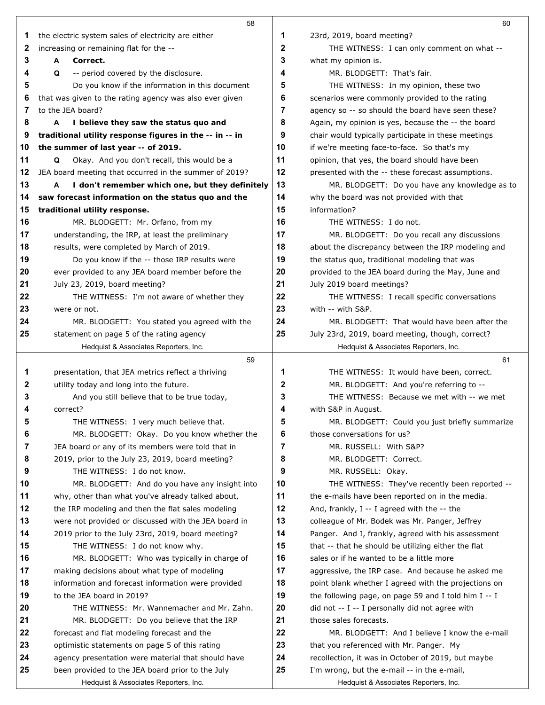|    | 58                                                      |              | 60                                                    |
|----|---------------------------------------------------------|--------------|-------------------------------------------------------|
| 1  | the electric system sales of electricity are either     | 1            | 23rd, 2019, board meeting?                            |
| 2  | increasing or remaining flat for the --                 | 2            | THE WITNESS: I can only comment on what --            |
| 3  | Correct.<br>A                                           | 3            | what my opinion is.                                   |
| 4  | Q<br>-- period covered by the disclosure.               | 4            | MR. BLODGETT: That's fair.                            |
| 5  | Do you know if the information in this document         | 5            | THE WITNESS: In my opinion, these two                 |
| 6  | that was given to the rating agency was also ever given | 6            | scenarios were commonly provided to the rating        |
| 7  | to the JEA board?                                       | 7            | agency so -- so should the board have seen these?     |
| 8  | A<br>I believe they saw the status quo and              | 8            | Again, my opinion is yes, because the -- the board    |
| 9  | traditional utility response figures in the -- in -- in | 9            | chair would typically participate in these meetings   |
| 10 | the summer of last year -- of 2019.                     | 10           | if we're meeting face-to-face. So that's my           |
| 11 | Okay. And you don't recall, this would be a<br>Q        | 11           | opinion, that yes, the board should have been         |
| 12 | JEA board meeting that occurred in the summer of 2019?  | 12           | presented with the -- these forecast assumptions.     |
| 13 | I don't remember which one, but they definitely<br>A    | 13           | MR. BLODGETT: Do you have any knowledge as to         |
| 14 | saw forecast information on the status quo and the      | 14           | why the board was not provided with that              |
| 15 | traditional utility response.                           | 15           | information?                                          |
| 16 | MR. BLODGETT: Mr. Orfano, from my                       | 16           | THE WITNESS: I do not.                                |
| 17 | understanding, the IRP, at least the preliminary        | 17           | MR. BLODGETT: Do you recall any discussions           |
| 18 | results, were completed by March of 2019.               | 18           | about the discrepancy between the IRP modeling and    |
| 19 | Do you know if the -- those IRP results were            | 19           | the status quo, traditional modeling that was         |
| 20 | ever provided to any JEA board member before the        | 20           | provided to the JEA board during the May, June and    |
| 21 | July 23, 2019, board meeting?                           | 21           | July 2019 board meetings?                             |
| 22 | THE WITNESS: I'm not aware of whether they              | 22           | THE WITNESS: I recall specific conversations          |
| 23 | were or not.                                            | 23           | with -- with S&P.                                     |
| 24 | MR. BLODGETT: You stated you agreed with the            | 24           | MR. BLODGETT: That would have been after the          |
| 25 | statement on page 5 of the rating agency                | 25           | July 23rd, 2019, board meeting, though, correct?      |
|    | Hedquist & Associates Reporters, Inc.                   |              | Hedquist & Associates Reporters, Inc.                 |
|    | 59                                                      |              | 61                                                    |
| 1  | presentation, that JEA metrics reflect a thriving       | 1            | THE WITNESS: It would have been, correct.             |
| 2  | utility today and long into the future.                 | $\mathbf{2}$ | MR. BLODGETT: And you're referring to --              |
| 3  | And you still believe that to be true today,            | 3            | THE WITNESS: Because we met with -- we met            |
| 4  | correct?                                                | 4            | with S&P in August.                                   |
| Ð  | THE WITNESS: I very much believe that.                  | Ð            | MR. BLODGETT: Could you just briefly summarize        |
| 6  | MR. BLODGETT: Okay. Do you know whether the             | 6            | those conversations for us?                           |
| 7  | JEA board or any of its members were told that in       | 7            | MR. RUSSELL: With S&P?                                |
| 8  | 2019, prior to the July 23, 2019, board meeting?        | 8            | MR. BLODGETT: Correct.                                |
| 9  | THE WITNESS: I do not know.                             | 9            | MR. RUSSELL: Okay.                                    |
| 10 | MR. BLODGETT: And do you have any insight into          | 10           | THE WITNESS: They've recently been reported --        |
| 11 | why, other than what you've already talked about,       | 11           | the e-mails have been reported on in the media.       |
| 12 | the IRP modeling and then the flat sales modeling       | 12           | And, frankly, I -- I agreed with the -- the           |
| 13 | were not provided or discussed with the JEA board in    | 13           | colleague of Mr. Bodek was Mr. Panger, Jeffrey        |
| 14 | 2019 prior to the July 23rd, 2019, board meeting?       | 14           | Panger. And I, frankly, agreed with his assessment    |
| 15 | THE WITNESS: I do not know why.                         | 15           | that -- that he should be utilizing either the flat   |
| 16 | MR. BLODGETT: Who was typically in charge of            | 16           | sales or if he wanted to be a little more             |
| 17 | making decisions about what type of modeling            | 17           | aggressive, the IRP case. And because he asked me     |
| 18 | information and forecast information were provided      | 18           | point blank whether I agreed with the projections on  |
| 19 | to the JEA board in 2019?                               | 19           | the following page, on page 59 and I told him $I - I$ |
| 20 | THE WITNESS: Mr. Wannemacher and Mr. Zahn.              | 20           | did not -- I -- I personally did not agree with       |
| 21 | MR. BLODGETT: Do you believe that the IRP               | 21           | those sales forecasts.                                |
| 22 | forecast and flat modeling forecast and the             | 22           | MR. BLODGETT: And I believe I know the e-mail         |
| 23 | optimistic statements on page 5 of this rating          | 23           | that you referenced with Mr. Panger. My               |
| 24 | agency presentation were material that should have      | 24           | recollection, it was in October of 2019, but maybe    |
| 25 | been provided to the JEA board prior to the July        | 25           | I'm wrong, but the e-mail -- in the e-mail,           |
|    | Hedquist & Associates Reporters, Inc.                   |              | Hedquist & Associates Reporters, Inc.                 |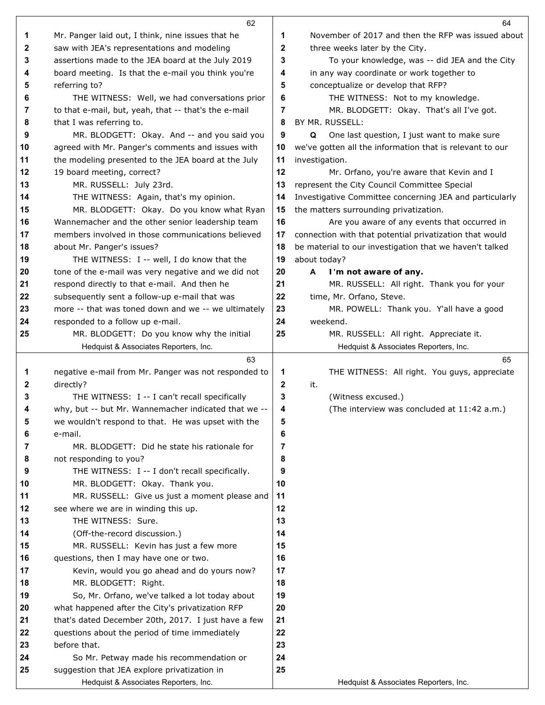|              | 62                                                   |              | 64                                                       |
|--------------|------------------------------------------------------|--------------|----------------------------------------------------------|
| 1            | Mr. Panger laid out, I think, nine issues that he    | 1            | November of 2017 and then the RFP was issued about       |
| 2            | saw with JEA's representations and modeling          | 2            | three weeks later by the City.                           |
| 3            | assertions made to the JEA board at the July 2019    | 3            | To your knowledge, was -- did JEA and the City           |
| 4            | board meeting. Is that the e-mail you think you're   | 4            | in any way coordinate or work together to                |
| 5            | referring to?                                        | 5            | conceptualize or develop that RFP?                       |
| 6            | THE WITNESS: Well, we had conversations prior        | 6            | THE WITNESS: Not to my knowledge.                        |
| 7            | to that e-mail, but, yeah, that -- that's the e-mail | 7            | MR. BLODGETT: Okay. That's all I've got.                 |
| 8            | that I was referring to.                             | 8            | BY MR. RUSSELL:                                          |
| 9            | MR. BLODGETT: Okay. And -- and you said you          | 9            | Q<br>One last question, I just want to make sure         |
| 10           | agreed with Mr. Panger's comments and issues with    | 10           | we've gotten all the information that is relevant to our |
| 11           | the modeling presented to the JEA board at the July  | 11           | investigation.                                           |
| 12           | 19 board meeting, correct?                           | 12           | Mr. Orfano, you're aware that Kevin and I                |
| 13           | MR. RUSSELL: July 23rd.                              | 13           | represent the City Council Committee Special             |
| 14           | THE WITNESS: Again, that's my opinion.               | 14           | Investigative Committee concerning JEA and particularly  |
| 15           | MR. BLODGETT: Okay. Do you know what Ryan            | 15           | the matters surrounding privatization.                   |
| 16           | Wannemacher and the other senior leadership team     | 16           | Are you aware of any events that occurred in             |
| 17           | members involved in those communications believed    | 17           | connection with that potential privatization that would  |
| 18           | about Mr. Panger's issues?                           | 18           | be material to our investigation that we haven't talked  |
| 19           | THE WITNESS: I -- well, I do know that the           | 19           | about today?                                             |
| 20           | tone of the e-mail was very negative and we did not  | 20           | I'm not aware of any.<br>A                               |
| 21           | respond directly to that e-mail. And then he         | 21           | MR. RUSSELL: All right. Thank you for your               |
| 22           | subsequently sent a follow-up e-mail that was        | 22           | time, Mr. Orfano, Steve.                                 |
| 23           | more -- that was toned down and we -- we ultimately  | 23           | MR. POWELL: Thank you. Y'all have a good                 |
| 24           | responded to a follow up e-mail.                     | 24           | weekend.                                                 |
| 25           | MR. BLODGETT: Do you know why the initial            | 25           | MR. RUSSELL: All right. Appreciate it.                   |
|              | Hedquist & Associates Reporters, Inc.                |              | Hedquist & Associates Reporters, Inc.                    |
|              | 63                                                   |              | 65                                                       |
| 1            | negative e-mail from Mr. Panger was not responded to | 1            | THE WITNESS: All right. You guys, appreciate             |
| $\mathbf{2}$ | directly?                                            | $\mathbf{2}$ | it.                                                      |
| 3            | THE WITNESS: I -- I can't recall specifically        | 3            | (Witness excused.)                                       |
| 4            | why, but -- but Mr. Wannemacher indicated that we -- | 4            | (The interview was concluded at 11:42 a.m.)              |
| 5            | we wouldn't respond to that. He was upset with the   | 5            |                                                          |
| 6            | e-mail.                                              | 6            |                                                          |
| 7            | MR. BLODGETT: Did he state his rationale for         | 7            |                                                          |
| 8            | not responding to you?                               | 8            |                                                          |
| 9            | THE WITNESS: I -- I don't recall specifically.       | 9            |                                                          |
| 10           | MR. BLODGETT: Okay. Thank you.                       | 10           |                                                          |
| 11           | MR. RUSSELL: Give us just a moment please and        | 11           |                                                          |
| 12           | see where we are in winding this up.                 | 12           |                                                          |
| 13           | THE WITNESS: Sure.                                   | 13           |                                                          |
| 14           | (Off-the-record discussion.)                         | 14           |                                                          |
| 15           | MR. RUSSELL: Kevin has just a few more               | 15           |                                                          |
| 16           | questions, then I may have one or two.               | 16           |                                                          |
| 17           | Kevin, would you go ahead and do yours now?          | 17           |                                                          |
| 18           | MR. BLODGETT: Right.                                 | 18           |                                                          |
| 19           | So, Mr. Orfano, we've talked a lot today about       | 19           |                                                          |
| 20           | what happened after the City's privatization RFP     | 20           |                                                          |
| 21           | that's dated December 20th, 2017. I just have a few  | 21           |                                                          |
| 22           | questions about the period of time immediately       | 22           |                                                          |
| 23           | before that.                                         | 23           |                                                          |
| 24           | So Mr. Petway made his recommendation or             | 24           |                                                          |
| 25           | suggestion that JEA explore privatization in         | 25           |                                                          |
|              | Hedquist & Associates Reporters, Inc.                |              | Hedquist & Associates Reporters, Inc.                    |
|              |                                                      |              |                                                          |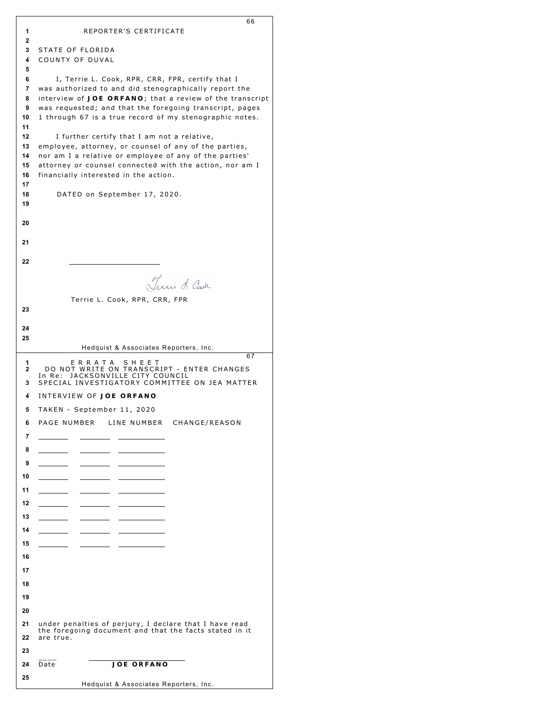|          | 66                                                                                                        |
|----------|-----------------------------------------------------------------------------------------------------------|
| 1<br>2   | REPORTER'S CERTIFICATE                                                                                    |
| 3        | STATE OF FLORIDA                                                                                          |
| 4        | COUNTY OF DUVAL                                                                                           |
| 5        |                                                                                                           |
| 6<br>7   | I, Terrie L. Cook, RPR, CRR, FPR, certify that I<br>was authorized to and did stenographically report the |
| 8        | interview of JOE ORFANO; that a review of the transcript                                                  |
| 9        | was requested; and that the foregoing transcript, pages                                                   |
| 10       | 1 through 67 is a true record of my stenographic notes.                                                   |
| 11<br>12 |                                                                                                           |
| 13       | I further certify that I am not a relative,<br>employee, attorney, or counsel of any of the parties,      |
| 14       | nor am I a relative or employee of any of the parties'                                                    |
| 15       | attorney or counsel connected with the action, nor am I                                                   |
| 16<br>17 | financially interested in the action.                                                                     |
| 18       | DATED on September 17, 2020.                                                                              |
| 19       |                                                                                                           |
|          |                                                                                                           |
| 20       |                                                                                                           |
| 21       |                                                                                                           |
|          |                                                                                                           |
| 22       |                                                                                                           |
|          | Terri L Cash                                                                                              |
|          |                                                                                                           |
| 23       | Terrie L. Cook, RPR, CRR, FPR                                                                             |
|          |                                                                                                           |
| 24       |                                                                                                           |
| 25       |                                                                                                           |
|          | Hedquist & Associates Reporters, Inc.<br>67                                                               |
| 1<br>2   | ERRATA SHEET<br>DO NOT WRITE ON TRANSCRIPT - ENTER CHANGES                                                |
| 3        | JACKSONVILLE CITY COUNCIL<br>In Re:<br>SPECIAL INVESTIGATORY COMMITTEE ON JEA MATTER                      |
| 4        | INTERVIEW OF JOE ORFANO                                                                                   |
| 5        | TAKEN – September 11, 2020                                                                                |
| 6        | PAGE NUMBER LINE NUMBER CHANGE/REASON                                                                     |
| 7        |                                                                                                           |
|          |                                                                                                           |
| 8        |                                                                                                           |
| 9        |                                                                                                           |
| 10       |                                                                                                           |
| 11       |                                                                                                           |

| ັ  |                                                                                                                  |  |
|----|------------------------------------------------------------------------------------------------------------------|--|
| 10 |                                                                                                                  |  |
| 11 |                                                                                                                  |  |
| 12 |                                                                                                                  |  |
| 13 |                                                                                                                  |  |
| 14 |                                                                                                                  |  |
| 15 |                                                                                                                  |  |
| 16 |                                                                                                                  |  |
| 17 |                                                                                                                  |  |
| 18 |                                                                                                                  |  |
| 19 |                                                                                                                  |  |
| 20 |                                                                                                                  |  |
| 21 | under penalties of perjury, I declare that I have read<br>the foregoing document and that the facts stated in it |  |
| 22 | are true.                                                                                                        |  |
| 23 |                                                                                                                  |  |
| 24 | <b>JOE ORFANO</b><br>Date                                                                                        |  |
| 25 |                                                                                                                  |  |

|  | Hedquist & Associates Reporters, Inc. |  |
|--|---------------------------------------|--|
|  |                                       |  |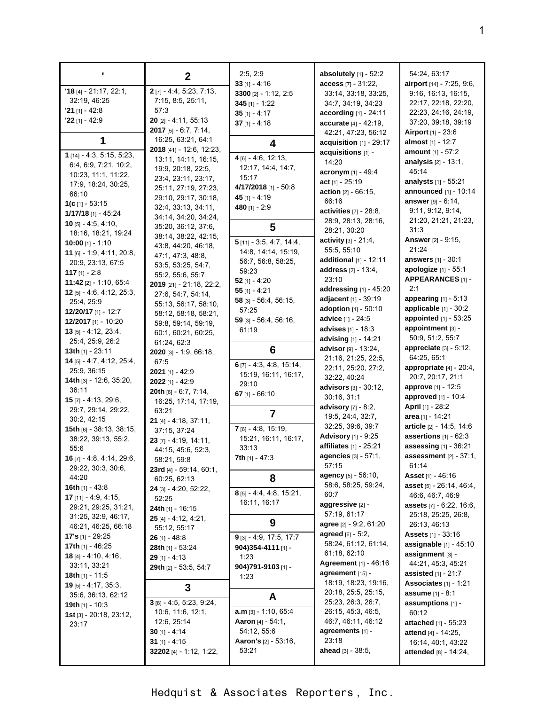|                                                     | $\mathbf{2}$                           | 2.5, 2.9                       | absolutely [1] - 52:2                          | 54:24, 63:17                                                 |
|-----------------------------------------------------|----------------------------------------|--------------------------------|------------------------------------------------|--------------------------------------------------------------|
| $'18$ [4] - 21:17, 22:1,                            | $2$ [7] - 4:4, 5:23, 7:13,             | $33$ [1] - 4:16                | access [7] - 31:22,                            | airport [14] - 7:25, 9:6,<br>9:16, 16:13, 16:15,             |
| 32:19, 46:25                                        | 7:15, 8:5, 25:11,                      | 3300 [2] - 1:12, 2:5           | 33:14, 33:18, 33:25,                           | 22:17, 22:18, 22:20,                                         |
| $'21$ [1] - 42:8                                    | 57:3                                   | $345$ [1] - 1:22               | 34:7, 34:19, 34:23                             |                                                              |
| $22$ [1] - 42:9                                     | $20$ [2] - 4:11, 55:13                 | $35$ [1] - 4:17                | <b>according</b> $[1] - 24:11$                 | 22:23, 24:16, 24:19,<br>37:20, 39:18, 39:19                  |
|                                                     | <b>2017</b> [5] $-6.7$ , $7.14$ ,      | 37 $[1] - 4:18$                | accurate [4] - 42:19,<br>42:21, 47:23, 56:12   | <b>Airport</b> [1] - 23:6                                    |
| 1                                                   | 16:25, 63:21, 64:1                     |                                | acquisition [1] - 29:17                        | almost [1] - 12:7                                            |
|                                                     | 2018 [41] - 12:6, 12:23,               | 4                              | acquisitions [1] -                             | amount [1] - 57:2                                            |
| 1 [14] - 4:3, 5:15, 5:23,                           | 13:11, 14:11, 16:15,                   | $4$ [6] - 4:6, 12:13,          | 14:20                                          | <b>analysis</b> $[2] - 13:1$ ,                               |
| 6:4, 6:9, 7:21, 10:2,                               | 19:9, 20:18, 22:5,                     | 12.17, 14:4, 14:7,             | acronym $[1] - 49.4$                           | 45:14                                                        |
| 10:23, 11:1, 11:22,                                 | 23.4, 23.11, 23.17,                    | 15:17                          | act [1] - 25:19                                | analysts [1] - 55:21                                         |
| 17:9, 18:24, 30:25,                                 | 25:11, 27:19, 27:23,                   | 4/17/2018 [1] - 50:8           | action $[2] - 66:15$ ,                         | <b>announced</b> [1] - 10:14                                 |
| 66:10                                               | 29:10, 29:17, 30:18,                   | 45 [1] - 4:19                  | 66:16                                          | answer [9] - 6:14,                                           |
| 1(c [1] - 53:15                                     | 32.4, 33.13, 34:11,                    | 480 $[1] - 2:9$                | activities $[7] - 28.8$ ,                      | 9:11, 9:12, 9:14,                                            |
| $1/17/18$ [1] - 45:24                               | 34:14, 34:20, 34:24,                   |                                | 28:9, 28:13, 28:16,                            | 21:20, 21:21, 21:23,                                         |
| <b>10</b> [5] $-$ 4:5, 4:10,                        | 35:20, 36:12, 37:6,                    | 5                              | 28:21, 30:20                                   | 31:3                                                         |
| 18:16, 18:21, 19:24                                 | 38:14, 38:22, 42:15,                   | $5$ [11] - 3:5, 4:7, 14:4,     | activity [3] - 21:4,                           | <b>Answer</b> [2] - 9:15,                                    |
| $10:00$ [1] - 1:10                                  | 43.8, 44.20, 46.18,                    | 14.8, 14.14, 15.19,            | 55:5, 55:10                                    | 21:24                                                        |
| 11 [6] $- 1.9, 4.11, 20.8,$                         | 47:1, 47:3, 48:8,                      | 56:7, 56:8, 58:25,             | additional [1] - 12:11                         | answers [1] - 30:1                                           |
| 20:9, 23:13, 67:5                                   | 53.5, 53.25, 54.7,                     | 59:23                          | address [2] - 13:4,                            | apologize [1] - 55:1                                         |
| 117 $[1] - 2:8$                                     | 55:2, 55:6, 55:7                       | 52 [1] - 4:20                  | 23:10                                          | APPEARANCES [1] -                                            |
| 11:42 $[2] - 1:10, 65:4$                            | 2019 [21] - 21:18, 22:2,               | $55$ [1] - 4:21                | addressing $[1]$ - 45:20                       | 2:1                                                          |
| 12 $[5] - 4:6, 4:12, 25:3,$<br>25.4, 25:9           | 27:6, 54:7, 54:14,                     | $58$ [3] - 56:4, 56:15,        | adjacent [1] - 39:19                           | <b>appearing</b> $[1] - 5:13$                                |
|                                                     | 55:13, 56:17, 58:10,                   | 57:25                          | <b>adoption</b> $[1] - 50:10$                  | applicable [1] - 30:2                                        |
| 12/20/17 [1] - 12:7<br>12/2017 [1] - 10:20          | 58:12, 58:18, 58:21,                   | $59$ [3] - 56:4, 56:16,        | advice [1] - 24:5                              | appointed [1] - 53:25                                        |
| $13$ [5] - 4:12, 23:4,                              | 59.8, 59.14, 59.19,                    | 61:19                          | advises [1] - 18:3                             | appointment $[3]$ -                                          |
| 25:4, 25:9, 26:2                                    | 60:1, 60:21, 60:25,<br>61:24, 62:3     |                                | advising [1] - 14:21                           | 50:9, 51:2, 55:7                                             |
| <b>13th</b> $[1]$ - 23:11                           | 2020 [3] - 1:9, 66:18,                 | 6                              | advisor [9] - 13:24,                           | appreciate [3] - 5:12,                                       |
| 14 [5] - 4:7, 4:12, 25:4,                           | 67:5                                   |                                | 21:16, 21:25, 22:5,                            | 64:25, 65:1                                                  |
| 25:9, 36:15                                         | 2021 [1] - 42:9                        | 6 $[7] - 4.3, 4.8, 15.14,$     | 22:11, 25:20, 27:2,                            | appropriate [4] - 20:4,                                      |
| <b>14th</b> $[3] - 12:6, 35:20,$                    | 2022 [1] - 42:9                        | 15:19, 16:11, 16:17,           | 32:22, 40:24                                   | 20:7, 20:17, 21:1                                            |
| 36:11                                               | 20th [6] - 6:7, 7:14,                  | 29:10<br>67 $[1] - 66:10$      | advisors [3] - 30:12,                          | <b>approve</b> [1] - 12:5                                    |
| $15$ [7] - 4:13, 29:6,                              | 16:25, 17:14, 17:19,                   |                                | 30:16, 31:1                                    | <b>approved</b> $[1] - 10.4$                                 |
| 29:7, 29:14, 29:22,                                 | 63:21                                  | $\overline{7}$                 | advisory [7] - 8:2,                            | <b>April</b> [1] - 28:2                                      |
| 30:2, 42:15                                         | 21 [4] - 4:18, 37:11,                  |                                | 19.5, 24:4, 32:7,                              | area [1] - 14:21                                             |
| 15th [6] - 38:13, 38:15,                            | 37:15, 37:24                           | $7$ [6] - 4:8, 15:19,          | 32:25, 39:6, 39:7                              | article [2] - 14:5, 14:6                                     |
| 38:22, 39:13, 55:2,                                 | $23$ [7] - 4:19, 14:11,                | 15:21, 16:11, 16:17,           | <b>Advisory</b> [1] - 9:25                     | assertions $[1] - 62:3$                                      |
| 55:6                                                | 44:15, 45:6, 52:3,                     | 33:13                          | affiliates [1] - 25:21<br>agencies [3] - 57:1, | assessing [1] - 36:21                                        |
| 16 [7] - 4:8, 4:14, 29:6,                           | 58:21, 59:8                            | <b>7th</b> $[1] - 47:3$        | 57:15                                          | assessment $[2] - 37:1$ ,<br>61:14                           |
| 29:22, 30:3, 30:6,                                  | 23rd [4] - 59:14, 60:1,                |                                | <b>agency</b> [5] - 56:10,                     | Asset [1] - 46:16                                            |
| 44:20                                               | 60:25, 62:13                           | 8                              | 58:6, 58:25, 59:24,                            | <b>asset</b> [5] - 26:14, 46:4,                              |
| 16th $[1]$ - 43:8                                   | <b>24</b> [3] - 4:20, 52:22,           | 8 [5] - 4:4, 4:8, 15:21,       | 60:7                                           | 46:6, 46:7, 46:9                                             |
| <b>17</b> [11] - 4.9, 4.15,<br>29:21, 29:25, 31:21, | 52:25                                  | 16:11, 16:17                   | aggressive [2] -                               | <b>assets</b> [7] - 6:22, 16:6,                              |
| 31:25, 32:9, 46:17,                                 | <b>24th</b> [1] - 16:15                |                                | 57:19, 61:17                                   | 25:18, 25:25, 26:8,                                          |
| 46:21, 46:25, 66:18                                 | $25$ [4] - 4:12, 4:21,<br>55:12, 55:17 | 9                              | agree [2] - 9:2, 61:20                         | 26:13, 46:13                                                 |
| <b>17's</b> $[1]$ - 29:25                           | $26$ [1] - 48:8                        | $9$ [3] - 4:9, 17:5, 17:7      | agreed [6] - 5:2,                              | <b>Assets</b> [1] - 33:16                                    |
| 17th $[1] - 46:25$                                  | 28th [1] - 53:24                       | 904)354-4111 [1] -             | 58:24, 61:12, 61:14,                           | <b>assignable</b> $[1] - 45:10$                              |
| <b>18</b> $[4]$ - 4.10, 4.16,                       | $29$ [1] - 4:13                        | 1:23                           | 61:18, 62:10                                   | assignment [3] -                                             |
| 33:11, 33:21                                        | 29th [2] - 53:5, 54:7                  | 904)791-9103 [1] -             | Agreement [1] - 46:16                          | 44:21, 45:3, 45:21                                           |
| <b>18th</b> [1] - 11:5                              |                                        | 1:23                           | agreement [15] -                               | assisted [1] - 21:7                                          |
| <b>19</b> [5] $- 4.17$ , 35.3,                      | 3                                      |                                | 18:19, 18:23, 19:16,                           | Associates $[1] - 1:21$                                      |
| 35:6, 36:13, 62:12                                  |                                        | A                              | 20:18, 25:5, 25:15,                            | assume [1] - 8:1                                             |
| <b>19th</b> [1] - 10:3                              | $3$ [8] - 4:5, 5:23, 9:24,             | $a.m_{[3]} - 1:10, 65:4$       | 25:23, 26:3, 26:7,<br>26:15, 45:3, 46:5,       | assumptions [1] -                                            |
| <b>1st</b> [3] - $20:18$ , $23:12$ ,                | 10:6, 11:6, 12:1,<br>12:6, 25:14       | <b>Aaron</b> [4] - 54:1,       | 46:7, 46:11, 46:12                             | 60:12                                                        |
| 23:17                                               | 30 $[1] - 4:14$                        | 54:12, 55:6                    | agreements [1] -                               | <b>attached</b> [1] - 55:23<br><b>attend</b> $[4] - 14:25$ , |
|                                                     | 31 $[1] - 4:15$                        | <b>Aaron's</b> $[2] - 53:16$ , | 23:18                                          | 16:14, 40:1, 43:22                                           |
|                                                     | 32202 [4] - 1:12, 1:22,                | 53:21                          | <b>ahead</b> $[3] - 38:5$ ,                    | <b>attended</b> [8] - 14:24,                                 |
|                                                     |                                        |                                |                                                |                                                              |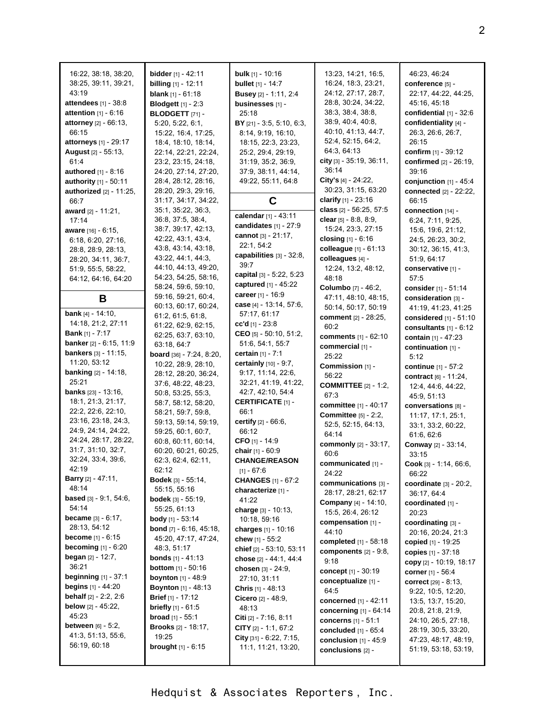| 16:22, 38:18, 38:20,<br>38:25, 39:11, 39:21,<br>43:19<br>attendees $[1] - 38:8$<br><b>attention</b> $[1] - 6:16$<br>attorney [2] - 66:13,<br>66:15<br><b>attorneys</b> [1] - 29:17<br><b>August</b> [2] - 55:13,<br>61.4<br><b>authored</b> $[1] - 8:16$<br>authority [1] - 50:11<br>authorized [2] - 11:25,<br>66:7<br>award [2] - 11:21,<br>17:14<br><b>aware</b> [16] - 6:15,<br>6.18, 6.20, 27:16,<br>28:8, 28:9, 28:13,<br>28:20, 34:11, 36:7,<br>51:9, 55:5, 58:22,<br>64:12, 64:16, 64:20<br>В<br><b>bank</b> $[4] - 14:10$ ,<br>14:18, 21:2, 27:11<br><b>Bank</b> [1] - $7:17$<br>banker [2] - 6:15, 11:9 | <b>bidder</b> $[1] - 42:11$<br><b>billing</b> [1] - 12:11<br><b>blank</b> $[1] - 61:18$<br><b>Blodgett</b> [1] - 2:3<br><b>BLODGETT</b> [71] -<br>5:20, 5:22, 6:1,<br>15:22, 16:4, 17:25,<br>18.4, 18.10, 18.14,<br>22:14, 22:21, 22:24,<br>23:2, 23:15, 24:18,<br>24:20, 27:14, 27:20,<br>28.4, 28.12, 28.16,<br>28:20, 29:3, 29:16,<br>31:17, 34:17, 34:22,<br>35:1, 35:22, 36:3,<br>36:8, 37:5, 38:4,<br>38:7, 39:17, 42:13,<br>42.22, 43.1, 43.4,<br>43.8, 43.14, 43.18,<br>43:22, 44:1, 44:3,<br>44:10, 44:13, 49:20,<br>54:23, 54:25, 58:16,<br>58:24, 59:6, 59:10,<br>59:16, 59:21, 60:4,<br>60:13, 60:17, 60:24,<br>61:2, 61:5, 61:8,<br>61:22, 62:9, 62:15,<br>62:25, 63:7, 63:10,<br>63:18, 64:7 | <b>bulk</b> $[1]$ - 10:16<br><b>bullet</b> $[1] - 14:7$<br><b>Busey</b> [2] - 1:11, 2:4<br>businesses [1] -<br>25:18<br>BY $[21] - 3.5, 5.10, 6.3,$<br>8:14, 9:19, 16:10,<br>18:15, 22:3, 23:23,<br>25.2, 29.4, 29.19,<br>31.19, 35.2, 36.9,<br>37:9, 38:11, 44:14,<br>49:22, 55:11, 64:8<br>C<br>calendar [1] - 43:11<br>candidates [1] - 27:9<br>cannot $[3] - 21:17$ ,<br>22:1, 54:2<br>capabilities [3] - 32:8,<br>39:7<br>capital [3] - 5:22, 5:23<br>captured [1] - 45:22<br>career [1] - 16:9<br>case [4] - 13:14, 57:6,<br>57:17, 61:17<br>cc'd $[1]$ - 23:8<br>CEO $[5] - 50:10, 51:2,$<br>51:6, 54:1, 55:7 | 13:23, 14:21, 16:5,<br>16:24, 18:3, 23:21,<br>24:12, 27:17, 28:7,<br>28:8, 30:24, 34:22,<br>38:3, 38:4, 38:8,<br>38:9, 40:4, 40:8,<br>40.10, 41:13, 44:7,<br>52:4, 52:15, 64:2,<br>64.3, 64.13<br>city [3] - 35:19, 36:11,<br>36:14<br>City's $[4] - 24.22$ ,<br>30:23, 31:15, 63:20<br>clarify [1] - 23:16<br>class [2] - 56:25, 57:5<br>clear $[5] - 8.8, 8.9,$<br>15:24, 23:3, 27:15<br>closing $[1] - 6.16$<br>colleague [1] - 61:13<br>colleagues [4] -<br>12:24, 13:2, 48:12,<br>48:18<br>Columbo [7] - 46:2,<br>47:11, 48:10, 48:15,<br>50:14, 50:17, 50:19<br>comment [2] - 28:25,<br>60:2<br><b>comments</b> [1] - 62:10<br>commercial [1] - | 46.23, 46.24<br>conference [5] -<br>22:17, 44:22, 44:25,<br>45:16, 45:18<br>confidential $[1]$ - 32:6<br>confidentiality [4] -<br>26:3, 26:6, 26:7,<br>26:15<br>confirm [1] - 39:12<br>confirmed [2] - 26:19,<br>39:16<br>conjunction $[1] - 45:4$<br>connected [2] - 22:22,<br>66:15<br>connection [14] -<br>6:24, 7:11, 9:25,<br>15:6, 19:6, 21:12,<br>24:5, 26:23, 30:2,<br>30.12, 36:15, 41:3,<br>51:9, 64:17<br>conservative [1] -<br>57:5<br>consider [1] - 51:14<br>consideration [3] -<br>41:19, 41:23, 41:25<br>considered [1] - 51:10<br>consultants $[1] - 6:12$<br>contain [1] - 47:23<br>continuation [1] - |
|-------------------------------------------------------------------------------------------------------------------------------------------------------------------------------------------------------------------------------------------------------------------------------------------------------------------------------------------------------------------------------------------------------------------------------------------------------------------------------------------------------------------------------------------------------------------------------------------------------------------|------------------------------------------------------------------------------------------------------------------------------------------------------------------------------------------------------------------------------------------------------------------------------------------------------------------------------------------------------------------------------------------------------------------------------------------------------------------------------------------------------------------------------------------------------------------------------------------------------------------------------------------------------------------------------------------------------------|----------------------------------------------------------------------------------------------------------------------------------------------------------------------------------------------------------------------------------------------------------------------------------------------------------------------------------------------------------------------------------------------------------------------------------------------------------------------------------------------------------------------------------------------------------------------------------------------------------------------|-------------------------------------------------------------------------------------------------------------------------------------------------------------------------------------------------------------------------------------------------------------------------------------------------------------------------------------------------------------------------------------------------------------------------------------------------------------------------------------------------------------------------------------------------------------------------------------------------------------------------------------------------------|--------------------------------------------------------------------------------------------------------------------------------------------------------------------------------------------------------------------------------------------------------------------------------------------------------------------------------------------------------------------------------------------------------------------------------------------------------------------------------------------------------------------------------------------------------------------------------------------------------------------------|
| <b>bankers</b> $[3] - 11:15$ ,<br>11:20, 53:12<br><b>banking</b> $[2] - 14:18$ ,<br>25:21                                                                                                                                                                                                                                                                                                                                                                                                                                                                                                                         | <b>board</b> $[36] - 7:24$ , $8:20$ ,<br>10:22, 28:9, 28:10,<br>28:12, 28:20, 36:24,                                                                                                                                                                                                                                                                                                                                                                                                                                                                                                                                                                                                                       | <b>certain</b> $[1] - 7:1$<br>certainly [10] - 9:7,<br>9:17, 11:14, 22:6,                                                                                                                                                                                                                                                                                                                                                                                                                                                                                                                                            | 25:22<br>Commission [1] -<br>56:22                                                                                                                                                                                                                                                                                                                                                                                                                                                                                                                                                                                                                    | 5:12<br>continue [1] - 57:2<br>contract [6] - 11:24,                                                                                                                                                                                                                                                                                                                                                                                                                                                                                                                                                                     |
| <b>banks</b> $[23] - 13:16$ ,<br>18:1, 21:3, 21:17,<br>22:2, 22:6, 22:10,<br>23:16, 23:18, 24:3,<br>24:9, 24:14, 24:22,<br>24:24, 28:17, 28:22,<br>31:7, 31:10, 32:7,<br>32:24, 33:4, 39:6,<br>42:19<br><b>Barry</b> $[2] - 47:11$ ,                                                                                                                                                                                                                                                                                                                                                                              | 37:6, 48:22, 48:23,<br>50.8, 53.25, 55.3,<br>58:7, 58:12, 58:20,<br>58:21, 59:7, 59:8,<br>59:13, 59:14, 59:19,<br>59:25, 60:1, 60:7,<br>60.8, 60.11, 60.14,<br>60:20, 60:21, 60:25,<br>62:3, 62:4, 62:11,<br>62:12<br>Bodek [3] - 55:14,                                                                                                                                                                                                                                                                                                                                                                                                                                                                   | 32:21, 41:19, 41:22,<br>42.7, 42.10, 54.4<br><b>CERTIFICATE [1] -</b><br>66:1<br>certify [2] - 66:6,<br>66:12<br><b>CFO</b> $[1]$ - 14:9<br>chair [1] - 60:9<br><b>CHANGE/REASON</b><br>$[1] - 67:6$<br><b>CHANGES</b> [1] - 67:2                                                                                                                                                                                                                                                                                                                                                                                    | <b>COMMITTEE</b> $[2] - 1:2$<br>67:3<br><b>committee</b> $[1] - 40:17$<br>Committee $[5] - 2.2$ ,<br>52.5, 52.15, 64.13,<br>64:14<br>commonly [2] - 33:17,<br>60:6<br>communicated [1] -<br>24:22<br>communications [3] -                                                                                                                                                                                                                                                                                                                                                                                                                             | 12:4, 44:6, 44:22,<br>45:9, 51:13<br>conversations [8] -<br>11:17, 17:1, 25:1,<br>33:1, 33:2, 60:22,<br>61:6, 62:6<br>Conway [2] - 33:14,<br>33:15<br>Cook [3] - 1:14, 66:6,<br>66:22<br>coordinate [3] - 20:2,                                                                                                                                                                                                                                                                                                                                                                                                          |
| 48:14<br>based [3] - 9:1, 54:6,<br>54:14<br><b>became</b> $[3] - 6:17$ ,<br>28:13, 54:12<br><b>become</b> $[1] - 6:15$<br><b>becoming</b> $[1] - 6:20$<br><b>began</b> $[2] - 12:7$ ,<br>36:21<br><b>beginning</b> $[1] - 37:1$<br><b>begins</b> $[1] - 44:20$<br><b>behalf</b> $[2] - 2:2, 2:6$<br><b>below</b> $[2] - 45:22$ ,<br>45:23<br><b>between</b> $[6] - 5:2$<br>41:3, 51:13, 55:6,<br>56:19, 60:18                                                                                                                                                                                                     | 55:15, 55:16<br><b>bodek</b> [3] - 55:19,<br>55:25, 61:13<br><b>body</b> [1] - 53:14<br><b>bond</b> $[7] - 6.16$ , 45:18,<br>45:20, 47:17, 47:24,<br>48:3, 51:17<br><b>bonds</b> $[1] - 41:13$<br><b>bottom</b> $[1] - 50:16$<br><b>boynton</b> $[1] - 48.9$<br><b>Boynton</b> [1] - 48:13<br><b>Brief</b> $[1]$ - 17:12<br><b>briefly</b> $[1]$ - 61:5<br><b>broad</b> $[1] - 55:1$<br><b>Brooks</b> [2] - 18:17,<br>19:25<br>brought [1] - 6:15                                                                                                                                                                                                                                                          | characterize [1] -<br>41:22<br>charge [3] - 10:13,<br>10:18, 59:16<br>charges [1] - 10:16<br>chew $[1] - 55.2$<br>chief [2] - 53:10, 53:11<br>chose [2] - 44:1, 44:4<br>chosen $[3] - 24.9$ ,<br>27:10, 31:11<br><b>Chris</b> $[1]$ - 48:13<br>Cicero [2] - 48:9,<br>48:13<br>Citi $[2] - 7:16, 8:11$<br><b>CITY</b> $[2] - 1:1, 67:2$<br>City $[31] - 6:22, 7:15,$<br>11:1, 11:21, 13:20,                                                                                                                                                                                                                           | 28:17, 28:21, 62:17<br><b>Company</b> [4] - 14:10,<br>15:5, 26:4, 26:12<br>compensation [1] -<br>44:10<br>completed [1] - 58:18<br>components [2] - 9:8,<br>9:18<br>concept [1] - 30:19<br>conceptualize [1] -<br>64.5<br>concerned [1] - 42:11<br>concerning [1] - 64:14<br>concerns [1] - 51:1<br>concluded [1] - 65:4<br>conclusion $[1] - 45.9$<br>conclusions [2] -                                                                                                                                                                                                                                                                              | 36:17, 64:4<br>coordinated [1] -<br>20:23<br>coordinating [3] -<br>20:16, 20:24, 21:3<br>copied [1] - 19:25<br>copies $[1] - 37:18$<br>copy [2] - 10:19, 18:17<br><b>corner</b> $[1] - 56:4$<br>correct [29] - 8:13,<br>9:22, 10:5, 12:20,<br>13.5, 13.7, 15.20,<br>20:8, 21:8, 21:9,<br>24:10, 26:5, 27:18,<br>28:19, 30:5, 33:20,<br>47:23, 48:17, 48:19,<br>51:19, 53:18, 53:19,                                                                                                                                                                                                                                      |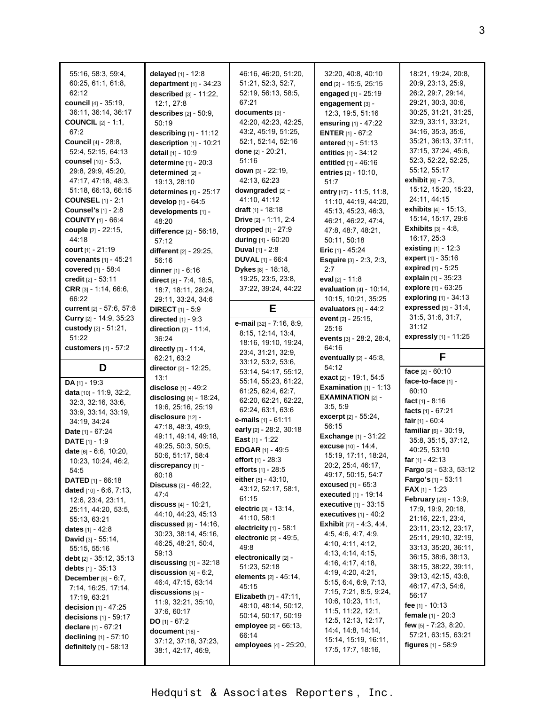| 55:16, 58:3, 59:4,         | delayed [1] - 12:8               | 46:16, 46:20, 51:20,             | 32:20, 40:8, 40:10                | 18:21, 19:24, 20:8,           |
|----------------------------|----------------------------------|----------------------------------|-----------------------------------|-------------------------------|
| 60:25, 61:1, 61:8,         | department [1] - 34:23           | 51:21, 52:3, 52:7,               | end [2] - 15:5, 25:15             | 20:9, 23:13, 25:9,            |
| 62:12                      |                                  | 52:19, 56:13, 58:5,              |                                   | 26:2, 29:7, 29:14,            |
|                            | described $[3] - 11:22$ ,        | 67:21                            | engaged [1] - 25:19               |                               |
| council [4] - 35:19,       | 12:1, 27:8                       |                                  | engagement [3] -                  | 29:21, 30:3, 30:6,            |
| 36.11, 36.14, 36.17        | describes $[2] - 50.9$ ,         | documents [9] -                  | 12:3, 19:5, 51:16                 | 30:25, 31:21, 31:25,          |
| <b>COUNCIL</b> [2] - 1:1,  | 50:19                            | 42:20, 42:23, 42:25,             | ensuring [1] - 47:22              | 32.9, 33.11, 33.21,           |
| 67:2                       | describing $[1]$ - 11:12         | 43:2, 45:19, 51:25,              | <b>ENTER</b> $[1] - 67:2$         | 34:16, 35:3, 35:6,            |
| <b>Council</b> [4] - 28:8, | description [1] - 10:21          | 52:1, 52:14, 52:16               | entered [1] - 51:13               | 35:21, 36:13, 37:11,          |
| 52:4, 52:15, 64:13         | detail [1] - 10:9                | done [2] - 20:21,                | entities [1] - 34:12              | 37:15, 37:24, 45:6,           |
| counsel [10] - 5:3,        | determine $[1] - 20:3$           | 51:16                            | entitled [1] - 46:16              | 52:3, 52:22, 52:25,           |
| 29:8, 29:9, 45:20,         | determined [2] -                 | down [3] - 22:19,                | entries [2] - 10:10,              | 55:12, 55:17                  |
| 47:17, 47:18, 48:3,        | 19:13, 28:10                     | 42:13, 62:23                     | 51:7                              | exhibit [6] - 7:3,            |
| 51:18, 66:13, 66:15        | determines [1] - 25:17           | downgraded [2] -                 | entry [17] - 11:5, 11:8,          | 15:12, 15:20, 15:23,          |
| <b>COUNSEL</b> [1] - 2:1   | develop [1] - 64:5               | 41:10, 41:12                     | 11:10, 44:19, 44:20,              | 24:11, 44:15                  |
| <b>Counsel's</b> [1] - 2:8 | developments [1] -               | <b>draft</b> $[1]$ - 18:18       | 45:13, 45:23, 46:3,               | exhibits [4] - 15:13,         |
| <b>COUNTY</b> [1] - 66:4   | 48:20                            | Drive [2] - 1:11, 2:4            | 46:21, 46:22, 47:4,               | 15:14, 15:17, 29:6            |
| couple [2] - 22:15,        | difference [2] - 56:18,          | dropped [1] - 27:9               | 47:8, 48:7, 48:21,                | <b>Exhibits</b> $[3] - 4.8$ , |
| 44:18                      | 57:12                            | during [1] - 60:20               | 50:11, 50:18                      | 16:17, 25:3                   |
| court [1] - 21:19          | different [2] - 29:25,           | <b>Duval</b> $[1] - 2:8$         | <b>Eric</b> $[1] - 45.24$         | <b>existing</b> $[1] - 12.3$  |
| covenants $[1] - 45:21$    |                                  | <b>DUVAL</b> [1] - 66:4          | <b>Esquire</b> [3] - 2:3, 2:3,    | expert [1] - 35:16            |
| covered [1] - 58:4         | 56:16                            | Dykes [8] - 18:18,               | 2:7                               | expired [1] - 5:25            |
|                            | dinner $[1] - 6:16$              |                                  |                                   | explain [1] - 35:23           |
| credit [2] - 53:11         | direct [8] - 7:4, 18:5,          | 19.25, 23.5, 23.8,               | eval $[2] - 11:8$                 | explore [1] - 63:25           |
| CRR $[3] - 1.14, 66.6,$    | 18:7, 18:11, 28:24,              | 37:22, 39:24, 44:22              | evaluation $[4] - 10.14$ .        |                               |
| 66:22                      | 29:11, 33:24, 34:6               |                                  | 10:15, 10:21, 35:25               | exploring [1] - 34:13         |
| current [2] - 57:6, 57:8   | <b>DIRECT</b> [1] - 5:9          | E.                               | evaluators $[1] - 44:2$           | expressed $[5] - 31.4$ .      |
| Curry [2] - 14:9, 35:23    | directed $[1] - 9:3$             | e-mail [32] - 7:16, 8:9,         | event [2] - 25:15,                | 31:5, 31:6, 31:7,             |
| custody [2] - 51:21,       | direction $[2] - 11:4$ ,         | 8:15, 12:14, 13:4,               | 25:16                             | 31:12                         |
| 51:22                      | 36:24                            | 18:16, 19:10, 19:24,             | events [3] - 28:2, 28:4,          | expressly [1] - 11:25         |
| customers [1] - 57:2       | directly $[3] - 11.4$ ,          | 23:4, 31:21, 32:9,               | 64:16                             |                               |
|                            | 62:21, 63:2                      | 33:12, 53:2, 53:6,               | eventually $[2] - 45.8$ ,         | F                             |
|                            |                                  |                                  |                                   |                               |
| D                          | director [2] - 12:25,            |                                  | 54:12                             |                               |
|                            | 13:1                             | 53:14, 54:17, 55:12,             | exact [2] - 19:1, 54:5            | face [2] - 60:10              |
| DA [1] - 19:3              | disclose [1] - 49:2              | 55:14, 55:23, 61:22,             | Examination $[1]$ - 1:13          | face-to-face [1] -            |
| data [10] - 11:9, 32:2,    | disclosing $[4]$ - 18:24,        | 61:25, 62:4, 62:7,               | <b>EXAMINATION [2] -</b>          | 60:10                         |
| 32:3, 32:16, 33:6,         | 19:6, 25:16, 25:19               | 62:20, 62:21, 62:22,             | 3.5, 5.9                          | fact $[1] - 8:16$             |
| 33.9, 33.14, 33.19,        | disclosure [12] -                | 62:24, 63:1, 63:6                | excerpt [2] - 55:24,              | facts [1] - 67:21             |
| 34:19, 34:24               |                                  | e-mails [1] - 61:11              | 56:15                             | fair $[1] - 60.4$             |
| Date [1] - 67:24           | 47:18, 48:3, 49:9,               | early [2] - 28:2, 30:18          |                                   | familiar [6] - 30:19,         |
| <b>DATE</b> $[1] - 1:9$    | 49:11, 49:14, 49:18,             | East $[1] - 1:22$                | <b>Exchange</b> [1] - 31:22       | 35:8, 35:15, 37:12,           |
| date [6] - 6:6, 10:20,     | 49:25, 50:3, 50:5,               | <b>EDGAR</b> [1] - 49:5          | excuse [10] - 14:4,               | 40:25, 53:10                  |
| 10.23, 10:24, 46:2,        | 50:6, 51:17, 58:4                | effort [1] - 28:3                | 15:19, 17:11, 18:24,              | far $[1] - 42:13$             |
| 54:5                       | discrepancy [1] -                | efforts [1] - 28:5               | 20:2, 25:4, 46:17,                | Fargo [2] - 53:3, 53:12       |
| DATED [1] - 66:18          | 60:18                            | either $[5] - 43:10$ ,           | 49:17, 50:15, 54:7                | Fargo's [1] - 53:11           |
| dated [10] - 6:6, 7:13,    | <b>Discuss</b> $[2] - 46:22$ ,   | 43.12, 52:17, 58:1,              | <b>excused</b> $[1] - 65:3$       | <b>FAX</b> $[1] - 1.23$       |
| 12.6, 23.4, 23.11,         | 47:4                             | 61:15                            | <b>executed</b> [1] - 19:14       | February [29] - 13:9,         |
| 25:11, 44:20, 53:5,        | discuss [4] - 10:21,             | electric [3] - 13:14,            | executive [1] - 33:15             | 17:9, 19:9, 20:18,            |
| 55.13, 63.21               | 44:10, 44:23, 45:13              | 41:10, 58:1                      | executives $[1] - 40.2$           | 21:16, 22:1, 23:4,            |
| <b>dates</b> $[1] - 42:8$  | <b>discussed</b> $[8] - 14:16$ , | electricity $[1]$ - 58:1         | <b>Exhibit</b> $[77] - 4.3, 4.4,$ | 23:11, 23:12, 23:17,          |
|                            | 30:23, 38:14, 45:16,             | electronic [2] - 49:5,           | 4.5, 4.6, 4.7, 4.9,               | 25:11, 29:10, 32:19,          |
| David [3] - 55:14,         | 46:25, 48:21, 50:4,              | 49.8                             | 4:10, 4:11, 4:12,                 | 33:13, 35:20, 36:11,          |
| 55:15, 55:16               | 59:13                            | electronically [2] -             | 4:13, 4:14, 4:15,                 | 36.15, 38.6, 38.13,           |
| debt [2] - 35:12, 35:13    | discussing $[1] - 32:18$         | 51:23, 52:18                     | 4:16, 4:17, 4:18,                 | 38:15, 38:22, 39:11,          |
| debts [1] - 35:13          | discussion $[4] - 6:2$ ,         | <b>elements</b> $[2] - 45:14$ ,  | 4:19, 4:20, 4:21,                 | 39:13, 42:15, 43:8,           |
| December [6] - 6:7,        | 46:4, 47:15, 63:14               | 45:15                            | 5:15, 6:4, 6:9, 7:13,             | 46:17, 47:3, 54:6,            |
| 7:14, 16:25, 17:14,        | discussions [5] -                |                                  | 7:15, 7:21, 8:5, 9:24,            |                               |
| 17:19, 63:21               | 11:9, 32:21, 35:10,              | <b>Elizabeth</b> $[7] - 47:11$ , | 10.6, 10.23, 11.1,                | 56:17                         |
| decision $[1] - 47:25$     | 37:6, 60:17                      | 48:10, 48:14, 50:12,             | 11:5, 11:22, 12:1,                | fee $[1] - 10:13$             |
| decisions [1] - 59:17      | DO $[1] - 67:2$                  | 50:14, 50:17, 50:19              | 12:5, 12:13, 12:17,               | female [1] - 20:3             |
| declare [1] - 67:21        | document [16] -                  | employee [2] - 66:13,            | 14:4, 14:8, 14:14,                | few $[5] - 7:23$ , 8:20,      |
| declining [1] - 57:10      | 37:12, 37:18, 37:23,             | 66:14                            | 15:14, 15:19, 16:11,              | 57:21, 63:15, 63:21           |
| definitely $[1]$ - 58:13   | 38:1, 42:17, 46:9,               | employees [4] - 25:20,           | 17:5, 17:7, 18:16,                | <b>figures</b> $[1] - 58.9$   |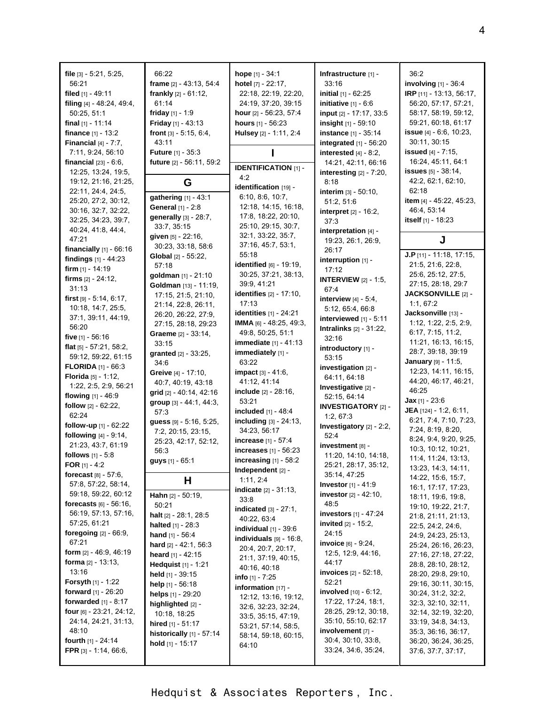| file $[3] - 5:21, 5:25,$<br>56:21<br>filed $[1] - 49:11$<br>filing [4] - 48:24, 49:4,<br>50:25, 51:1<br>final $[1]$ - 11:14 | 66:22<br>frame [2] - 43:13, 54:4<br>frankly $[2] - 61:12$ ,<br>61:14<br>friday $[1] - 1.9$<br>Friday [1] - 43:13 | <b>hope</b> $[1] - 34.1$<br>hotel [7] - 22:17,<br>22:18, 22:19, 22:20,<br>24:19, 37:20, 39:15<br>hour [2] - 56:23, 57:4<br><b>hours</b> $[1] - 56:23$ | Infrastructure [1] -<br>33:16<br><b>initial</b> $[1] - 62:25$<br>initiative $[1] - 6.6$<br>input [2] - 17:17, 33:5<br>insight [1] - 59:10 | 36:2<br>involving $[1]$ - 36:4<br>IRP [11] - 13:13, 56:17,<br>56:20, 57:17, 57:21,<br>58:17, 58:19, 59:12,<br>59:21, 60:18, 61:17 |
|-----------------------------------------------------------------------------------------------------------------------------|------------------------------------------------------------------------------------------------------------------|-------------------------------------------------------------------------------------------------------------------------------------------------------|-------------------------------------------------------------------------------------------------------------------------------------------|-----------------------------------------------------------------------------------------------------------------------------------|
| finance [1] - 13:2<br><b>Financial</b> $[4] - 7:7$ ,<br>7:11, 9:24, 56:10                                                   | front [3] - 5:15, 6:4,<br>43:11<br><b>Future</b> $[1] - 35:3$                                                    | Hulsey [2] - 1:11, 2:4                                                                                                                                | instance [1] - 35:14<br>integrated $[1]$ - 56:20<br>interested $[4] - 8:2$ ,                                                              | issue [4] - 6:6, 10:23,<br>30:11, 30:15<br><b>issued</b> $[4] - 7:15$ ,                                                           |
| <b>financial</b> $[23] - 6.6$ .                                                                                             | future [2] - 56:11, 59:2                                                                                         | <b>IDENTIFICATION [1] -</b>                                                                                                                           | 14:21, 42:11, 66:16                                                                                                                       | 16:24, 45:11, 64:1                                                                                                                |
| 12:25, 13:24, 19:5,<br>19:12, 21:16, 21:25,                                                                                 | G                                                                                                                | 4:2<br>identification [19] -                                                                                                                          | interesting $[2] - 7:20$ ,<br>8:18                                                                                                        | issues [5] - 38:14,<br>42:2, 62:1, 62:10,                                                                                         |
| 22:11, 24:4, 24:5,<br>25:20, 27:2, 30:12,                                                                                   | gathering [1] - 43:1                                                                                             | 6:10, 8:6, 10:7,                                                                                                                                      | interim $[3] - 50:10$ ,<br>51:2, 51:6                                                                                                     | 62:18<br>item [4] - 45:22, 45:23,                                                                                                 |
| 30:16, 32:7, 32:22,<br>32:25, 34:23, 39:7,                                                                                  | General [1] - 2:8<br>generally [3] - 28:7,                                                                       | 12:18, 14:15, 16:18,<br>17:8, 18:22, 20:10,                                                                                                           | <b>interpret</b> $[2] - 16:2$ ,<br>37:3                                                                                                   | 46:4, 53:14<br>itself [1] - 18:23                                                                                                 |
| 40:24, 41:8, 44:4,<br>47:21                                                                                                 | 33:7, 35:15<br>given [5] - 22:16,                                                                                | 25:10, 29:15, 30:7,<br>32:1, 33:22, 35:7,                                                                                                             | interpretation $[4]$ -                                                                                                                    |                                                                                                                                   |
| financially $[1]$ - $66:16$                                                                                                 | 30:23, 33:18, 58:6                                                                                               | 37:16, 45:7, 53:1,                                                                                                                                    | 19:23, 26:1, 26:9,<br>26:17                                                                                                               | J                                                                                                                                 |
| findings $[1] - 44:23$                                                                                                      | Global [2] - 55:22,<br>57:18                                                                                     | 55:18<br>identified $[6]$ - 19:19,                                                                                                                    | interruption $[1]$ -                                                                                                                      | J.P $[11] - 11:18, 17:15,$<br>21:5, 21:6, 22:8,                                                                                   |
| <b>firm</b> $[1]$ - 14:19<br>firms [2] - 24:12.                                                                             | goldman [1] - 21:10                                                                                              | 30:25, 37:21, 38:13,                                                                                                                                  | 17:12<br><b>INTERVIEW [2] - 1:5,</b>                                                                                                      | 25:6, 25:12, 27:5,                                                                                                                |
| 31:13                                                                                                                       | Goldman [13] - 11:19,<br>17:15, 21:5, 21:10,                                                                     | 39:9, 41:21<br><b>identifies</b> [2] - 17:10,                                                                                                         | 67:4                                                                                                                                      | 27:15, 28:18, 29:7<br>JACKSONVILLE [2] -                                                                                          |
| first $[9] - 5.14, 6.17$ ,<br>10:18, 14:7, 25:5,                                                                            | 21:14, 22:8, 26:11,                                                                                              | 17:13                                                                                                                                                 | interview $[4] - 5.4$ ,                                                                                                                   | 1:1, 67:2                                                                                                                         |
| 37:1, 39:11, 44:19,                                                                                                         | 26:20, 26:22, 27:9,                                                                                              | identities [1] - 24:21                                                                                                                                | 5:12, 65:4, 66:8<br>interviewed [1] - 5:11                                                                                                | Jacksonville [13] -                                                                                                               |
| 56:20                                                                                                                       | 27:15, 28:18, 29:23                                                                                              | IMMA [6] - 48:25, 49:3,                                                                                                                               | <b>Intralinks</b> $[2] - 31:22$ ,                                                                                                         | 1:12, 1:22, 2:5, 2:9,<br>6:17, 7:15, 11:2,                                                                                        |
| five $[1] - 56.16$                                                                                                          | Graeme [2] - 33:14,<br>33:15                                                                                     | 49:8, 50:25, 51:1<br><b>immediate</b> $[1] - 41:13$                                                                                                   | 32:16                                                                                                                                     | 11:21, 16:13, 16:15,                                                                                                              |
| flat $[5] - 57:21, 58:2,$                                                                                                   | granted $[2] - 33:25$ ,                                                                                          | immediately [1] -                                                                                                                                     | introductory [1] -                                                                                                                        | 28:7, 39:18, 39:19                                                                                                                |
| 59:12, 59:22, 61:15<br><b>FLORIDA</b> $[1] - 66.3$                                                                          | 34:6                                                                                                             | 63:22                                                                                                                                                 | 53:15                                                                                                                                     | January [9] - 11:5,                                                                                                               |
| Florida [5] - 1:12,                                                                                                         | Greive [4] - 17:10,                                                                                              | <b>impact</b> $[3] - 41.6$ ,                                                                                                                          | investigation [2] -<br>64:11, 64:18                                                                                                       | 12:23, 14:11, 16:15,                                                                                                              |
| 1:22, 2:5, 2:9, 56:21                                                                                                       | 40.7, 40.19, 43.18                                                                                               | 41:12, 41:14                                                                                                                                          | Investigative [2] -                                                                                                                       | 44:20, 46:17, 46:21,                                                                                                              |
| flowing $[1] - 46.9$                                                                                                        | grid [2] - 40:14, 42:16                                                                                          | <b>include</b> [2] - 28:16,                                                                                                                           | 52:15, 64:14                                                                                                                              | 46:25                                                                                                                             |
| follow [2] - 62:22,                                                                                                         | group [3] - 44:1, 44:3,                                                                                          | 53:21<br>included [1] - 48:4                                                                                                                          | <b>INVESTIGATORY [2] -</b>                                                                                                                | <b>Jax</b> $[1]$ - 23:6<br><b>JEA</b> $[124] - 1.2, 6.11$ ,                                                                       |
| 62:24                                                                                                                       | 57:3<br>guess [9] - 5:16, 5:25,                                                                                  | including $[3] - 24:13$ ,                                                                                                                             | 1:2, 67:3                                                                                                                                 | 6:21, 7:4, 7:10, 7:23,                                                                                                            |
| follow-up $[1]$ - 62:22                                                                                                     | 7:2, 20:15, 23:15,                                                                                               | 34:23, 56:17                                                                                                                                          | Investigatory [2] - 2:2,                                                                                                                  | 7:24, 8:19, 8:20,                                                                                                                 |
| following $[4] - 9:14$ ,                                                                                                    | 25:23, 42:17, 52:12,                                                                                             | increase [1] - 57:4                                                                                                                                   | 52:4                                                                                                                                      | 8:24, 9:4, 9:20, 9:25,                                                                                                            |
| 21:23, 43:7, 61:19<br>follows [1] - 5:8                                                                                     | 56:3                                                                                                             | increases [1] - 56:23                                                                                                                                 | investment [8] -<br>11:20, 14:10, 14:18,                                                                                                  | 10:3, 10:12, 10:21,                                                                                                               |
| <b>FOR</b> [1] - 4:2                                                                                                        | guys [1] - 65:1                                                                                                  | increasing $[1]$ - 58:2                                                                                                                               | 25:21, 28:17, 35:12,                                                                                                                      | 11:4, 11:24, 13:13,                                                                                                               |
| <b>forecast</b> $[8] - 57:6$ ,                                                                                              |                                                                                                                  | Independent [2] -                                                                                                                                     | 35:14, 47:25                                                                                                                              | 13:23, 14:3, 14:11,<br>14:22, 15:6, 15:7,                                                                                         |
| 57:8, 57:22, 58:14,                                                                                                         | Н                                                                                                                | 1:11, 2:4<br><b>indicate</b> $[2] - 31:13$ ,                                                                                                          | <b>Investor</b> $[1] - 41.9$                                                                                                              | 16:1, 17:17, 17:23,                                                                                                               |
| 59:18, 59:22, 60:12                                                                                                         | Hahn [2] - 50:19,                                                                                                | 33:8                                                                                                                                                  | <b>investor</b> $[2] - 42:10$ ,                                                                                                           | 18:11, 19:6, 19:8,                                                                                                                |
| <b>forecasts</b> $[6] - 56:16$ ,<br>56:19, 57:13, 57:16,                                                                    | 50:21                                                                                                            | <b>indicated</b> [3] - 27:1,                                                                                                                          | 48:5<br>investors [1] - 47:24                                                                                                             | 19:10, 19:22, 21:7,                                                                                                               |
| 57:25, 61:21                                                                                                                | halt [2] - 28:1, 28:5<br><b>halted</b> $[1] - 28:3$                                                              | 40:22, 63:4                                                                                                                                           | <b>invited</b> $[2] - 15:2$ ,                                                                                                             | 21:8, 21:11, 21:13,<br>22:5, 24:2, 24:6,                                                                                          |
| foregoing [2] - 66:9,                                                                                                       | hand [1] - 56:4                                                                                                  | individual $[1]$ - 39:6                                                                                                                               | 24:15                                                                                                                                     | 24.9, 24.23, 25.13,                                                                                                               |
| 67:21                                                                                                                       | hard [2] - 42:1, 56:3                                                                                            | individuals $[9] - 16.8$ ,<br>20.4, 20.7, 20.17,                                                                                                      | invoice [6] - 9:24,                                                                                                                       | 25:24, 26:16, 26:23,                                                                                                              |
| <b>form</b> $[2] - 46.9, 46.19$                                                                                             | heard [1] - 42:15                                                                                                | 21:1, 37:19, 40:15,                                                                                                                                   | 12:5, 12:9, 44:16,                                                                                                                        | 27:16, 27:18, 27:22,                                                                                                              |
| forma $[2] - 13:13$ ,<br>13:16                                                                                              | Hedquist [1] - 1:21                                                                                              | 40.16, 40.18                                                                                                                                          | 44:17<br>invoices [2] - 52:18,                                                                                                            | 28:8, 28:10, 28:12,                                                                                                               |
| <b>Forsyth</b> $[1]$ - 1:22                                                                                                 | held $[1]$ - 39:15                                                                                               | <b>info</b> $[1]$ - $7:25$                                                                                                                            | 52:21                                                                                                                                     | 28:20, 29:8, 29:10,<br>29:16, 30:11, 30:15,                                                                                       |
| <b>forward</b> $[1] - 26:20$                                                                                                | help [1] - 56:18<br>helps [1] - 29:20                                                                            | information [17] -                                                                                                                                    | <b>involved</b> $[10] - 6:12$ ,                                                                                                           | 30:24, 31:2, 32:2,                                                                                                                |
| forwarded [1] - 8:17                                                                                                        | highlighted [2] -                                                                                                | 12:12, 13:16, 19:12,                                                                                                                                  | 17:22, 17:24, 18:1,                                                                                                                       | 32.3, 32.10, 32:11,                                                                                                               |
| four [6] - 23:21, 24:12,                                                                                                    | 10:18, 18:25                                                                                                     | 32:6, 32:23, 32:24,<br>33:5, 35:15, 47:19,                                                                                                            | 28:25, 29:12, 30:18,                                                                                                                      | 32:14, 32:19, 32:20,                                                                                                              |
| 24:14, 24:21, 31:13,                                                                                                        | hired [1] - 51:17                                                                                                | 53:21, 57:14, 58:5,                                                                                                                                   | 35:10, 55:10, 62:17                                                                                                                       | 33:19, 34:8, 34:13,                                                                                                               |
| 48:10                                                                                                                       | historically $[1]$ - 57:14                                                                                       | 58:14, 59:18, 60:15,                                                                                                                                  | involvement [7] -<br>30.4, 30:10, 33.8,                                                                                                   | 35:3, 36:16, 36:17,                                                                                                               |
| fourth [1] - 24:14<br><b>FPR</b> $[3] - 1.14, 66.6$ ,                                                                       | hold $[1]$ - 15:17                                                                                               | 64:10                                                                                                                                                 | 33:24, 34:6, 35:24,                                                                                                                       | 36:20, 36:24, 36:25,<br>37.6, 37.7, 37.17,                                                                                        |
|                                                                                                                             |                                                                                                                  |                                                                                                                                                       |                                                                                                                                           |                                                                                                                                   |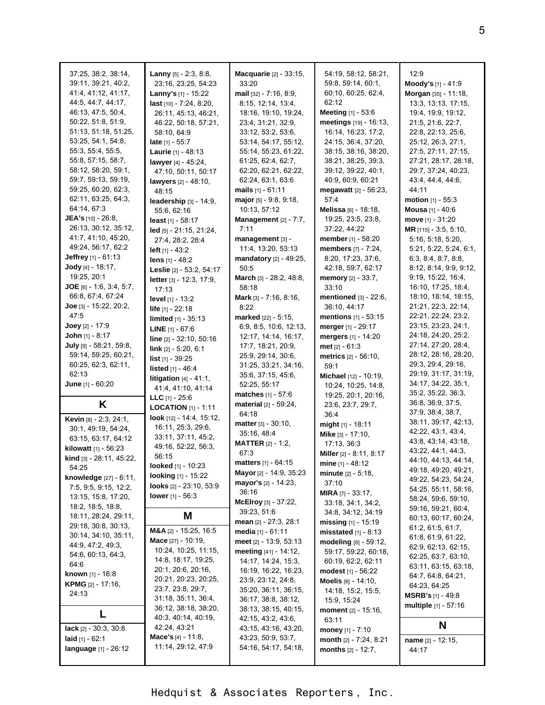| 37:25, 38:2, 38:14,               | <b>Lanny</b> $[5]$ - 2:3, 8:8,     | <b>Macquarie</b> [2] - 33:15,  | 54:19, 58:12, 58:21,          | 12:9                                         |
|-----------------------------------|------------------------------------|--------------------------------|-------------------------------|----------------------------------------------|
| 39:11, 39:21, 40:2,               | 23:16, 23:25, 54:23                | 33:20                          | 59:8, 59:14, 60:1,            | Moody's [1] - 41:9                           |
|                                   |                                    |                                |                               |                                              |
| 41.4, 41.12, 41.17,               | Lanny's [1] - 15:22                | mail [32] - 7:16, 8:9,         | 60:10, 60:25, 62:4,           | Morgan [35] - 11:18,                         |
| 44.5, 44.7, 44.17,                | last [10] - 7:24, 8:20,            | 8:15, 12:14, 13:4,             | 62:12                         | 13.3, 13.13, 17:15,                          |
| 46:13, 47:5, 50:4,                | 26:11, 45:13, 46:21,               | 18:16, 19:10, 19:24,           | Meeting [1] - 53:6            | 19:4, 19:9, 19:12,                           |
| 50:22, 51:8, 51:9                 | 46:22, 50:18, 57:21,               | 23:4, 31:21, 32:9,             | meetings [19] - 16:13,        | 21:5, 21:6, 22:7,                            |
| 51:13, 51:18, 51:25,              | 58:10, 64:9                        | 33:12, 53:2, 53:6,             | 16:14, 16:23, 17:2,           | 22:8, 22:13, 25:6,                           |
| 53:25, 54:1, 54:8,                | late $[1] - 55:7$                  | 53:14, 54:17, 55:12,           | 24:15, 36:4, 37:20,           | 25:12, 26:3, 27:1,                           |
| 55:3, 55:4, 55:5,                 | Laurie [1] - 48:13                 | 55:14, 55:23, 61:22,           | 38:15, 38:16, 38:20,          | 27:5, 27:11, 27:15,                          |
| 55.8, 57.15, 58.7,                | lawyer [4] - 45:24,                | 61:25, 62:4, 62:7,             | 38:21, 38:25, 39:3,           | 27:21, 28:17, 28:18,                         |
| 58:12, 58:20, 59:1,               | 47:10, 50:11, 50:17                | 62:20, 62:21, 62:22,           | 39:12, 39:22, 40:1,           | 29:7, 37:24, 40:23,                          |
| 59:7, 59:13, 59:19,               | lawyers [2] - 48:10,               | 62:24, 63:1, 63:6              | 40:9, 60:9, 60:21             | 43.4, 44.4, 44.6,                            |
| 59:25, 60:20, 62:3,               | 48:15                              | mails $[1] - 61:11$            | megawatt [2] - 56:23,         | 44 11                                        |
| 62:11, 63:25, 64:3,               | leadership [3] - 14:9,             | major [5] - 9:8, 9:18,         | 57:4                          | <b>motion</b> $[1] - 55:3$                   |
| 64:14, 67:3                       | 55:6, 62:16                        | 10:13, 57:12                   | Melissa [6] - 18:18,          | Mousa [1] - 40:6                             |
| <b>JEA's</b> $[10] - 26.8$ ,      | least $[1] - 58:17$                | Management [2] - 7:7,          | 19:25, 23:5, 23:8,            | move $[1] - 31:20$                           |
| 26:13, 30:12, 35:12,              | $led$ [5] - 21:15, 21:24,          | 7:11                           | 37:22, 44:22                  | MR $[115] - 3.5, 5.10,$                      |
| 41:7, 41:10, 45:20,               | 27:4, 28:2, 28:4                   | management [3] -               | member [1] - 58:20            | 5:16, 5:18, 5:20,                            |
| 49:24, 56:17, 62:2                | left $[1] - 43:2$                  | 11:4, 13:20, 53:13             | members [7] - 7:24,           | 5:21, 5:22, 5:24, 6:1,                       |
| <b>Jeffrey</b> [1] - $61:13$      | lens $[1] - 48:2$                  | mandatory [2] - 49:25,         | 8:20, 17:23, 37:6,            | 6.3, 8.4, 8.7, 8.8,                          |
| <b>Jody</b> [4] - 18:17,          | Leslie [2] - 53:2, 54:17           | 50:5                           | 42:18, 59:7, 62:17            | 8:12, 8:14, 9:9, 9:12,                       |
| 19:25, 20:1                       | letter [3] - 12:3, 17:9,           | March [3] - 28:2, 48:8,        | memory [2] - 33:7,            | 9:19, 15:22, 16:4,                           |
| JOE $[6] - 1.6, 3.4, 5.7,$        | 17:13                              | 58:18                          | 33:10                         | 16.10, 17:25, 18.4,                          |
| 66:8, 67:4, 67:24                 | level [1] - 13:2                   | Mark [3] - 7:16, 8:16,         | mentioned [3] - 22:6,         | 18:10, 18:14, 18:15,                         |
| Joe [3] - 15:22, 20:2,            | life [1] - 22:18                   | 8:22                           | 36:10, 44:17                  | 21:21, 22:3, 22:14,                          |
| 47.5                              | limited [1] - 35:13                | marked [22] - 5:15,            | mentions [1] - 53:15          | 22:21, 22:24, 23:2,                          |
| <b>Joey</b> $[2] - 17.9$          | <b>LINE</b> $[1] - 67:6$           | 6:9, 8:5, 10:6, 12:13,         | merger $[1]$ - 29:17          | 23:15, 23:23, 24:1,                          |
| John [1] - 8:17                   | line [2] - 32:10, 50:16            | 12:17, 14:14, 16:17,           | mergers [1] - 14:20           | 24:18, 24:20, 25:2,                          |
| July [9] - 58:21, 59:8,           | $link$ [2] - 5:20, 6:1             | 17.7, 18.21, 20.9,             | met $[2] - 61:3$              | 27:14, 27:20, 28:4,                          |
| 59:14, 59:25, 60:21,              |                                    | 25:9, 29:14, 30:6,             | <b>metrics</b> [2] - 56:10,   | 28:12, 28:16, 28:20,                         |
| 60:25, 62:3, 62:11,               | list [1] - 39:25                   | 31:25, 33:21, 34:16,           | 59:1                          | 29:3, 29:4, 29:16,                           |
| 62:13                             | listed [1] - 46:4                  | 35.6, 37:15, 45.6,             | Michael [12] - 10:19,         | 29:19, 31:17, 31:19,                         |
| <b>June</b> $[1] - 60:20$         | litigation $[4] - 41.1$ ,          | 52:25, 55:17                   |                               |                                              |
|                                   |                                    |                                |                               |                                              |
|                                   | 41.4, 41.10, 41.14                 |                                | 10:24, 10:25, 14:8,           | 34:17, 34:22, 35:1,                          |
|                                   | LLC $[1] - 25.6$                   | matches [1] - 57:6             | 19:25, 20:1, 20:16,           | 35:2, 35:22, 36:3,<br>36:8, 36:9, 37:5,      |
| K                                 | <b>LOCATION</b> $[1]$ - 1:11       | material [2] - 59:24,          | 23:6, 23:7, 29:7,             | 37:9, 38:4, 38:7,                            |
| Kevin [8] - 2:3, 24:1,            | look [12] - 14:4, 15:12,           | 64:18                          | 36:4                          | 38:11, 39:17, 42:13,                         |
| 30:1, 49:19, 54:24,               | 16:11, 25:3, 29:6,                 | <b>matter</b> $[3] - 30:10$ ,  | might [1] - 18:11             | 42.22, 43.1, 43.4,                           |
| 63:15, 63:17, 64:12               | 33:11, 37:11, 45:2,                | 35:16, 48:4                    | Mike [3] - 17:10,             | 43.8, 43.14, 43.18,                          |
| kilowatt [1] - 56:23              | 49:16, 52:22, 56:3,                | <b>MATTER</b> $[2] - 1.2$ ,    | 17:13, 36:3                   |                                              |
| <b>kind</b> [3] - $28:11, 45:22,$ | 56:15                              | 67:3                           | Miller [2] - 8:11, 8:17       | 43:22, 44:1, 44:3,<br>44:10, 44:13, 44:14,   |
| 54:25                             | looked $[1] - 10:23$               | <b>matters</b> $[1] - 64:15$   | mine $[1] - 48.12$            |                                              |
| knowledge [27] - 6:11,            | <b>looking</b> $[1] - 15:22$       | Mayor [2] - 14:9, 35:23        | minute [2] - 5:18,            | 49:18, 49:20, 49:21,<br>49.22, 54.23, 54.24, |
| 7:5, 9:5, 9:15, 12:2,             | <b>looks</b> $[2] - 23:10, 53:9$   | <b>mayor's</b> $[2] - 14:23$ , | 37:10                         | 54:25, 55:11, 58:16,                         |
| 13:15, 15:8, 17:20,               | <b>lower</b> $[1] - 56:3$          | 36:16                          | <b>MIRA</b> [7] - 33:17,      | 58:24, 59:6, 59:10,                          |
| 18:2, 18:5, 18:8,                 |                                    | McElroy [3] - 37:22,           | 33:18, 34:1, 34:2,            | 59:16, 59:21, 60:4,                          |
| 18:11, 28:24, 29:11,              | M                                  | 39:23, 51:6                    | 34:8, 34:12, 34:19            | 60:13, 60:17, 60:24,                         |
| 29:18, 30:8, 30:13,               |                                    | mean [2] - 27:3, 28:1          | missing $[1]$ - 15:19         | 61:2, 61:5, 61:7,                            |
| 30:14, 34:10, 35:11,              | <b>M&amp;A</b> $[2] - 15.25, 16.5$ | media $[1] - 61:11$            | misstated $[1] - 8:13$        | 61:8, 61:9, 61:22,                           |
| 44.9, 47.2, 49.3,                 | <b>Mace</b> $[27] - 10.19$ ,       | meet [2] - 13:9, 53:13         | modeling [8] - 59:12,         | 62:9, 62:13, 62:15,                          |
| 54.6, 60.13, 64.3,                | 10:24, 10:25, 11:15,               | meeting [41] - 14:12,          | 59:17, 59:22, 60:18,          | 62.25, 63:7, 63:10,                          |
| 64.6                              | 14:8, 18:17, 19:25,                | 14:17, 14:24, 15:3,            | 60:19, 62:2, 62:11            | 63:11, 63:15, 63:18,                         |
| <b>known</b> $[1] - 16.8$         | 20:1, 20:6, 20:16,                 | 16:19, 16:22, 16:23,           | modest $[1] - 56:22$          | 64.7, 64.8, 64.21,                           |
| <b>KPMG</b> $[2] - 17:16$ ,       | 20:21, 20:23, 20:25,               | 23:9, 23:12, 24:8,             | Moelis [6] - 14:10,           | 64:23, 64:25                                 |
| 24:13                             | 23:7, 23:8, 29:7,                  | 35:20, 36:11, 36:15,           | 14:18, 15:2, 15:5,            | <b>MSRB's</b> $[1] - 49.8$                   |
|                                   | 31:18, 35:11, 36:4,                | 36:17, 38:8, 38:12,            | 15:9, 15:24                   | <b>multiple</b> [1] - 57:16                  |
| L                                 | 36:12, 38:18, 38:20,               | 38:13, 38:15, 40:15,           | <b>moment</b> $[2] - 15:16$ , |                                              |
|                                   | 40:3, 40:14, 40:19,                | 42:15, 43:2, 43:6,             | 63:11                         |                                              |
| <b>lack</b> $[2] - 30.3, 30.8$    | 42:24, 43:21                       | 43:15, 43:16, 43:20,           | money $[1] - 7:10$            | N                                            |
| laid $[1] - 62:1$                 | <b>Mace's</b> $[4] - 11.8$ ,       | 43:23, 50:9, 53:7,             | month $[2] - 7:24, 8:21$      | name [2] - 12:15,                            |
| language $[1] - 26:12$            | 11:14, 29:12, 47:9                 | 54:16, 54:17, 54:18,           | months $[2] - 12:7$ ,         | 44:17                                        |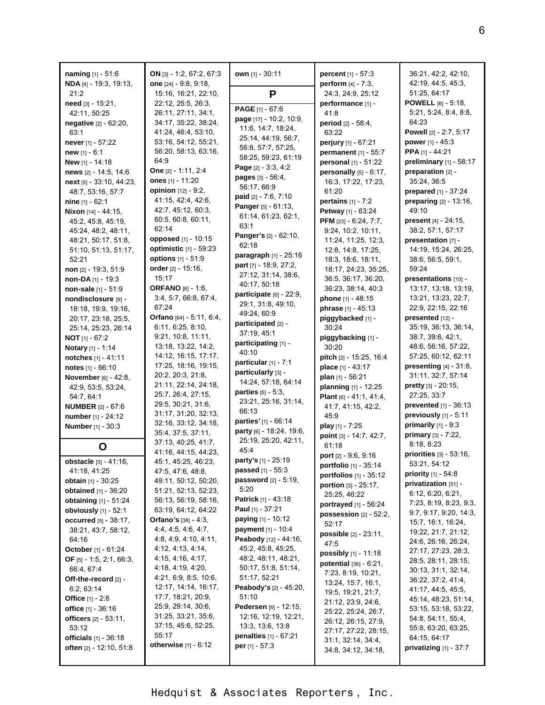| naming [1] - 51:6                                   | ON [3] - 1:2, 67:2, 67:3                              | own [1] - 30:11                                    | <b>percent</b> $[1] - 57:3$      | 36:21, 42:2, 42:10,                      |
|-----------------------------------------------------|-------------------------------------------------------|----------------------------------------------------|----------------------------------|------------------------------------------|
| NDA [4] - 19:3, 19:13,                              | one [24] - 9:8, 9:18,                                 |                                                    | perform [4] - 7:3,               | 42:19, 44:5, 45:3,                       |
| 21:2                                                | 15:16, 16:21, 22:10,                                  | P                                                  | 24:3, 24:9, 25:12                | 51:25, 64:17                             |
| need [3] - 15:21,                                   | 22:12, 25:5, 26:3,                                    |                                                    | performance [1] -                | <b>POWELL</b> $[6] - 5:18$               |
| 42:11, 50:25                                        | 26:11, 27:11, 34:1,                                   | PAGE [1] - 67:6                                    | 41:8                             | 5:21, 5:24, 8:4, 8:8,                    |
| negative [2] - 62:20,                               | 34:17, 35:22, 38:24,                                  | page [17] - 10:2, 10:9,                            | period [2] - 58:4,               | 64:23                                    |
| 63:1                                                | 41:24, 46:4, 53:10,                                   | 11:6, 14:7, 18:24,                                 | 63:22                            | Powell [2] - 2:7, 5:17                   |
| never [1] - 57:22                                   | 53:16, 54:12, 55:21,                                  | 25:14, 44:19, 56:7,                                | perjury [1] - 67:21              | power $[1] - 45:3$                       |
| new [1] - 6:1                                       | 56:20, 58:13, 63:16,                                  | 56.8, 57:7, 57:25,<br>58:25, 59:23, 61:19          | permanent [1] - 55:7             | PPA [1] - 44:21                          |
| New [1] - 14:18                                     | 64.9                                                  |                                                    | personal [1] - 51:22             | preliminary [1] - 58:17                  |
| news [2] - 14:5, 14:6                               | One [2] - 1:11, 2:4                                   | Page [2] - 3:3, 4:2<br><b>pages</b> $[3] - 56.4$ , | personally $[5] - 6:17$ ,        | preparation [2] -                        |
| next [5] - 33:10, 44:23,                            | ones [1] - 11:20                                      | 56:17, 66:9                                        | 16:3, 17:22, 17:23,              | 35:24, 36:5                              |
| 48:7, 53:16, 57:7                                   | opinion [12] - 9:2,                                   | paid [2] - 7:6, 7:10                               | 61:20                            | prepared [1] - 37:24                     |
| nine $[1] - 62:1$                                   | 41:15, 42:4, 42:6,                                    | Panger [5] - 61:13,                                | pertains [1] - 7:2               | preparing [2] - 13:16,                   |
| Nixon [14] - 44:15,                                 | 42:7, 45:12, 60:3,                                    | 61.14, 61:23, 62.1,                                | Petway [1] - 63:24               | 49:10                                    |
| 45:2, 45:8, 45:19,                                  | 60:5, 60:8, 60:11,                                    | 63:1                                               | PFM [23] - 6:24, 7:7,            | present [4] - 24:15,                     |
| 45.24, 48.2, 48.11,                                 | 62:14                                                 | Panger's [2] - 62:10,                              | 9:24, 10:2, 10:11,               | 38:2, 57:1, 57:17                        |
| 48:21, 50:17, 51:8,                                 | opposed [1] - 10:15                                   | 62:18                                              | 11:24, 11:25, 12:3,              | presentation [7] -                       |
| 51:10, 51:13, 51:17,                                | optimistic [1] - 59:23                                | <b>paragraph</b> $[1]$ - 25:16                     | 12:8, 14:8, 17:25,               | 14:19, 15:24, 26:25,                     |
| 52:21                                               | options [1] - 51:9                                    | part [7] - 18.9, 27:2,                             | 18:3, 18:6, 18:11,               | 38:6, 56:5, 59:1,                        |
| non $[2] - 19.3, 51.9$                              | order $[2] - 15:16$ ,                                 | 27:12, 31:14, 38:6,                                | 18:17, 24:23, 35:25,             | 59:24                                    |
| non-DA [1] - 19:3                                   | 15:17                                                 | 40:17, 50:18                                       | 36:5, 36:17, 36:20,              | presentations [10] -                     |
| non-sale [1] - 51:9                                 | <b>ORFANO</b> [6] - 1:6,                              | participate [6] - 22:9,                            | 36:23, 38:14, 40:3               | 13:17, 13:18, 13:19,                     |
| nondisclosure [9] -                                 | 3:4, 5:7, 66:8, 67:4,                                 | 29:1, 31:8, 49:10,                                 | phone [1] - 48:15                | 13:21, 13:23, 22:7,                      |
| 18:18, 19:9, 19:16,                                 | 67:24<br>Orfano [64] - 5:11, 6:4,                     | 49:24, 60:9                                        | phrase [1] - 45:13               | 22:9, 22:15, 22:16<br>presented [12] -   |
| 20:17, 23:18, 25:5,                                 | 6:11, 6:25, 8:10,                                     | participated [2] -                                 | piggybacked [1] -                | 35:19, 36:13, 36:14,                     |
| 25:14, 25:23, 26:14                                 | 9:21, 10:8, 11:11,                                    | 37:19, 45:1                                        | 30:24                            | 38:7, 39:6, 42:1,                        |
| <b>NOT</b> $[1] - 67:2$                             | 13:18, 13:22, 14:2,                                   | participating [1] -                                | piggybacking [1] -<br>30:20      | 48.6, 56.16, 57:22,                      |
| Notary [1] - 1:14<br>notches [1] - 41:11            | 14:12, 16:15, 17:17,                                  | 40:10                                              | pitch [2] - 15:25, 16:4          | 57:25, 60:12, 62:11                      |
|                                                     | 17:25, 18:16, 19:15,                                  | particular [1] - 7:1                               | place [1] - 43:17                | presenting $[4]$ - $31:8$ ,              |
| notes [1] - 66:10<br><b>November</b> $[6] - 42:8$ , | 20:2, 20:3, 21:8,                                     | particularly [3] -                                 | plan [1] - 56:21                 | 31:11, 32:7, 57:14                       |
| 42:9, 53:5, 53:24,                                  | 21:11, 22:14, 24:18,                                  | 14:24, 57:18, 64:14                                | planning [1] - 12:25             | pretty [3] - 20:15,                      |
| 54:7, 64:1                                          | 25:7, 26:4, 27:15,                                    | parties [5] - 5:3,                                 | Plant $[6] - 41.1, 41.4,$        | 27:25, 33:7                              |
| <b>NUMBER</b> [2] - 67:6                            | 29:5, 30:21, 31:6,                                    | 23:21, 25:16, 31:14,                               | 41:7, 41:15, 42:2,               | prevented [1] - 36:13                    |
| number [1] - 24:12                                  | 31:17, 31:20, 32:13,                                  | 66:13                                              | 45.9                             | previously [1] - 5:11                    |
| <b>Number</b> [1] - 30:3                            | 32:16, 33:12, 34:18,                                  | parties' [1] - 66:14                               | play [1] - 7:25                  | primarily $[1]$ - $9.3$                  |
|                                                     | 35:4, 37:5, 37:11,                                    | party [6] - 18:24, 19:6,                           | point [3] - 14:7, 42:7,          | primary [3] - 7:22,                      |
| O                                                   | 37:13, 40:25, 41:7,                                   | 25:19, 25:20, 42:11,                               | 61:18                            | 8:18, 8:23                               |
|                                                     | 41:16, 44:15, 44:23,                                  | 45.4                                               | port [2] - 9:6, 9:16             | priorities [3] - 53:16,                  |
| <b>obstacle</b> [3] - 41:16,                        | 45:1, 45:25, 46:23,                                   | <b>party's</b> [1] - 25:19                         | portfolio [1] - 35:14            | 53:21, 54:12                             |
| 41:18, 41:25                                        | 47:5, 47:6, 48:8,                                     | <b>passed</b> [1] - 55:3                           | portfolios $[1]$ - 35:12         | <b>priority</b> $[1] - 54.8$             |
| <b>obtain</b> $[1]$ - 30:25                         | 49:11, 50:12, 50:20,                                  | password [2] - 5:19,                               | portion [3] - 25:17,             | privatization $[51]$ -                   |
| obtained [1] - 36:20                                | 51:21, 52:13, 52:23,                                  | 5:20<br>Patrick [1] - 43:18                        | 25:25, 46:22                     | 6.12, 6.20, 6.21,                        |
| <b>obtaining</b> $[1] - 51:24$                      | 56:13, 56:19, 58:16,                                  | <b>Paul</b> [1] - 37:21                            | <b>portrayed</b> [1] - 56:24     | 7:23, 8:19, 8:23, 9:3,                   |
| obviously [1] - 52:1                                | 63:19, 64:12, 64:22<br><b>Orfano's</b> $[38] - 4:3$ , | <b>paying</b> [1] - 10:12                          | possession [2] - 52:2,           | 9:7, 9:17, 9:20, 14:3,                   |
| <b>occurred</b> [5] - 38:17,                        | 4.4, 4.5, 4.6, 4.7,                                   | payment [1] - 10:4                                 | 52:17                            | 15:7, 16:1, 16:24,                       |
| 38:21, 43:7, 58:12,<br>64:16                        | 4.8, 4.9, 4.10, 4.11,                                 | Peabody [12] - 44:16,                              | <b>possible</b> [2] - 23:11,     | 19:22, 21:7, 21:12,                      |
| <b>October</b> [1] - 61:24                          | 4:12, 4:13, 4:14,                                     | 45.2, 45.8, 45.25,                                 | 47:5                             | 24:6, 26:16, 26:24,                      |
| <b>OF</b> $[5] - 1:5, 2:1, 66:3,$                   | 4:15, 4:16, 4:17,                                     | 48:2, 48:11, 48:21,                                | possibly $[1] - 11:18$           | 27:17, 27:23, 28:3,                      |
| 66.4, 67:4                                          | 4:18, 4:19, 4:20,                                     | 50:17, 51:8, 51:14,                                | <b>potential</b> $[36] - 6:21$ , | 28:5, 28:11, 28:15,                      |
| Off-the-record [2] -                                | 4:21, 6:9, 8:5, 10:6,                                 | 51:17, 52:21                                       | 7:23, 8:19, 10:21,               | 30:13, 31:1, 32:14,                      |
| 6:2, 63:14                                          | 12:17, 14:14, 16:17,                                  | <b>Peabody's</b> [2] - 45:20,                      | 13:24, 15:7, 16:1,               | 36:22, 37:2, 41:4,<br>41:17, 44:5, 45:5, |
| <b>Office</b> $[1] - 2.8$                           | 17:7, 18:21, 20:9,                                    | 51:10                                              | 19:5, 19:21, 21:7,               | 45:14, 48:23, 51:14,                     |
| <b>office</b> $[1] - 36:16$                         | 25.9, 29.14, 30.6,                                    | <b>Pedersen</b> [8] - 12:15,                       | 21:12, 23:9, 24:6,               | 53:15, 53:18, 53:22,                     |
| officers [2] - 53:11,                               | 31:25, 33:21, 35:6,                                   | 12:16, 12:19, 12:21,                               | 25:22, 25:24, 26:7,              | 54.8, 54.11, 55.4,                       |
| 53:12                                               | 37:15, 45:6, 52:25,                                   | 13:3, 13:6, 13:8                                   | 26:12, 26:15, 27:9,              | 55:8, 63:20, 63:25,                      |
| <b>officials</b> $[1] - 36:18$                      | 55:17                                                 | <b>penalties</b> $[1] - 67:21$                     | 27:17, 27:22, 28:15,             | 64.15, 64.17                             |
| often [2] - 12:10, 51:8                             | <b>otherwise</b> $[1] - 6.12$                         | per $[1] - 57:3$                                   | 31:1, 32:14, 34:4,               | privatizing $[1] - 37:7$                 |
|                                                     |                                                       |                                                    | 34:8, 34:12, 34:18,              |                                          |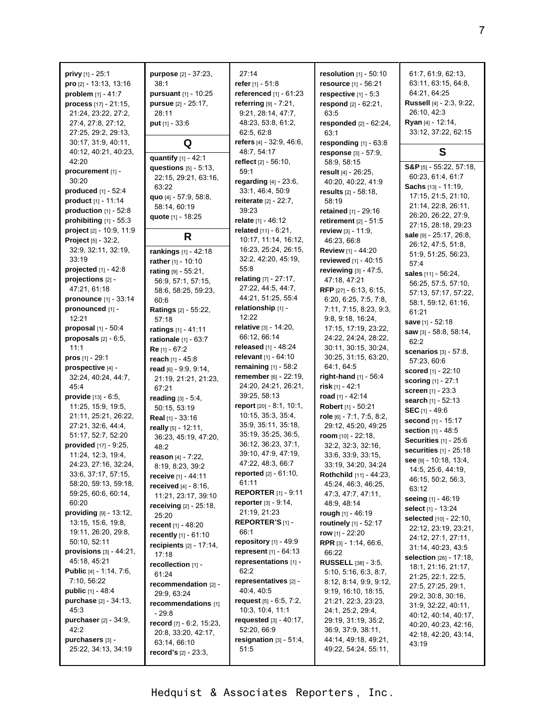| <b>privy</b> $[1] - 25.1$        | purpose [2] - 37:23,             | 27:14                           | <b>resolution</b> $[1] - 50:10$ | 61:7, 61:9, 62:13,            |
|----------------------------------|----------------------------------|---------------------------------|---------------------------------|-------------------------------|
| pro [2] - 13:13, 13:16           | 38:1                             | refer $[1] - 51.8$              | resource [1] - 56:21            | 63:11, 63:15, 64:8,           |
| problem [1] - 41:7               | pursuant [1] - 10:25             | referenced [1] - 61:23          | respective $[1] - 5.3$          | 64:21, 64:25                  |
| process [17] - 21:15,            | pursue [2] - 25:17,              | referring [9] - 7:21,           | respond [2] - 62:21,            | Russell [4] - 2:3, 9:22,      |
| 21:24, 23:22, 27:2,              | 28:11                            | 9:21, 28:14, 47:7,              | 63.5                            | 26:10, 42:3                   |
|                                  |                                  |                                 |                                 | Ryan [4] - 12:14,             |
| 27:4, 27:8, 27:12,               | <b>put</b> $[1] - 33.6$          | 48.23, 53.8, 61.2,              | responded [2] - 62:24,          |                               |
| 27:25, 29:2, 29:13,              |                                  | 62:5, 62:8                      | 63:1                            | 33:12, 37:22, 62:15           |
| 30:17, 31:9, 40:11,              | Q                                | refers [4] - 32:9, 46:6,        | responding $[1]$ - $63:8$       |                               |
| 40:12, 40:21, 40:23,             | quantify [1] - 42:1              | 48:7, 54:17                     | response [3] - 57:9,            | S                             |
| 42:20                            | questions $[5]$ - 5:13,          | reflect [2] - 56:10,            | 58:9, 58:15                     | $S\&P_{[5]} - 55:22, 57:18,$  |
| procurement [1] -                | 22:15, 29:21, 63:16,             | 59:1                            | result [4] - 26:25,             | 60:23, 61:4, 61:7             |
| 30:20                            | 63:22                            | regarding [4] - 23:6,           | 40:20, 40:22, 41:9              | <b>Sachs</b> $[13] - 11:19$ , |
| produced $[1] - 52:4$            | quo [4] - 57:9, 58:8,            | 33:1, 46:4, 50:9                | results $[2] - 58:18$ ,         | 17:15, 21:5, 21:10,           |
| product [1] - 11:14              | 58:14, 60:19                     | <b>reiterate</b> $[2] - 22:7$ , | 58:19                           | 21:14, 22:8, 26:11,           |
| production $[1]$ - 52:8          | quote [1] - 18:25                | 39:23                           | retained [1] - 29:16            | 26:20, 26:22, 27:9,           |
| prohibiting $[1]$ - 55:3         |                                  | relate $[1] - 46:12$            | retirement $[2] - 51:5$         | 27:15, 28:18, 29:23           |
| project [2] - 10:9, 11:9         |                                  | related [11] - 6:21,            | review [3] - 11:9,              | sale [9] - 25:17, 26:8,       |
| <b>Project</b> $[5] - 32:2$ ,    | R                                | 10:17, 11:14, 16:12,            | 46:23, 66:8                     | 26:12, 47:5, 51:8,            |
| 32:9, 32:11, 32:19,              | rankings [1] - 42:18             | 16:23, 25:24, 26:15,            | Review [1] - 44:20              | 51:9, 51:25, 56:23,           |
| 33:19                            | rather [1] - 10:10               | 32:2, 42:20, 45:19,             | reviewed [1] - 40:15            | 57:4                          |
| <b>projected</b> $[1] - 42.8$    | rating [9] - 55:21,              | 55:8                            | reviewing [3] - 47:5,           | sales [11] - 56:24,           |
| projections [2] -                | 56.9, 57:1, 57:15,               | relating [7] - 27:17,           | 47:18, 47:21                    | 56:25, 57:5, 57:10,           |
| 47:21, 61:18                     | 58:6, 58:25, 59:23,              | 27:22, 44:5, 44:7,              | RFP [27] - 6:13, 6:15,          | 57:13, 57:17, 57:22,          |
| pronounce [1] - 33:14            | 60:6                             | 44:21, 51:25, 55:4              | 6:20, 6:25, 7:5, 7:8,           |                               |
| pronounced [1] -                 | <b>Ratings</b> [2] - 55:22,      | relationship [1] -              | 7:11, 7:15, 8:23, 9:3,          | 58:1, 59:12, 61:16,<br>61:21  |
| 12:21                            | 57:18                            | 12:22                           | 9.8, 9.18, 16:24,               |                               |
| proposal $[1]$ - 50:4            | ratings [1] - 41:11              | relative [3] - 14:20,           | 17:15, 17:19, 23:22,            | save [1] - 52:18              |
| proposals $[2] - 6.5$ ,          | rationale [1] - 63:7             | 66:12, 66:14                    | 24:22, 24:24, 28:22,            | saw $[3] - 58.8, 58.14,$      |
| 11:1                             | $Re$ [1] - 67:2                  | released $[1] - 48:24$          | 30:11, 30:15, 30:24,            | 62:2                          |
| <b>pros</b> $[1] - 29:1$         | reach [1] - 45:8                 | relevant [1] - 64:10            | 30:25, 31:15, 63:20,            | scenarios $[3] - 57:8$ ,      |
| prospective [4] -                | read $[6] - 9.9, 9.14$ ,         | remaining [1] - 58:2            | 64:1, 64:5                      | 57:23, 60:6                   |
| 32:24, 40:24, 44:7,              | 21:19, 21:21, 21:23,             | remember [6] - 22:19,           | right-hand [1] - 56:4           | <b>scored</b> [1] - 22:10     |
| 45:4                             | 67:21                            | 24:20, 24:21, 26:21,            | risk $[1] - 42:1$               | <b>scoring</b> [1] - 27:1     |
| <b>provide</b> $[13] - 6.5$ ,    | reading $[3] - 5:4$ ,            | 39:25, 58:13                    | road $[1] - 42:14$              | <b>screen</b> [1] - 23:3      |
| 11:25, 15:9, 19:5,               | 50:15, 53:19                     | report $[20] - 8.1, 10.1$ ,     | Robert [1] - 50:21              | search [1] - 52:13            |
| 21:11, 25:21, 26:22,             | Real [1] - 33:16                 | 10:15, 35:3, 35:4,              | role [6] - 7:1, 7:5, 8:2,       | SEC [1] - 49:6                |
| 27:21, 32:6, 44:4,               |                                  | 35:9, 35:11, 35:18,             | 29:12, 45:20, 49:25             | second [1] - 15:17            |
| 51:17, 52:7, 52:20               | really [5] - 12:11,              | 35:19, 35:25, 36:5,             | room $[10] - 22:18$ ,           | section [1] - 48:5            |
| provided [17] - 9:25,            | 36:23, 45:19, 47:20,             | 36:12, 36:23, 37:1,             | 32:2, 32:3, 32:16,              | Securities [1] - 25:6         |
| 11:24, 12:3, 19:4,               | 48:2                             | 39:10, 47:9, 47:19,             | 33:6, 33:9, 33:15,              | securities [1] - 25:18        |
| 24:23, 27:16, 32:24,             | reason [4] - 7:22,               | 47:22, 48:3, 66:7               | 33:19, 34:20, 34:24             | see [9] - 10:18, 13:4,        |
| 33:6, 37:17, 57:15,              | 8:19, 8:23, 39:2                 | reported [2] - 61:10,           | Rothchild [11] - 44:23,         | 14:5, 25:6, 44:19,            |
| 58:20, 59:13, 59:18,             | receive [1] - 44:11              | 61:11                           | 45:24, 46:3, 46:25,             | 46:15, 50:2, 56:3,            |
| 59:25, 60:6, 60:14,              | <b>received</b> $[4] - 8:16$ ,   | <b>REPORTER</b> [1] - 9:11      | 47.3, 47.7, 47.11,              | 63:12                         |
| 60:20                            | 11:21, 23:17, 39:10              | <b>reporter</b> $[3] - 9:14$ ,  | 48:9, 48:14                     | seeing [1] - 46:19            |
| providing [9] - 13:12,           | <b>receiving</b> $[2] - 25:18$ , | 21:19, 21:23                    | rough [1] - 46:19               | select [1] - 13:24            |
|                                  | 25:20                            | REPORTER'S [1] -                |                                 | selected [10] - 22:10,        |
| 13:15, 15:6, 19:8,               | recent $[1] - 48:20$             | 66:1                            | routinely [1] - 52:17           | 22:12, 23:19, 23:21,          |
| 19:11, 26:20, 29:8,              | recently [1] - 61:10             |                                 | row $[1] - 22:20$               | 24:12, 27:1, 27:11,           |
| 50:10, 52:11                     | recipients $[2] - 17:14$ ,       | repository [1] - 49:9           | RPR [3] - 1:14, 66:6,           | 31:14, 40:23, 43:5            |
| provisions $[3] - 44.21$ ,       | 17:18                            | represent $[1] - 64:13$         | 66:22                           | selection [26] - 17:18,       |
| 45:18, 45:21                     | recollection [1] -               | representations [1] -           | RUSSELL [38] - 3:5,             | 18:1, 21:16, 21:17,           |
| <b>Public</b> $[4] - 1:14, 7:6,$ | 61:24                            | 62:2                            | 5:10, 5:16, 6:3, 8:7,           | 21:25, 22:1, 22:5,            |
| 7:10, 56:22                      | recommendation [2] -             | representatives [2] -           | 8:12, 8:14, 9:9, 9:12,          | 27:5, 27:25, 29:1,            |
| <b>public</b> $[1] - 48.4$       | 29:9, 63:24                      | 40:4, 40:5                      | 9:19, 16:10, 18:15,             | 29:2, 30:8, 30:16,            |
| purchase [2] - 34:13,            | recommendations [1]              | request $[5] - 6.5, 7.2,$       | 21:21, 22:3, 23:23,             | 31.9, 32.22, 40:11,           |
| 45:3                             | $-29:8$                          | 10:3, 10:4, 11:1                | 24:1, 25:2, 29:4,               | 40:12, 40:14, 40:17,          |
| purchaser [2] - 34:9,            | record $[7] - 6.2, 15.23,$       | requested $[3] - 40.17$ ,       | 29:19, 31:19, 35:2,             | 40:20, 40:23, 42:16,          |
| 42:2                             | 20:8, 33:20, 42:17,              | 52:20, 66:9                     | 36.9, 37.9, 38.11,              | 42:18, 42:20, 43:14,          |
| purchasers [3] -                 | 63:14, 66:10                     | resignation [3] - 51:4,         | 44:14, 49:18, 49:21,            | 43:19                         |
| 25:22, 34:13, 34:19              | <b>record's</b> $[2] - 23:3,$    | 51:5                            | 49:22, 54:24, 55:11,            |                               |
|                                  |                                  |                                 |                                 |                               |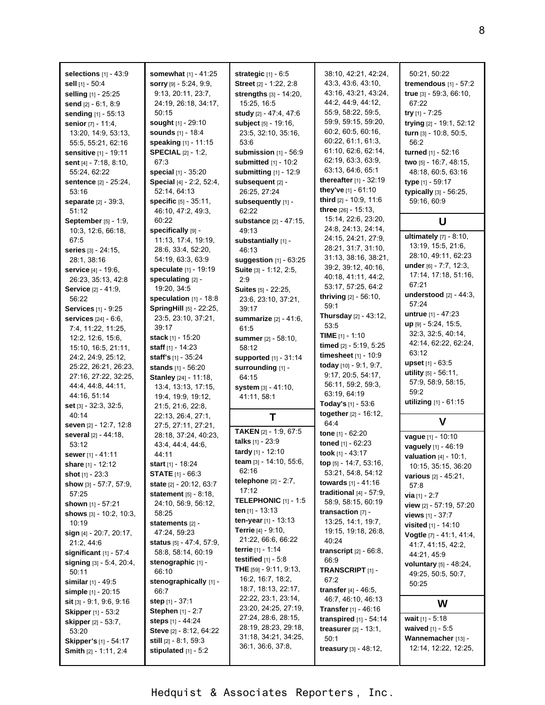| selections $[1] - 43.9$      | somewhat [1] - 41:25             | strategic $[1] - 6.5$          | 38:10, 42:21, 42:24,            | 50.21, 50:22                  |
|------------------------------|----------------------------------|--------------------------------|---------------------------------|-------------------------------|
| sell [1] - 50:4              | <b>sorry</b> $[9] - 5.24, 9.9$ , | Street [2] - 1:22, 2:8         | 43.3, 43.6, 43.10,              | tremendous $[1]$ - 57:2       |
|                              |                                  |                                | 43:16, 43:21, 43:24,            |                               |
| selling [1] - 25:25          | 9:13, 20:11, 23:7,               | strengths [3] - 14:20,         |                                 | true [3] - 59:3, 66:10,       |
| send [2] - 6:1, 8:9          | 24:19, 26:18, 34:17,             | 15:25, 16:5                    | 44:2, 44:9, 44:12,              | 67:22                         |
| sending [1] - 55:13          | 50:15                            | study [2] - 47:4, 47:6         | 55:9, 58:22, 59:5,              | try [1] - 7:25                |
| senior [7] - 11:4,           | sought [1] - 29:10               | subject [5] - 19:16,           | 59:9, 59:15, 59:20,             | trying [2] - 19:1, 52:12      |
| 13:20, 14:9, 53:13,          | <b>sounds</b> [1] - 18:4         | 23.5, 32.10, 35:16,            | 60:2, 60:5, 60:16,              | turn [3] - 10:8, 50:5,        |
| 55:5, 55:21, 62:16           | speaking [1] - 11:15             | 53:6                           | 60:22, 61:1, 61:3,              | 56:2                          |
| sensitive [1] - 19:11        | <b>SPECIAL [2] - 1:2,</b>        | submission $[1]$ - $56:9$      | 61:10, 62:6, 62:14,             | turned [1] - 52:16            |
| sent [4] - 7:18, 8:10,       | 67:3                             | submitted [1] - 10:2           | 62:19, 63:3, 63:9,              | two [5] - 16:7, 48:15,        |
| 55:24, 62:22                 | special [1] - 35:20              | submitting [1] - 12:9          | 63:13, 64:6, 65:1               | 48:18, 60:5, 63:16            |
| <b>sentence</b> [2] - 25:24, | Special [4] - 2:2, 52:4,         | subsequent [2] -               | thereafter [1] - 32:19          | type [1] - 59:17              |
| 53:16                        | 52:14, 64:13                     | 26:25, 27:24                   | they've [1] - 61:10             | typically [3] - 56:25,        |
| <b>separate</b> [2] - 39:3,  | specific [5] - 35:11,            | subsequently [1] -             | third [2] - 10:9, 11:6          | 59:16, 60:9                   |
|                              |                                  |                                | three $[26] - 15:13$ ,          |                               |
| 51:12                        | 46:10, 47:2, 49:3,               | 62:22                          | 15:14, 22:6, 23:20,             |                               |
| September [5] - 1:9,         | 60:22                            | substance [2] - 47:15,         | 24:8, 24:13, 24:14,             | U                             |
| 10:3, 12:6, 66:18,           | specifically [9] -               | 49:13                          | 24:15, 24:21, 27:9,             | <b>ultimately</b> [7] - 8:10, |
| 67:5                         | 11:13, 17:4, 19:19,              | substantially [1] -            |                                 | 13:19, 15:5, 21:6,            |
| <b>series</b> [3] - 24:15,   | 28:6, 33:4, 52:20,               | 46:13                          | 28:21, 31:7, 31:10,             | 28:10, 49:11, 62:23           |
| 28:1, 38:16                  | 54:19, 63:3, 63:9                | suggestion [1] - 63:25         | 31:13, 38:16, 38:21,            |                               |
| service [4] - 19:6,          | speculate [1] - 19:19            | Suite [3] - 1:12, 2:5,         | 39.2, 39.12, 40:16,             | under [6] - 7:7, 12:3,        |
| 26:23, 35:13, 42:8           | speculating [2] -                | 2:9                            | 40:18, 41:11, 44:2,             | 17:14, 17:18, 51:16,          |
| Service [2] - 41:9,          | 19:20, 34:5                      | <b>Suites [5] - 22:25,</b>     | 53:17, 57:25, 64:2              | 67:21                         |
| 56:22                        | speculation [1] - 18:8           | 23.6, 23.10, 37:21,            | <b>thriving</b> $[2] - 56:10$ , | understood $[2] - 44:3$ ,     |
| <b>Services</b> [1] - 9:25   | SpringHill [5] - 22:25,          | 39:17                          | 59:1                            | 57:24                         |
| services [24] - 6:6,         | 23:5, 23:10, 37:21,              | summarize [2] - 41:6,          | Thursday [2] - 43:12,           | <b>untrue</b> $[1] - 47:23$   |
|                              | 39:17                            | 61:5                           | 53:5                            | up [9] - 5:24, 15:5,          |
| 7:4, 11:22, 11:25,           |                                  |                                | <b>TIME</b> $[1]$ - 1:10        | 32:3, 32:5, 40:14,            |
| 12:2, 12:6, 15:6,            | stack $[1] - 15:20$              | summer [2] - 58:10,            | timed [2] - 5:19, 5:25          | 42:14, 62:22, 62:24,          |
| 15:10, 16:5, 21:11,          | staff $[1] - 14:23$              | 58:12                          | timesheet $[1] - 10.9$          | 63:12                         |
| 24:2, 24:9, 25:12,           | staff's [1] - 35:24              | supported [1] - 31:14          |                                 | <b>upset</b> $[1] - 63.5$     |
| 25:22, 26:21, 26:23,         | stands [1] - 56:20               | surrounding [1] -              | today [10] - 9:1, 9:7,          | utility [5] - 56:11,          |
| 27:16, 27:22, 32:25,         | Stanley [24] - 11:18,            | 64:15                          | 9:17, 20:5, 54:17,              | 57:9, 58:9, 58:15,            |
| 44.4, 44.8, 44.11,           | 13.4, 13.13, 17:15,              | system [3] - 41:10,            | 56:11, 59:2, 59:3,              | 59:2                          |
| 44:16, 51:14                 | 19:4, 19:9, 19:12,               | 41:11, 58:1                    | 63:19, 64:19                    |                               |
| set [3] - 32:3, 32:5,        | 21:5, 21:6, 22:8,                |                                | <b>Today's</b> $[1]$ - 53:6     | utilizing [1] - 61:15         |
| 40:14                        | 22:13, 26:4, 27:1,               | т                              | together [2] - 16:12,           |                               |
| seven [2] - 12:7, 12:8       | 27:5, 27:11, 27:21,              |                                | 64.4                            | V                             |
| several [2] - 44:18,         | 28:18, 37:24, 40:23,             | <b>TAKEN</b> [2] - 1:9, 67:5   | tone $[1] - 62:20$              | vague [1] - 10:10             |
| 53:12                        | 43.4, 44.4, 44.6,                | talks [1] - 23:9               | toned [1] - 62:23               |                               |
| sewer [1] - 41:11            | 44:11                            | tardy [1] - 12:10              | took [1] - 43:17                | vaguely [1] - 46:19           |
|                              |                                  | team [3] - 14:10, 55:6,        | top [5] - 14:7, 53:16,          | valuation [4] - 10:1,         |
| share [1] - 12:12            | start $[1]$ - 18:24              | 62:16                          | 53:21, 54:8, 54:12              | 10:15, 35:15, 36:20           |
| shot $[1] - 23:3$            | <b>STATE</b> $[1]$ - 66:3        | <b>telephone</b> $[2] - 2:7$ , |                                 | various [2] - 45:21,          |
| show [3] - 57:7, 57:9,       | state [2] - 20:12, 63:7          | 17:12                          | towards [1] - 41:16             | 57:8                          |
| 57:25                        | statement $[5] - 8:18$ ,         | TELEPHONIC [1] - 1:5           | traditional $[4] - 57:9$ ,      | <b>via</b> $[1] - 2:7$        |
| shown [1] - 57:21            | 24:10, 56:9, 56:12,              |                                | 58:9, 58:15, 60:19              | view [2] - 57:19, 57:20       |
| shows $[3] - 10:2, 10:3,$    | 58:25                            | ten $[1]$ - 13:13              | transaction $[7]$ -             | views [1] - 37:7              |
| 10:19                        | statements [2] -                 | ten-year [1] - 13:13           | 13:25, 14:1, 19:7,              | visited [1] - 14:10           |
| sign $[4] - 20:7, 20:17,$    | 47:24, 59:23                     | <b>Terrie</b> $[4] - 9:10$ ,   | 19:15, 19:18, 26:8,             | Vogtle [7] - 41:1, 41:4,      |
| 21:2, 44:6                   | <b>status</b> [5] - 47:4, 57:9,  | 21:22, 66:6, 66:22             | 40:24                           | 41.7, 41.15, 42.2,            |
| significant $[1]$ - 57:4     | 58:8, 58:14, 60:19               | <b>terrie</b> $[1] - 1.14$     | transcript $[2] - 66.8$ ,       | 44:21, 45.9                   |
| signing [3] - 5:4, 20:4,     | stenographic [1] -               | testified $[1] - 5.8$          | 66.9                            | voluntary [5] - 48:24,        |
| 50:11                        | 66:10                            | THE [59] - 9:11, 9:13,         | TRANSCRIPT [1] -                |                               |
| <b>similar</b> $[1] - 49.5$  | stenographically [1] -           | 16:2, 16:7, 18:2,              | 67:2                            | 49:25, 50:5, 50:7,            |
|                              | 66:7                             | 18:7, 18:13, 22:17,            | <b>transfer</b> $[4] - 46:5$ ,  | 50:25                         |
| simple $[1] - 20:15$         |                                  | 22.22, 23:1, 23:14,            | 46:7, 46:10, 46:13              |                               |
| sit $[3] - 9.1$ , 9.6, 9.16  | step $[1] - 37:1$                | 23:20, 24:25, 27:19,           | <b>Transfer</b> $[1] - 46:16$   | W                             |
| Skipper [1] - 53:2           | Stephen [1] - 2:7                | 27:24, 28:6, 28:15,            |                                 | wait $[1] - 5.18$             |
| skipper [2] - 53:7,          | steps [1] - 44:24                | 28:19, 28:23, 29:18,           | transpired $[1]$ - 54:14        |                               |
| 53:20                        | Steve [2] - 8:12, 64:22          |                                | <b>treasurer</b> $[2] - 13.1$ , | waived $[1] - 5.5$            |
| Skipper's [1] - 54:17        | still $[2] - 8:1, 59:3$          | 31:18, 34:21, 34:25,           | 50:1                            | Wannemacher [13] -            |
|                              |                                  |                                |                                 |                               |
| <b>Smith [2] - 1:11, 2:4</b> | stipulated $[1] - 5:2$           | 36:1, 36:6, 37:8,              | treasury [3] - 48:12,           | 12:14, 12:22, 12:25,          |